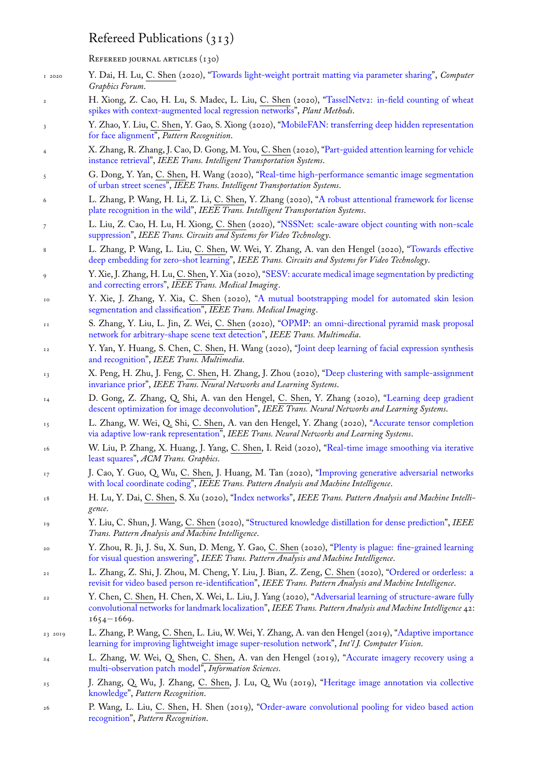REFEREED JOURNAL ARTICLES (130)

- 1 2020 Y. Dai, H. Lu, C. Shen (2020), "Towards light-weight portrait matting via parameter sharing", *Computer Graphics Forum*.
- 2 H. Xiong, Z. Cao, H. Lu, S. Madec, L. Liu, C. Shen (2020), "TasselNetv2: in-field counting of wheat spikes with context-augmented local regression networks", *Plant Methods*.
- 3 Y. Zhao, Y. Liu, C. Shen, Y. Gao[, S. Xiong \(2020\), "MobileFAN: transferring deep hidden rep](http://www.google.com/search?lr=&ie=UTF-8&oe=UTF-8&q=Towards+Light-Weight+Portrait+Matting+via+Parameter+Sharing+Dai,+Yutong+and+Lu,+Hao+and+Shen,+Chunhua)resentation for face alignment", *Pattern Recognition*.
- 4 X. Zhang, R. Zhang, J. Cao, D. Gong, M. You, C. Shen (2020),"[Part-guided attention learning for vehicle](http://www.google.com/search?lr=&ie=UTF-8&oe=UTF-8&q=TasselNetv2:+in-field+counting+of+wheat+spikes+with+context-augmented+local+regression+networks+Xiong,+Haipeng+and+Cao,+Zhiguo+and+Lu,+Hao+and+Madec,+Simon+and+Liu,+Liang+and+Shen,+Chunhua) instance retrieval", *[IEEE Trans. Intelligent Transportation](http://www.google.com/search?lr=&ie=UTF-8&oe=UTF-8&q=TasselNetv2:+in-field+counting+of+wheat+spikes+with+context-augmented+local+regression+networks+Xiong,+Haipeng+and+Cao,+Zhiguo+and+Lu,+Hao+and+Madec,+Simon+and+Liu,+Liang+and+Shen,+Chunhua) Systems*.
- 5 G. Dong, Y. Yan, C. Shen, H. Wang (2020), "Real-[time high-performance semantic image segmentation](http://www.google.com/search?lr=&ie=UTF-8&oe=UTF-8&q=MobileFAN:+Transferring+Deep+Hidden+Representation+for+Face+Alignment+Zhao,+Yang+and+Liu,+Yifan+and+Shen,+Chunhua+and+Gao,+Yongsheng+and+Xiong,+Shengwu) [of urban street sce](http://www.google.com/search?lr=&ie=UTF-8&oe=UTF-8&q=MobileFAN:+Transferring+Deep+Hidden+Representation+for+Face+Alignment+Zhao,+Yang+and+Liu,+Yifan+and+Shen,+Chunhua+and+Gao,+Yongsheng+and+Xiong,+Shengwu)nes", *IEEE Trans. Intelligent Transportation Systems*.
- 6 L. Zhang, P. Wang, H. Li, Z. Li, C. Shen, Y. Zhang (2020), "[A robust attentional framework for license](http://www.google.com/search?lr=&ie=UTF-8&oe=UTF-8&q=Part-Guided+Attention+Learning+for+Vehicle+Instance+Retrieval+Zhang,+Xinyu+and+Zhang,+Rufeng+and+Cao,+Jiewei+and+Gong,+Dong+and+You,+Mingyu+and+Shen,+Chunhua) [plate recognition](http://www.google.com/search?lr=&ie=UTF-8&oe=UTF-8&q=Part-Guided+Attention+Learning+for+Vehicle+Instance+Retrieval+Zhang,+Xinyu+and+Zhang,+Rufeng+and+Cao,+Jiewei+and+Gong,+Dong+and+You,+Mingyu+and+Shen,+Chunhua) in the wild", *IEEE Trans. Intelligent Transportation Systems*.
- 7 L. Liu, Z. Cao, H. Lu, H. Xiong, C. Shen (2[020\), "NSSNet: scale-aware object counting with non-scale](http://www.google.com/search?lr=&ie=UTF-8&oe=UTF-8&q=Real-time+high-performance+semantic+image+segmentation+of+urban+street+scenes+Dong,+Genshun+and+Yan,+Yan+and+Shen,+Chunhua+and+Wang,+Hanzi) [suppression",](http://www.google.com/search?lr=&ie=UTF-8&oe=UTF-8&q=Real-time+high-performance+semantic+image+segmentation+of+urban+street+scenes+Dong,+Genshun+and+Yan,+Yan+and+Shen,+Chunhua+and+Wang,+Hanzi) *IEEE Trans. Circuits and Systems for Video Technology*.
- 8 L. Zhang, P. Wang, L. Liu, C. Shen, W. Wei, Y. Zhang, A. [van den Hengel \(2020\), "Towards effective](http://www.google.com/search?lr=&ie=UTF-8&oe=UTF-8&q=A+robust+attentional+framework+for+license+plate+recognition+in+the+wild+Zhang,+Linjiang+and+Wang,+Peng+and+Li,+Hui+and+Li,+Zhen+and+Shen,+Chunhua+and+Zhang,+Yanning) [deep embedding for zero-sho](http://www.google.com/search?lr=&ie=UTF-8&oe=UTF-8&q=A+robust+attentional+framework+for+license+plate+recognition+in+the+wild+Zhang,+Linjiang+and+Wang,+Peng+and+Li,+Hui+and+Li,+Zhen+and+Shen,+Chunhua+and+Zhang,+Yanning)t learning", *IEEE Trans. Circuits and Systems for Video Technology*.
- 9 Y. Xie, J. Zhang, H. Lu, C. Shen, Y. Xia (2020), "SE[SV: accurate medical image segmentation by predicting](http://www.google.com/search?lr=&ie=UTF-8&oe=UTF-8&q=NSSNet:+Scale-aware+object+counting+with+non-scale+suppression+Liu,+Liang+and+Cao,+Zhiguo+and+Lu,+Hao+and+Xiong,+Haipeng+and+Shen,+Chunhua) [and correcti](http://www.google.com/search?lr=&ie=UTF-8&oe=UTF-8&q=NSSNet:+Scale-aware+object+counting+with+non-scale+suppression+Liu,+Liang+and+Cao,+Zhiguo+and+Lu,+Hao+and+Xiong,+Haipeng+and+Shen,+Chunhua)ng errors", *IEEE Trans. Medical Imaging*.
- 10 Y. Xie, J. Zhang, Y. Xia, C. Shen (2020), "A mutual bootstrapping model for auto[mated skin lesion](http://www.google.com/search?lr=&ie=UTF-8&oe=UTF-8&q=Towards+Effective+Deep+Embedding+for+Zero-Shot+Learning+Zhang,+Lei+and+Wang,+Peng+and+Liu,+Lingqiao+and+Shen,+Chunhua+and+Wei,+Wei+and+Zhang,+Yanning+and+van+den+Hengel,+Anton) [segmentation and classification",](http://www.google.com/search?lr=&ie=UTF-8&oe=UTF-8&q=Towards+Effective+Deep+Embedding+for+Zero-Shot+Learning+Zhang,+Lei+and+Wang,+Peng+and+Liu,+Lingqiao+and+Shen,+Chunhua+and+Wei,+Wei+and+Zhang,+Yanning+and+van+den+Hengel,+Anton) *IEEE Trans. Medical Imaging*.
- <sup>11</sup> S. Zhang, Y. Liu, L. Jin, Z. Wei, C. Shen (202[0\), "OPMP: an omni-directional pyramid mask proposal](http://www.google.com/search?lr=&ie=UTF-8&oe=UTF-8&q=SESV:+Accurate+Medical+Image+Segmentation+by+Predicting+and+Correcting+Errors+Xie,+Yutong+and+Zhang,+Jianpeng+and+Lu,+Hao+and+Shen,+Chunhua+and+Xia,+Yong) [network for arbitrary](http://www.google.com/search?lr=&ie=UTF-8&oe=UTF-8&q=SESV:+Accurate+Medical+Image+Segmentation+by+Predicting+and+Correcting+Errors+Xie,+Yutong+and+Zhang,+Jianpeng+and+Lu,+Hao+and+Shen,+Chunhua+and+Xia,+Yong)-shape scene text detection", *IEEE Trans. Multimedia*.
- <sup>12</sup> [Y. Yan, Y. Huang, S. Chen,](http://www.google.com/search?lr=&ie=UTF-8&oe=UTF-8&q=A+Mutual+Bootstrapping+Model+for+Automated+Skin+Lesion+Segmentation+and+Classification+Xie,+Yutong+and+Zhang,+Jianpeng+and+Xia,+Yong+and+Shen,+Chunhua) C. Shen, H. Wa[ng \(2020\), "Joint deep learning of facial expression synthesis](http://www.google.com/search?lr=&ie=UTF-8&oe=UTF-8&q=A+Mutual+Bootstrapping+Model+for+Automated+Skin+Lesion+Segmentation+and+Classification+Xie,+Yutong+and+Zhang,+Jianpeng+and+Xia,+Yong+and+Shen,+Chunhua) and recognition", *IEEE Trans. Multimedia*.
- <sup>13</sup> X. Peng, H. Zhu, J. Feng, C. Shen, H. Zhang, J. Z[hou \(2020\), "Deep clustering with sample-assignment](http://www.google.com/search?lr=&ie=UTF-8&oe=UTF-8&q=OPMP:+An+Omni-directional+Pyramid+Mask+Proposal+Network+for+Arbitrary-shape+Scene+Text+Detection+Zhang,+Sheng+and+Liu,+Yuliang+and+Jin,+Lianwen+and+Wei,+Zhongrong+and+Shen,+Chunhua) invariance prior", *[IEEE Trans. Neural Networks a](http://www.google.com/search?lr=&ie=UTF-8&oe=UTF-8&q=OPMP:+An+Omni-directional+Pyramid+Mask+Proposal+Network+for+Arbitrary-shape+Scene+Text+Detection+Zhang,+Sheng+and+Liu,+Yuliang+and+Jin,+Lianwen+and+Wei,+Zhongrong+and+Shen,+Chunhua)nd Learning Systems*.
- <sup>14</sup> D. Gong, Z. Zhang, Q. Shi, A. van den Hengel, C. S[hen, Y. Zhang \(2020\), "Learning deep gradient](http://www.google.com/search?lr=&ie=UTF-8&oe=UTF-8&q=Joint+deep+learning+of+facial+expression+synthesis+and+recognition+Yan,+Yan+and+Huang,+Ying+and+Chen,+Si+and+Shen,+Chunhua+and+Wang,+Hanzi) [descent optimiz](http://www.google.com/search?lr=&ie=UTF-8&oe=UTF-8&q=Joint+deep+learning+of+facial+expression+synthesis+and+recognition+Yan,+Yan+and+Huang,+Ying+and+Chen,+Si+and+Shen,+Chunhua+and+Wang,+Hanzi)ation for image deconvolution", *IEEE Trans. Neural Networks and Learning Systems*.
- <sup>15</sup> L. Zhang, W. Wei, Q. Shi, C. Shen, A. van den Hengel, Y. Zh[ang \(2020\), "Accurate tensor completion](http://www.google.com/search?lr=&ie=UTF-8&oe=UTF-8&q=Deep+Clustering+with+Sample-Assignment+Invariance+Prior+Peng,+Xi+and+Zhu,+Hongyuan+and+Feng,+Jiashi+and+Shen,+Chunhua+and+Zhang,+Haixian+and+Zhou,+Joey) [via adaptive low](http://www.google.com/search?lr=&ie=UTF-8&oe=UTF-8&q=Deep+Clustering+with+Sample-Assignment+Invariance+Prior+Peng,+Xi+and+Zhu,+Hongyuan+and+Feng,+Jiashi+and+Shen,+Chunhua+and+Zhang,+Haixian+and+Zhou,+Joey)-rank representation", *IEEE Trans. Neural Networks and Learning Systems*.
- <sup>16</sup> [W. Liu, P. Zhang, X. Huang, J. Yang,](http://www.google.com/search?lr=&ie=UTF-8&oe=UTF-8&q=Learning+Deep+Gradient+Descent+Optimization+for+Image+Deconvolution+Gong,+Dong+and+Zhang,+Zhen+and+Shi,+Qinfeng+and+van+den+Hengel,+Anton+and+Shen,+Chunhua+and+Zhang,+Yanning) C. Shen, I. Reid (2020), "Real-time imag[e smoothing via iterative](http://www.google.com/search?lr=&ie=UTF-8&oe=UTF-8&q=Learning+Deep+Gradient+Descent+Optimization+for+Image+Deconvolution+Gong,+Dong+and+Zhang,+Zhen+and+Shi,+Qinfeng+and+van+den+Hengel,+Anton+and+Shen,+Chunhua+and+Zhang,+Yanning) least squares", *ACM Trans. Graphics*.
- <sup>17</sup> J. Cao, Y. Guo, Q. Wu, C. Shen, J. Huang, M. Tan (2020), "Improving ge[nerative adversarial networks](http://www.google.com/search?lr=&ie=UTF-8&oe=UTF-8&q=Accurate+Tensor+Completion+via+Adaptive+Low-Rank+Representation+Zhang,+Lei+and+Wei,+Wei+and+Shi,+Qinfeng+and+Shen,+Chunhua+and+van+den+Hengel,+Anton+and+Zhang,+Yanning) [with local coordinate coding",](http://www.google.com/search?lr=&ie=UTF-8&oe=UTF-8&q=Accurate+Tensor+Completion+via+Adaptive+Low-Rank+Representation+Zhang,+Lei+and+Wei,+Wei+and+Shi,+Qinfeng+and+Shen,+Chunhua+and+van+den+Hengel,+Anton+and+Zhang,+Yanning) *IEEE Trans. Pattern Analysis and Machine Intelligence*.
- <sup>18</sup> [H. Lu, Y. D](http://www.google.com/search?lr=&ie=UTF-8&oe=UTF-8&q=Real-time+image+smoothing+via+iterative+least+squares+Liu,+Wei+and+Zhang,+Pingping+and+Huang,+Xiaolin+and+Yang,+Jie+and+Shen,+Chunhua+and+Reid,+Ian)ai, C. Shen, S. Xu (2020), "Index networks", *IEEE T[rans. Pattern Analysis and Machine Intelli](http://www.google.com/search?lr=&ie=UTF-8&oe=UTF-8&q=Real-time+image+smoothing+via+iterative+least+squares+Liu,+Wei+and+Zhang,+Pingping+and+Huang,+Xiaolin+and+Yang,+Jie+and+Shen,+Chunhua+and+Reid,+Ian)gence*.
- <sup>19</sup> Y. Liu, C. Shun, J. Wang, C. Shen (2020), "Structured knowle[dge distillation for dense prediction",](http://www.google.com/search?lr=&ie=UTF-8&oe=UTF-8&q=Improving+Generative+Adversarial+Networks+with+Local+Coordinate+Coding+Cao,+Jiezhang+and+Guo,+Yong+and+Wu,+Qingyao+and+Shen,+Chunhua+and+Huang,+Junzhou+and+Tan,+Mingkui) *IEEE [Trans. Pattern Analysis and M](http://www.google.com/search?lr=&ie=UTF-8&oe=UTF-8&q=Improving+Generative+Adversarial+Networks+with+Local+Coordinate+Coding+Cao,+Jiezhang+and+Guo,+Yong+and+Wu,+Qingyao+and+Shen,+Chunhua+and+Huang,+Junzhou+and+Tan,+Mingkui)achine Intelligence*.
- <sup>20</sup> Y. Zhou, R. Ji, J. Su, X. Sun, D. Meng[, Y. Gao,](http://www.google.com/search?lr=&ie=UTF-8&oe=UTF-8&q=Index+Networks+Lu,+Hao+and+Dai,+Yutong+and+Shen,+Chunhua+and+Xu,+Songcen) C. Shen (2020), "Plenty is plague: fine-grained learning for visual question answering", *IEEE Trans. Pattern Analysis and Machine Intelligence*.
- <sup>21</sup> L. Zhang, Z. Shi, J. Zhou, M. Cheng, Y. Liu, J. Bian, Z. Zeng, C. [Shen \(2020\), "Ordered or ord](http://www.google.com/search?lr=&ie=UTF-8&oe=UTF-8&q=Structured+Knowledge+Distillation+for+Dense+Prediction+Liu,+Yifan+and+Shun,+Changyong+and+Wang,+Jingdong+and+Shen,+Chunhua)erless: a revisit for video based person re-identification", *IEEE Trans. Pattern Analysis and Machine Intelligence*.
- <sup>22</sup> Y. Chen, C. Shen, H. Chen, X. Wei, L. Liu, J. Yang (2020), "Adv[ersarial learning of structure-aware fully](http://www.google.com/search?lr=&ie=UTF-8&oe=UTF-8&q=Plenty+Is+Plague:+Fine-Grained+Learning+for+Visual+Question+Answering+Zhou,+Yiyi+and+Ji,+Rongrong+and+Su,+Jinsong+and+Sun,+Xiaoshuai+and+Meng,+Deyu+and+Gao,+Yue+and+Shen,+Chunhua) [convolutional networks for lan](http://www.google.com/search?lr=&ie=UTF-8&oe=UTF-8&q=Plenty+Is+Plague:+Fine-Grained+Learning+for+Visual+Question+Answering+Zhou,+Yiyi+and+Ji,+Rongrong+and+Su,+Jinsong+and+Sun,+Xiaoshuai+and+Meng,+Deyu+and+Gao,+Yue+and+Shen,+Chunhua)dmark localization", *IEEE Trans. Pattern Analysis and Machine Intelligence* 42: 1654*−*1669.
- 23 2019 L. Zhang, P. Wang, C. [Shen, L. Liu, W. Wei,](http://www.google.com/search?lr=&ie=UTF-8&oe=UTF-8&q=Ordered+or+Orderless:+A+Revisit+for+Video+based+Person+Re-Identification+Zhang,+Le+and+Shi,+Zenglin+and+Zhou,+Joey+Tianyi+and+Cheng,+Ming-Ming+and+Liu,+Yun+and+Bian,+Jia-Wang+and+Zeng,+Zeng+and+Shen,+Chunhua) Y. Zhang, A. van den Hengel (2019), "Adaptive importance learning for improving lightweight image super-resolution network", *[Int'l J. Computer Vision](http://www.google.com/search?lr=&ie=UTF-8&oe=UTF-8&q=Adversarial+Learning+of+Structure-Aware+Fully+Convolutional+Networks+for+Landmark+Localization+Chen,+Yu+and+Shen,+Chunhua+and+Chen,+Hao+and+Wei,+Xiu-Shen+and+Liu,+Lingqiao+and+Yang,+Jian)*.
- [L. Zhang, W. Wei, Q. Shen,](http://www.google.com/search?lr=&ie=UTF-8&oe=UTF-8&q=Adversarial+Learning+of+Structure-Aware+Fully+Convolutional+Networks+for+Landmark+Localization+Chen,+Yu+and+Shen,+Chunhua+and+Chen,+Hao+and+Wei,+Xiu-Shen+and+Liu,+Lingqiao+and+Yang,+Jian) C. Shen, A. van den Hengel (2019), "Accurate imagery recovery using a multi-observation patch model", *Information Sciences*.
- <sup>25</sup> J. Zhang, Q. Wu, J. Zhang, C. Shen, J. Lu, Q. Wu (2019), "Heritage image an[notation via collective](http://www.google.com/search?lr=&ie=UTF-8&oe=UTF-8&q=Adaptive+Importance+Learning+for+Improving+Lightweight+Image+Super-resolution+Network+Zhang,+Lei+and+Wang,+Peng+and+Shen,+Chunhua+and+Liu,+Lingqiao+and+Wei,+Wei+and+Zhang,+Yanning+and+van+den+Hengel,+Anton) knowledge", *[Pattern Recognition](http://www.google.com/search?lr=&ie=UTF-8&oe=UTF-8&q=Adaptive+Importance+Learning+for+Improving+Lightweight+Image+Super-resolution+Network+Zhang,+Lei+and+Wang,+Peng+and+Shen,+Chunhua+and+Liu,+Lingqiao+and+Wei,+Wei+and+Zhang,+Yanning+and+van+den+Hengel,+Anton)*.
- <sup>26</sup> P. Wang, L. Liu, C. Shen, H. Shen (2019), "Order-aware convoluti[onal pooling for video based action](http://www.google.com/search?lr=&ie=UTF-8&oe=UTF-8&q=Accurate+Imagery+Recovery+Using+a+Multi-Observation+Patch+Model+Zhang,+Lei+and+Wei,+Wei+and+Shen,+Qiang+and+Shen,+Chunhua+and+van+den+Hengel,+Anton) recognition", *[Pattern Recognitio](http://www.google.com/search?lr=&ie=UTF-8&oe=UTF-8&q=Accurate+Imagery+Recovery+Using+a+Multi-Observation+Patch+Model+Zhang,+Lei+and+Wei,+Wei+and+Shen,+Qiang+and+Shen,+Chunhua+and+van+den+Hengel,+Anton)n*.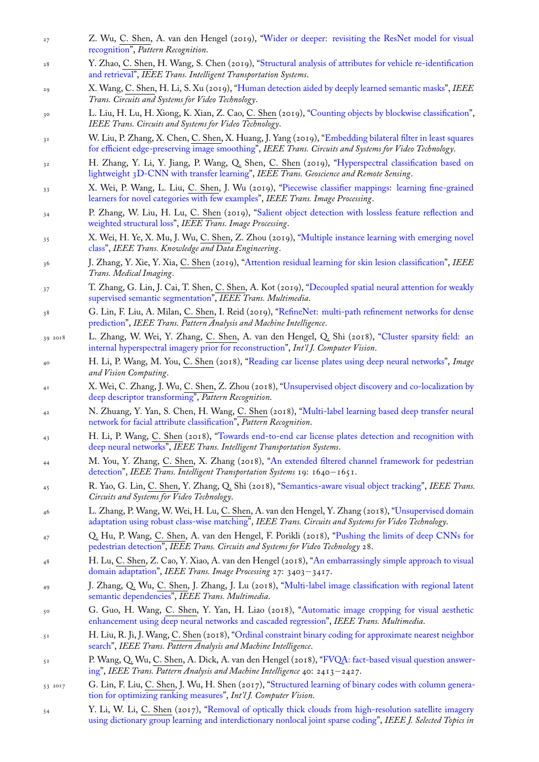- recognition", *Pattern Recognition*.
- 28 Y. Zhao, C. Shen, H. Wang, S. Chen (2019), "Structural analysis of attributes for vehicle re-identification and retrieval", *IEEE Trans. Intelligent Transportation Systems*.
- 29 X. Wang, C. Shen, H. Li, S. Xu (2019), "Huma[n detection aided by deeply learned semantic masks",](http://www.google.com/search?lr=&ie=UTF-8&oe=UTF-8&q=Wider+or+Deeper:+Revisiting+the+ResNet+Model+for+Visual+Recognition+Wu,+Zifeng+and+Shen,+Chunhua+and+van+den+Hengel,+Anton) *IEEE [Trans. Circu](http://www.google.com/search?lr=&ie=UTF-8&oe=UTF-8&q=Wider+or+Deeper:+Revisiting+the+ResNet+Model+for+Visual+Recognition+Wu,+Zifeng+and+Shen,+Chunhua+and+van+den+Hengel,+Anton)its and Systems for Video Technology*.
- 30 L. Liu, H. Lu, H. Xiong, K. Xian, Z. Cao, C. [Shen \(2019\), "Counting objects by blockwise classification",](http://www.google.com/search?lr=&ie=UTF-8&oe=UTF-8&q=Structural+Analysis+of+Attributes+for+Vehicle+Re-identification+and+Retrieval+Zhao,+Yanzhu+and+Shen,+Chunhua+and+Wang,+Huibing+and+Chen,+Shengyong) *[IEEE Trans.](http://www.google.com/search?lr=&ie=UTF-8&oe=UTF-8&q=Structural+Analysis+of+Attributes+for+Vehicle+Re-identification+and+Retrieval+Zhao,+Yanzhu+and+Shen,+Chunhua+and+Wang,+Huibing+and+Chen,+Shengyong) Circuits and Systems for Video Technology*.
- 31 W. Liu, P. Zhang, X. Chen, C. Shen, X. [Huang, J. Yang \(2019\), "Embedding bilateral filter in least](http://www.google.com/search?lr=&ie=UTF-8&oe=UTF-8&q=Human+Detection+Aided+by+Deeply+Learned+Semantic+Masks+Wang,+Xinyu+and+Shen,+Chunhua+and+Li,+Hanxi+and+Xu,+Shugong) squares for efficient edge-preserving image smoothing", *IEEE Trans. Circuits and Systems for Video Technology*.
- 32 H. Zhang, Y. Li, Y. Jiang, P. Wang, Q. Shen, C. Shen ([2019\), "Hyperspectral classification based on](http://www.google.com/search?lr=&ie=UTF-8&oe=UTF-8&q=Counting+Objects+by+Blockwise+Classification+Liu,+Liang+and+Lu,+Hao+and+Xiong,+Haipeng+and+Xian,+Ke+and+Cao,+Zhiguo+and+Shen,+Chunhua) lightweight 3D-CNN with transfer learning", *IEEE Trans. Geoscience and Remote Sensing*.
- <sup>33</sup> X. Wei, P. Wang, L. Liu, C. Shen, J. Wu (2019), "Piecewisec[lassifier mappings: learning fine-grained](http://www.google.com/search?lr=&ie=UTF-8&oe=UTF-8&q=Embedding+Bilateral+Filter+in+Least+Squares+for+Efficient+Edge-preserving+Image+Smoothing+Liu,+Wei+and+Zhang,+Pingping+and+Chen,+Xiaogang+and+Shen,+Chunhua+and+Huang,+Xiaolin+and+Yang,+Jie) [learners for novel categories with few examples](http://www.google.com/search?lr=&ie=UTF-8&oe=UTF-8&q=Embedding+Bilateral+Filter+in+Least+Squares+for+Efficient+Edge-preserving+Image+Smoothing+Liu,+Wei+and+Zhang,+Pingping+and+Chen,+Xiaogang+and+Shen,+Chunhua+and+Huang,+Xiaolin+and+Yang,+Jie)", *IEEE Trans. Image Processing*.
- 34 P. Zhang, W. Liu, H. Lu, C. Shen (2019), "Salient object detecti[on with lossless feature reflection and](http://www.google.com/search?lr=&ie=UTF-8&oe=UTF-8&q=Hyperspectral+Classification+Based+on+Lightweight+3D-CNN+With+Transfer+Learning+Zhang,+Haokui+and+Li,+Ying+and+Jiang,+Yenan+and+Wang,+Peng+and+Shen,+Qiang+and+Shen,+Chunhua) [weighted structural loss",](http://www.google.com/search?lr=&ie=UTF-8&oe=UTF-8&q=Hyperspectral+Classification+Based+on+Lightweight+3D-CNN+With+Transfer+Learning+Zhang,+Haokui+and+Li,+Ying+and+Jiang,+Yenan+and+Wang,+Peng+and+Shen,+Qiang+and+Shen,+Chunhua) *IEEE Trans. Image Processing*.
- 35 X. Wei, H. Ye, X. Mu, J. Wu, C. Shen, Z. Zhou (20[19\), "Multiple instance learning with emerging novel](http://www.google.com/search?lr=&ie=UTF-8&oe=UTF-8&q=Piecewise+classifier+mappings:+Learning+fine-grained+learners+for+novel+categories+with+few+examples+Wei,+Xiu-Shen+and+Wang,+Peng+and+Liu,+Lingqiao+and+Shen,+Chunhua+and+Wu,+Jianxin) class", *[IEEE Trans. Knowledge and Data Engine](http://www.google.com/search?lr=&ie=UTF-8&oe=UTF-8&q=Piecewise+classifier+mappings:+Learning+fine-grained+learners+for+novel+categories+with+few+examples+Wei,+Xiu-Shen+and+Wang,+Peng+and+Liu,+Lingqiao+and+Shen,+Chunhua+and+Wu,+Jianxin)ering*.
- 36 J. Zhang, Y. Xie, Y. Xia, C. Shen (2019), "At[tention residual learning for skin lesion classification",](http://www.google.com/search?lr=&ie=UTF-8&oe=UTF-8&q=Salient+Object+Detection+with+Lossless+Feature+Reflection+and+Weighted+Structural+Loss+Zhang,+Pingping+and+Liu,+Wei+and+Lu,+Huchuan+and+Shen,+Chunhua) *IEEE [Trans. Medical Imaging](http://www.google.com/search?lr=&ie=UTF-8&oe=UTF-8&q=Salient+Object+Detection+with+Lossless+Feature+Reflection+and+Weighted+Structural+Loss+Zhang,+Pingping+and+Liu,+Wei+and+Lu,+Huchuan+and+Shen,+Chunhua)*.
- 37 T. Zhang, G. Lin, J. Cai, T. Shen, C. Shen, A. Kot (2019)[, "Decoupled spatial neural attention for weakly](http://www.google.com/search?lr=&ie=UTF-8&oe=UTF-8&q=Multiple+Instance+Learning+with+Emerging+Novel+Class+Wei,+Xiu-Shen+and+Ye,+Han-Jia+and+Mu,+Xin+and+Wu,+Jianxin+and+Shen,+Chunhua+and+Zhou,+Zhi-Hua) [super](http://www.google.com/search?lr=&ie=UTF-8&oe=UTF-8&q=Multiple+Instance+Learning+with+Emerging+Novel+Class+Wei,+Xiu-Shen+and+Ye,+Han-Jia+and+Mu,+Xin+and+Wu,+Jianxin+and+Shen,+Chunhua+and+Zhou,+Zhi-Hua)vised semantic segmentation", *IEEE Trans. Multimedia*.
- <sup>38</sup> G. Lin, F. Liu, A. Milan, C. Shen, I. Reid [\(2019\), "RefineNet: multi-path refinement networks fo](http://www.google.com/search?lr=&ie=UTF-8&oe=UTF-8&q=Attention+residual+learning+for+skin+lesion+classification+Zhang,+Jianpeng+and+Xie,+Yutong+and+Xia,+Yong+and+Shen,+Chunhua)r dense prediction", *IEEE Trans. Pattern Analysis and Machine Intelligence*.
- 39 2018 L. Zhang, W. Wei, Y. Zhang, C. Shen, A. van den Heng[el, Q. Shi \(2018\), "Cluster sparsity field: an](http://www.google.com/search?lr=&ie=UTF-8&oe=UTF-8&q=Decoupled+Spatial+Neural+Attention+for+Weakly+Supervised+Semantic+Segmentation+Zhang,+Tianyi+and+Lin,+Guosheng+and+Cai,+Jianfei+and+Shen,+Tong+and+Shen,+Chunhua+and+Kot,+Alex+C.) [internal hyperspectral imagery prio](http://www.google.com/search?lr=&ie=UTF-8&oe=UTF-8&q=Decoupled+Spatial+Neural+Attention+for+Weakly+Supervised+Semantic+Segmentation+Zhang,+Tianyi+and+Lin,+Guosheng+and+Cai,+Jianfei+and+Shen,+Tong+and+Shen,+Chunhua+and+Kot,+Alex+C.)r for reconstruction", *Int'l J. Computer Vision*.
- <sup>40</sup> H. Li, P. Wang, M. You, C. Shen (2018), "Reading [car license plates using deep neural networks",](http://www.google.com/search?lr=&ie=UTF-8&oe=UTF-8&q=RefineNet:+Multi-Path+Refinement+Networks+for+Dense+Prediction+Lin,+Guosheng+and+Liu,+Fayao+and+Milan,+Anton+and+Shen,+Chunhua+and+Reid,+Ian) *Image [and Vision](http://www.google.com/search?lr=&ie=UTF-8&oe=UTF-8&q=RefineNet:+Multi-Path+Refinement+Networks+for+Dense+Prediction+Lin,+Guosheng+and+Liu,+Fayao+and+Milan,+Anton+and+Shen,+Chunhua+and+Reid,+Ian) Computing*.
- <sup>41</sup> X. Wei, C. Zhang, J. Wu, C. Shen, Z. Zhou (2018), "Unsupervised object discov[ery and co-localization by](http://www.google.com/search?lr=&ie=UTF-8&oe=UTF-8&q=Cluster+Sparsity+Field:+An+Internal+Hyperspectral+Imagery+Prior+for+Reconstruction+Zhang,+Lei+and+Wei,+Wei+and+Zhang,+Yanning+and+Shen,+Chunhua+and+van+den+Hengel,+Anton+and+Shi,+Qinfeng) [deep descriptor transforming",](http://www.google.com/search?lr=&ie=UTF-8&oe=UTF-8&q=Cluster+Sparsity+Field:+An+Internal+Hyperspectral+Imagery+Prior+for+Reconstruction+Zhang,+Lei+and+Wei,+Wei+and+Zhang,+Yanning+and+Shen,+Chunhua+and+van+den+Hengel,+Anton+and+Shi,+Qinfeng) *Pattern Recognition*.
- <sup>42</sup> N. Zhuang, Y. Yan, S. Chen, H. Wang, C. [Shen \(2018\), "Multi-label learning based deep transfe](http://www.google.com/search?lr=&ie=UTF-8&oe=UTF-8&q=Reading+Car+License+Plates+Using+Deep+Neural+Networks+Li,+Hui+and+Wang,+Peng+and+You,+Mingyu+and+Shen,+Chunhua)r neural network for facial attribute classification", *Pattern Recognition*.
- <sup>43</sup> H. Li, P. Wang, C. Shen (2018), "Towards end-to-[end car license plates detection and recognition with](http://www.google.com/search?lr=&ie=UTF-8&oe=UTF-8&q=Unsupervised+Object+Discovery+and+Co-Localization+by+Deep+Descriptor+Transforming+Wei,+Xiu-Shen+and+Zhang,+Chen-Lin+and+Wu,+Jianxin+and+Shen,+Chunhua+and+Zhou,+Zhi-Hua) [deep neural networks",](http://www.google.com/search?lr=&ie=UTF-8&oe=UTF-8&q=Unsupervised+Object+Discovery+and+Co-Localization+by+Deep+Descriptor+Transforming+Wei,+Xiu-Shen+and+Zhang,+Chen-Lin+and+Wu,+Jianxin+and+Shen,+Chunhua+and+Zhou,+Zhi-Hua) *IEEE Trans. Intelligent Transportation Systems*.
- <sup>44</sup> M. You, Y. Zhang, C. Shen, X. Zhang (2018), "An exte[nded filtered channel framework for pedestrian](http://www.google.com/search?lr=&ie=UTF-8&oe=UTF-8&q=Multi-label+Learning+Based+Deep+Transfer+Neural+Network+for+Facial+Attribute+Classification+Zhuang,+Ni+and+Yan,+Yan+and+Chen,+Si+and+Wang,+Hanzi+and+Shen,+Chunhua) detection", *[IEEE Trans. Intelligent Trans](http://www.google.com/search?lr=&ie=UTF-8&oe=UTF-8&q=Multi-label+Learning+Based+Deep+Transfer+Neural+Network+for+Facial+Attribute+Classification+Zhuang,+Ni+and+Yan,+Yan+and+Chen,+Si+and+Wang,+Hanzi+and+Shen,+Chunhua)portation Systems* 19: 1640*−*1651.
- <sup>45</sup> R. Yao, G. Lin, C. Shen, Y. Zhang[, Q. Shi \(2018\), "Semantics-aware visual object tracking",](http://www.google.com/search?lr=&ie=UTF-8&oe=UTF-8&q=Towards+End-to-End+Car+License+Plates+Detection+and+Recognition+with+Deep+Neural+Networks+Li,+Hui+and+Wang,+Peng+and+Shen,+Chunhua) *IEEE Trans. [Circuits and Systems fo](http://www.google.com/search?lr=&ie=UTF-8&oe=UTF-8&q=Towards+End-to-End+Car+License+Plates+Detection+and+Recognition+with+Deep+Neural+Networks+Li,+Hui+and+Wang,+Peng+and+Shen,+Chunhua)r Video Technology*.
- <sup>46</sup> L. Zhang, P. Wang, W. Wei, H. Lu, C. Shen, A. v[an den Hengel, Y. Zhang \(2018\), "Unsupervised domain](http://www.google.com/search?lr=&ie=UTF-8&oe=UTF-8&q=An+extended+filtered+channel+framework+for+pedestrian+detection+You,+Minyu+and+Zhang,+Yubin+and+Shen,+Chunhua+and+Zhang,+Xinyu) [adaptation](http://www.google.com/search?lr=&ie=UTF-8&oe=UTF-8&q=An+extended+filtered+channel+framework+for+pedestrian+detection+You,+Minyu+and+Zhang,+Yubin+and+Shen,+Chunhua+and+Zhang,+Xinyu) using robust class-wise matching", *IEEE Trans. Circuits and Systems for Video Technology*.
- <sup>47</sup> Q. Hu, P. Wang, C. Shen, A. van den Hengel, F. [Porikli \(2018\), "Pushing the limits of d](http://www.google.com/search?lr=&ie=UTF-8&oe=UTF-8&q=Semantics-Aware+Visual+Object+Tracking+Yao,+Rui+and+Lin,+Guosheng+and+Shen,+Chunhua+and+Zhang,+Yanning+and+Shi,+Qinfeng)eep CNNs for pedestrian detection", *IEEE Trans. Circuits and Systems for Video Technology* 28.
- <sup>48</sup> H. Lu, C. Shen, Z. Cao, Y. Xiao, A. van den Hengel (2018), "An embarrassingly si[mple approach to visual](http://www.google.com/search?lr=&ie=UTF-8&oe=UTF-8&q=Unsupervised+Domain+Adaptation+Using+Robust+Class-Wise+Matching+Zhang,+Lei+and+Wang,+Peng+and+Wei,+Wei+and+Lu,+Hao+and+Shen,+Chunhua+and+van+den+Hengel,+Anton+and+Zhang,+Yanning) domain adaptation", *[IEEE Trans. Image Proc](http://www.google.com/search?lr=&ie=UTF-8&oe=UTF-8&q=Unsupervised+Domain+Adaptation+Using+Robust+Class-Wise+Matching+Zhang,+Lei+and+Wang,+Peng+and+Wei,+Wei+and+Lu,+Hao+and+Shen,+Chunhua+and+van+den+Hengel,+Anton+and+Zhang,+Yanning)essing* 27: 3403*−*3417.
- <sup>49</sup> J. Zhang, Q. Wu, C. Shen, J. Zhang, J. Lu (2018), "Multi-label i[mage classification with regional latent](http://www.google.com/search?lr=&ie=UTF-8&oe=UTF-8&q=Pushing+the+Limits+of+Deep+CNNs+for+Pedestrian+Detection+Hu,+Qichang+and+Wang,+Peng+and+Shen,+Chunhua+and+van+den+Hengel,+Anton+and+Porikli,+Fatih) [semantic dependenci](http://www.google.com/search?lr=&ie=UTF-8&oe=UTF-8&q=Pushing+the+Limits+of+Deep+CNNs+for+Pedestrian+Detection+Hu,+Qichang+and+Wang,+Peng+and+Shen,+Chunhua+and+van+den+Hengel,+Anton+and+Porikli,+Fatih)es", *IEEE Trans. Multimedia*.
- <sup>50</sup> G. Guo, H. Wang, C. Shen, Y. Yan, H. Liao (2018), "Au[tomatic image cropping for visual aesthetic](http://www.google.com/search?lr=&ie=UTF-8&oe=UTF-8&q=An+Embarrassingly+Simple+Approach+to+Visual+Domain+Adaptation+Lu,+Hao+and+Shen,+Chunhua+and+Cao,+Zhiguo+and+Xiao,+Yang+and+van+den+Hengel,+Anton) [enhancement using](http://www.google.com/search?lr=&ie=UTF-8&oe=UTF-8&q=An+Embarrassingly+Simple+Approach+to+Visual+Domain+Adaptation+Lu,+Hao+and+Shen,+Chunhua+and+Cao,+Zhiguo+and+Xiao,+Yang+and+van+den+Hengel,+Anton) deep neural networks and cascaded regression", *IEEE Trans. Multimedia*.
- <sup>51</sup> H. Liu, R. Ji, J. Wang, C. Shen (2018), "Ordinal cons[traint binary coding for approximate nearest neighbor](http://www.google.com/search?lr=&ie=UTF-8&oe=UTF-8&q=Multi-Label+Image+Classification+with+Regional+Latent+Semantic+Dependencies+Zhang,+Junjie+and+Wu,+Qi+and+Shen,+Chunhua+and+Zhang,+Jian+and+Lu,+Jianfeng) search", *[IEEE Trans. P](http://www.google.com/search?lr=&ie=UTF-8&oe=UTF-8&q=Multi-Label+Image+Classification+with+Regional+Latent+Semantic+Dependencies+Zhang,+Junjie+and+Wu,+Qi+and+Shen,+Chunhua+and+Zhang,+Jian+and+Lu,+Jianfeng)attern Analysis and Machine Intelligence*.
- <sup>52</sup> P. Wang, Q. Wu, C. Shen, A. Dick, A. van den Hengel (2[018\), "FVQA: fact-based visual question answer](http://www.google.com/search?lr=&ie=UTF-8&oe=UTF-8&q=Automatic+image+cropping+for+visual+aesthetic+enhancement+using+deep+neural+networks+and+cascaded+regression+Guo,+Guanjun+and+Wang,+Hanzi+and+Shen,+Chunhua+and+Yan,+Yan+and+Liao,+Hong-Yuan)ing", *[IEEE Trans. Pattern Analysis and Machine Intelligence](http://www.google.com/search?lr=&ie=UTF-8&oe=UTF-8&q=Automatic+image+cropping+for+visual+aesthetic+enhancement+using+deep+neural+networks+and+cascaded+regression+Guo,+Guanjun+and+Wang,+Hanzi+and+Shen,+Chunhua+and+Yan,+Yan+and+Liao,+Hong-Yuan)* 40: 2413*−*2427.
- 53 2017 G. Lin, F. Liu, C. Shen, J. Wu, H. She[n \(2017\), "Structured learning of binary codes with column genera](http://www.google.com/search?lr=&ie=UTF-8&oe=UTF-8&q=Ordinal+Constraint+Binary+Coding+for+Approximate+Nearest+Neighbor+Search+Liu,+Hong+and+Ji,+Rongrong+and+Wang,+Jingdong+and+Shen,+Chunhua)[tion fo](http://www.google.com/search?lr=&ie=UTF-8&oe=UTF-8&q=Ordinal+Constraint+Binary+Coding+for+Approximate+Nearest+Neighbor+Search+Liu,+Hong+and+Ji,+Rongrong+and+Wang,+Jingdong+and+Shen,+Chunhua)r optimizing ranking measures", *Int'l J. Computer Vision*.
- <sup>54</sup> Y. Li, W. Li, C. Shen (2017), "Removal of optically thick clo[uds from high-resolution satellite imagery](http://www.google.com/search?lr=&ie=UTF-8&oe=UTF-8&q=FVQA:+Fact-based+Visual+Question+Answering+Wang,+Peng+and+Wu,+Qi+and+Shen,+Chunhua+and+Dick,+Anthony+and+van+den+Hengel,+Anton) [usin](http://www.google.com/search?lr=&ie=UTF-8&oe=UTF-8&q=FVQA:+Fact-based+Visual+Question+Answering+Wang,+Peng+and+Wu,+Qi+and+Shen,+Chunhua+and+Dick,+Anthony+and+van+den+Hengel,+Anton)g dictionary group learning and interdictionary nonlocal joint sparse coding", *IEEE J. Selected Topics in*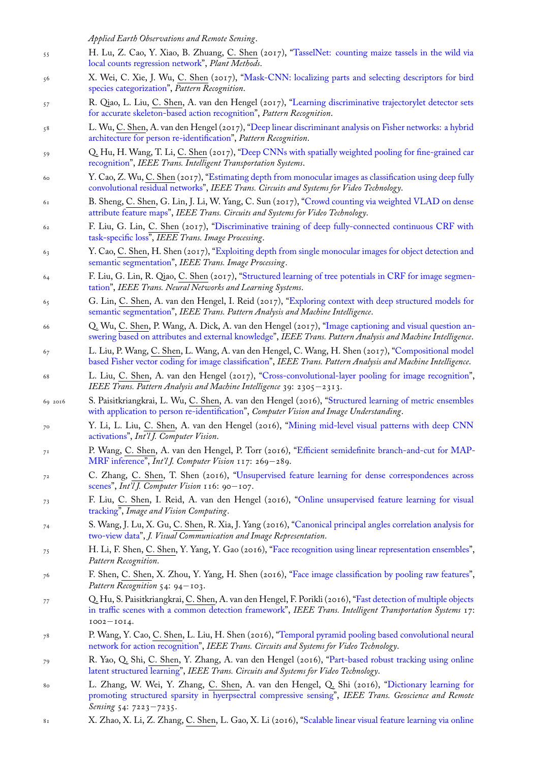- 55 H. Lu, Z. Cao, Y. Xiao, B. Zhuang, C. Shen (2017), "TasselNet: counting maize tassels in the wild via local counts regression network", *Plant Methods*.
- 56 X. Wei, C. Xie, J. Wu, C. Shen (2017), "Mask-CNN: localizing parts and selecting descriptors for bird species categorization", *Pattern Recognition*.
- 57 R. Qiao, L. Liu, C. Shen, A. van den Hengel (2017),"[Learning discriminative trajectorylet detector sets](http://www.google.com/search?lr=&ie=UTF-8&oe=UTF-8&q=TasselNet:+Counting+maize+tassels+in+the+wild+via+local+counts+regression+network+Lu,+Hao+and+Cao,+Zhiguo+and+Xiao,+Yang+and+Zhuang,+Bohan+and+Shen,+Chunhua) [for accurate skeleton-based actio](http://www.google.com/search?lr=&ie=UTF-8&oe=UTF-8&q=TasselNet:+Counting+maize+tassels+in+the+wild+via+local+counts+regression+network+Lu,+Hao+and+Cao,+Zhiguo+and+Xiao,+Yang+and+Zhuang,+Bohan+and+Shen,+Chunhua)n recognition", *Pattern Recognition*.
- 58 L. Wu, C. Shen, A. van den Hengel (2017)[, "Deep linear discriminant analysis on Fisher networks: a hybrid](http://www.google.com/search?lr=&ie=UTF-8&oe=UTF-8&q=Mask-CNN:+Localizing+parts+and+selecting+descriptors+for+bird+species+categorization+Wei,+Xiu-Shen+and+Xie,+Chen-Wei+and+Wu,+Jianxin+and+Shen,+Chunhua) [architecture for person](http://www.google.com/search?lr=&ie=UTF-8&oe=UTF-8&q=Mask-CNN:+Localizing+parts+and+selecting+descriptors+for+bird+species+categorization+Wei,+Xiu-Shen+and+Xie,+Chen-Wei+and+Wu,+Jianxin+and+Shen,+Chunhua) re-identification", *Pattern Recognition*.
- 59 Q. Hu, H. Wang, T. Li, C. Shen (2017), "Deep CNNs [with spatially weighted pooling for fine-grained car](http://www.google.com/search?lr=&ie=UTF-8&oe=UTF-8&q=Learning+discriminative+trajectorylet+detector+sets+for+accurate+skeleton-based+action+recognition+Qiao,+Ruizhi+and+Liu,+Lingqiao+and+Shen,+Chunhua+and+van+den+Hengel,+Anton) recognition", *[IEEE Trans. Intelligent Transport](http://www.google.com/search?lr=&ie=UTF-8&oe=UTF-8&q=Learning+discriminative+trajectorylet+detector+sets+for+accurate+skeleton-based+action+recognition+Qiao,+Ruizhi+and+Liu,+Lingqiao+and+Shen,+Chunhua+and+van+den+Hengel,+Anton)ation Systems*.
- 60 Y. Cao, Z. Wu, C. Shen (2017), "Estimating [depth from monocular images as classification using deep fully](http://www.google.com/search?lr=&ie=UTF-8&oe=UTF-8&q=Deep+Linear+Discriminant+Analysis+on+Fisher+Networks:+A+Hybrid+Architecture+for+Person+Re-identification+Wu,+Lin+and+Shen,+Chunhua+and+van+den+Hengel,+Anton) [convolutional residual networks",](http://www.google.com/search?lr=&ie=UTF-8&oe=UTF-8&q=Deep+Linear+Discriminant+Analysis+on+Fisher+Networks:+A+Hybrid+Architecture+for+Person+Re-identification+Wu,+Lin+and+Shen,+Chunhua+and+van+den+Hengel,+Anton) *IEEE Trans. Circuits and Systems for Video Technology*.
- 61 B. Sheng, C. Shen, G. Lin, J. Li, W. Yan[g, C. Sun \(2017\), "Crowd counting via weighted VLAD on dense](http://www.google.com/search?lr=&ie=UTF-8&oe=UTF-8&q=Deep+CNNs+with+Spatially+Weighted+Pooling+for+Fine-grained+Car+Recognition+Hu,+Qichang+and+Wang,+Huibing+and+Li,+Teng+and+Shen,+Chunhua) [attribute fea](http://www.google.com/search?lr=&ie=UTF-8&oe=UTF-8&q=Deep+CNNs+with+Spatially+Weighted+Pooling+for+Fine-grained+Car+Recognition+Hu,+Qichang+and+Wang,+Huibing+and+Li,+Teng+and+Shen,+Chunhua)ture maps", *IEEE Trans. Circuits and Systems for Video Technology*.
- <sup>62</sup> F. Liu, G. Lin, C. Shen (2017), ["Discriminative training of deep fully-connected continuous CRF with](http://www.google.com/search?lr=&ie=UTF-8&oe=UTF-8&q=Estimating+Depth+from+Monocular+Images+as+Classification+Using+Deep+Fully+Convolutional+Residual+Networks+Cao,+Yuanzhouhan+and+Wu,+Zifeng+and+Shen,+Chunhua) [task-specific loss",](http://www.google.com/search?lr=&ie=UTF-8&oe=UTF-8&q=Estimating+Depth+from+Monocular+Images+as+Classification+Using+Deep+Fully+Convolutional+Residual+Networks+Cao,+Yuanzhouhan+and+Wu,+Zifeng+and+Shen,+Chunhua) *IEEE Trans. Image Processing*.
- 63 Y. Cao, C. Shen, H. Shen (2017), "Exploiting depth from si[ngle monocular images for object detection and](http://www.google.com/search?lr=&ie=UTF-8&oe=UTF-8&q=Crowd+Counting+via+Weighted+VLAD+on+Dense+Attribute+Feature+Maps+Sheng,+Biyun+and+Shen,+Chunhua+and+Lin,+Guosheng+and+Li,+Jun+and+Yang,+Wankou+and+Sun,+Changyin) [semantic segmentation](http://www.google.com/search?lr=&ie=UTF-8&oe=UTF-8&q=Crowd+Counting+via+Weighted+VLAD+on+Dense+Attribute+Feature+Maps+Sheng,+Biyun+and+Shen,+Chunhua+and+Lin,+Guosheng+and+Li,+Jun+and+Yang,+Wankou+and+Sun,+Changyin)", *IEEE Trans. Image Processing*.
- 64 [F. Liu, G. Lin, R](http://www.google.com/search?lr=&ie=UTF-8&oe=UTF-8&q=Discriminative+Training+of+Deep+Fully-connected+Continuous+CRF+with+Task-specific+Loss+Liu,+Fayao+and+Lin,+Guosheng+and+Shen,+Chunhua). Qiao, C. Shen([2017\), "Structured learning of tree potentials in CRF for image segmen](http://www.google.com/search?lr=&ie=UTF-8&oe=UTF-8&q=Discriminative+Training+of+Deep+Fully-connected+Continuous+CRF+with+Task-specific+Loss+Liu,+Fayao+and+Lin,+Guosheng+and+Shen,+Chunhua)tation", *IEEE Trans. Neural Networks and Learning Systems*.
- <sup>65</sup> G. Lin, C. Shen, A. van den Hen[gel, I. Reid \(2017\), "Exploring context with deep structured models for](http://www.google.com/search?lr=&ie=UTF-8&oe=UTF-8&q=Exploiting+Depth+from+Single+Monocular+Images+for+Object+Detection+and+Semantic+Segmentation+Cao,+Yuanzhouhan+and+Shen,+Chunhua+and+Shen,+Heng+Tao) [semantic segmentation](http://www.google.com/search?lr=&ie=UTF-8&oe=UTF-8&q=Exploiting+Depth+from+Single+Monocular+Images+for+Object+Detection+and+Semantic+Segmentation+Cao,+Yuanzhouhan+and+Shen,+Chunhua+and+Shen,+Heng+Tao)", *IEEE Trans. Pattern Analysis and Machine Intelligence*.
- <sup>66</sup> Q. Wu, C. Shen, P. Wang, A. Dick, A. va[n den Hengel \(2017\), "Image captioning and visual question an](http://www.google.com/search?lr=&ie=UTF-8&oe=UTF-8&q=Structured+Learning+of+Tree+Potentials+in+CRF+for+Image+Segmentation+Liu,+Fayao+and+Lin,+Guosheng+and+Qiao,+Ruizhi+and+Shen,+Chunhua)[swerin](http://www.google.com/search?lr=&ie=UTF-8&oe=UTF-8&q=Structured+Learning+of+Tree+Potentials+in+CRF+for+Image+Segmentation+Liu,+Fayao+and+Lin,+Guosheng+and+Qiao,+Ruizhi+and+Shen,+Chunhua)g based on attributes and external knowledge", *IEEE Trans. Pattern Analysis and Machine Intelligence*.
- <sup>67</sup> L. Liu, P. Wang, C. Shen, L. Wang, A. van den Henge[l, C. Wang, H. Shen \(2017\), "Compositional model](http://www.google.com/search?lr=&ie=UTF-8&oe=UTF-8&q=Exploring+Context+with+Deep+Structured+models+for+Semantic+Segmentation+Lin,+Guosheng+and+Shen,+Chunhua+and+van+den+Hengel,+Anton+and+Reid,+Ian) [based Fisher vector cod](http://www.google.com/search?lr=&ie=UTF-8&oe=UTF-8&q=Exploring+Context+with+Deep+Structured+models+for+Semantic+Segmentation+Lin,+Guosheng+and+Shen,+Chunhua+and+van+den+Hengel,+Anton+and+Reid,+Ian)ing for image classification", *IEEE Trans. Pattern Analysis and Machine Intelligence*.
- <sup>68</sup> L. Liu, C. Shen, A. van den Hengel (2017), "Cross-convolutio[nal-layer pooling for image recognition",](http://www.google.com/search?lr=&ie=UTF-8&oe=UTF-8&q=Image+Captioning+and+Visual+Question+Answering+Based+on+Attributes+and+External+Knowledge+Wu,+Qi+and+Shen,+Chunhua+and+Wang,+Peng+and+Dick,+Anthony+and+van+den+Hengel,+Anton) *[IEEE Trans. Pattern Analysis and Machine Intelligen](http://www.google.com/search?lr=&ie=UTF-8&oe=UTF-8&q=Image+Captioning+and+Visual+Question+Answering+Based+on+Attributes+and+External+Knowledge+Wu,+Qi+and+Shen,+Chunhua+and+Wang,+Peng+and+Dick,+Anthony+and+van+den+Hengel,+Anton)ce* 39: 2305*−*2313.
- 69 2016 S. Paisitkriangkrai, L. Wu, C. Shen, A. van den Hengel (2016), "Structured learnin[g of metric ensembles](http://www.google.com/search?lr=&ie=UTF-8&oe=UTF-8&q=Compositional+Model+based+Fisher+Vector+Coding+for+Image+Classification+Liu,+Lingqiao+and+Wang,+Peng+and+Shen,+Chunhua+and+Wang,+Lei+and+van+den+Hengel,+Anton+and+Wang,+Chao+and+Shen,+Heng+Tao) [with application to person re-identification",](http://www.google.com/search?lr=&ie=UTF-8&oe=UTF-8&q=Compositional+Model+based+Fisher+Vector+Coding+for+Image+Classification+Liu,+Lingqiao+and+Wang,+Peng+and+Shen,+Chunhua+and+Wang,+Lei+and+van+den+Hengel,+Anton+and+Wang,+Chao+and+Shen,+Heng+Tao) *Computer Vision and Image Understanding*.
- <sup>70</sup> Y. Li, L. Liu, C. Shen, A. van den Hengel ([2016\), "Mining mid-level visual patterns with deep CNN](http://www.google.com/search?lr=&ie=UTF-8&oe=UTF-8&q=Cross-convolutional-layer+Pooling+for+Image+Recognition+Liu,+Lingqiao+and+Shen,+Chunhua+and+van+den+Hengel,+Anton) activations", *Int'l J. Computer Vision*.
- <sup>71</sup> P. Wang, C. Shen, A. van den Hengel, P. Torr (2016), "Efficient [semidefinite branch-and-cut for MAP-](http://www.google.com/search?lr=&ie=UTF-8&oe=UTF-8&q=Structured+learning+of+metric+ensembles+with+application+to+person+re-identification+Paisitkriangkrai,+Sakrapee+and+Wu,+Lin+and+Shen,+Chunhua+and+van+den+Hengel,+Anton)MRF inference", *[Int'l J. Computer Vision](http://www.google.com/search?lr=&ie=UTF-8&oe=UTF-8&q=Structured+learning+of+metric+ensembles+with+application+to+person+re-identification+Paisitkriangkrai,+Sakrapee+and+Wu,+Lin+and+Shen,+Chunhua+and+van+den+Hengel,+Anton)* 117: 269*−*289.
- <sup>72</sup> C. Zhang, C. Shen, T. Shen (2016), "Unsupervised [feature learning for dense correspondences across](http://www.google.com/search?lr=&ie=UTF-8&oe=UTF-8&q=Mining+Mid-level+Visual+Patterns+with+Deep+CNN+Activations+Li,+Yao+and+Liu,+Lingqiao+and+Shen,+Chunhua+and+van+den+Hengel,+Anton) [scenes",](http://www.google.com/search?lr=&ie=UTF-8&oe=UTF-8&q=Mining+Mid-level+Visual+Patterns+with+Deep+CNN+Activations+Li,+Yao+and+Liu,+Lingqiao+and+Shen,+Chunhua+and+van+den+Hengel,+Anton) *Int'l J. Computer Vision* 116: 90*−*107.
- <sup>73</sup> F. Liu, C. Shen, I. Reid, A. van den Hengel (2016), ["Online unsupervised feature learning for visual](http://www.google.com/search?lr=&ie=UTF-8&oe=UTF-8&q=Efficient+Semidefinite+Branch-and-Cut+for+MAP-MRF+Inference+Wang,+Peng+and+Shen,+Chunhua+and+van+den+Hengel,+Anton+and+Torr,+Philip) [tracking",](http://www.google.com/search?lr=&ie=UTF-8&oe=UTF-8&q=Efficient+Semidefinite+Branch-and-Cut+for+MAP-MRF+Inference+Wang,+Peng+and+Shen,+Chunhua+and+van+den+Hengel,+Anton+and+Torr,+Philip) *Image and Vision Computing*.
- <sup>74</sup> S. Wang, J. Lu, X. Gu, C. Shen, R. Xia, [J. Yang \(2016\), "Canonical principal angles correlation analysis for](http://www.google.com/search?lr=&ie=UTF-8&oe=UTF-8&q=Unsupervised+Feature+Learning+for+Dense+Correspondences+across+Scenes+Zhang,+Chao+and+Shen,+Chunhua+and+Shen,+Tingzhi) [two-vi](http://www.google.com/search?lr=&ie=UTF-8&oe=UTF-8&q=Unsupervised+Feature+Learning+for+Dense+Correspondences+across+Scenes+Zhang,+Chao+and+Shen,+Chunhua+and+Shen,+Tingzhi)ew data", *J. Visual Communication and Image Representation*.
- <sup>75</sup> H. Li, F. Shen, C. Shen, Y. Yang, Y. Gao (2016), "Face r[ecognition using linear representation ensembles",](http://www.google.com/search?lr=&ie=UTF-8&oe=UTF-8&q=Online+Unsupervised+Feature+Learning+for+Visual+Tracking+Liu,+Fayao+and+Shen,+Chunhua+and+Reid,+Ian+and+van+den+Hengel,+Anton) *[Pattern R](http://www.google.com/search?lr=&ie=UTF-8&oe=UTF-8&q=Online+Unsupervised+Feature+Learning+for+Visual+Tracking+Liu,+Fayao+and+Shen,+Chunhua+and+Reid,+Ian+and+van+den+Hengel,+Anton)ecognition*.
- <sup>76</sup> F. Shen, C. Shen, X. Zhou, Y. Yang, H. Shen (2016), "[Face image classification by pooling raw features",](http://www.google.com/search?lr=&ie=UTF-8&oe=UTF-8&q=Canonical+principal+angles+correlation+analysis+for+two-view+data+Wang,+Sheng+and+Lu,+Jianfeng+and+Gu,+Xingjian+and+Shen,+Chunhua+and+Xia,+Rui+and+Yang,+Jingyu) *[Pattern Recogn](http://www.google.com/search?lr=&ie=UTF-8&oe=UTF-8&q=Canonical+principal+angles+correlation+analysis+for+two-view+data+Wang,+Sheng+and+Lu,+Jianfeng+and+Gu,+Xingjian+and+Shen,+Chunhua+and+Xia,+Rui+and+Yang,+Jingyu)ition* 54: 94*−*103.
- <sup>77</sup> Q. Hu, S. Paisitkriangkrai, C. Shen, A. van den He[ngel, F. Porikli \(2016\), "Fast detection of multiple object](http://www.google.com/search?lr=&ie=UTF-8&oe=UTF-8&q=Face+Recognition+Using+Linear+Representation+Ensembles+Li,+Hanxi+and+Shen,+Fumin+and+Shen,+Chunhua+and+Yang,+Yang+and+Gao,+Yongsheng)s in traffic scenes with a common detection framework", *IEEE Trans. Intelligent Transportation Systems* 17: 1002*−*1014.
- <sup>78</sup> P. Wang, Y. Cao, C. Shen, L. Liu, H. Shen (2016), "Temporal pyramid pooling based convolutional neural network for action recognition", *IEEE Trans. Circuits and Systems for Vide[o Technology](http://www.google.com/search?lr=&ie=UTF-8&oe=UTF-8&q=Fast+Detection+of+Multiple+Objects+in+Traffic+Scenes+with+a+Common+Detection+Framework+Hu,+Qichang+and+Paisitkriangkrai,+Sakrapee+and+Shen,+Chunhua+and+van+den+Hengel,+Anton+and+Porikli,+Fatih)*.
- <sup>79</sup> R. Yao, Q. Shi, C. [Shen, Y. Zhang, A. van den Heng](http://www.google.com/search?lr=&ie=UTF-8&oe=UTF-8&q=Fast+Detection+of+Multiple+Objects+in+Traffic+Scenes+with+a+Common+Detection+Framework+Hu,+Qichang+and+Paisitkriangkrai,+Sakrapee+and+Shen,+Chunhua+and+van+den+Hengel,+Anton+and+Porikli,+Fatih)el (2016), "Part-based robust tracking using online latent structured learning", *IEEE Trans. Circuits and Systems for Video Technology*.
- <sup>80</sup> L. Zhang, W. Wei, Y. Zhang, C. Shen, A. van [den Hengel, Q. Shi \(2016\), "Dictionary learning for](http://www.google.com/search?lr=&ie=UTF-8&oe=UTF-8&q=Temporal+Pyramid+Pooling+Based+Convolutional+Neural+Network+for+Action+Recognition+Wang,+Peng+and+Cao,+Yuanzhouhan+and+Shen,+Chunhua+and+Liu,+Lingqiao+and+Shen,+Heng+Tao) [promoting structured sparsity](http://www.google.com/search?lr=&ie=UTF-8&oe=UTF-8&q=Temporal+Pyramid+Pooling+Based+Convolutional+Neural+Network+for+Action+Recognition+Wang,+Peng+and+Cao,+Yuanzhouhan+and+Shen,+Chunhua+and+Liu,+Lingqiao+and+Shen,+Heng+Tao) in hyerpsectral compressive sensing", *IEEE Trans. Geoscience and Remote Sensing* 54: 7223*−*7235.
- <sup>81</sup> [X. Zhao, X. Li, Z. Zhang](http://www.google.com/search?lr=&ie=UTF-8&oe=UTF-8&q=Part-based+robust+tracking+using+online+latent+structured+learning+Yao,+Rui+and+Shi,+Qinfeng+and+Shen,+Chunhua+and+Zhang,+Yanning+and+van+den+Hengel,+Anton), C. Shen, L. Gao, X. Li (2016), "Scalable linear visual feature learning via online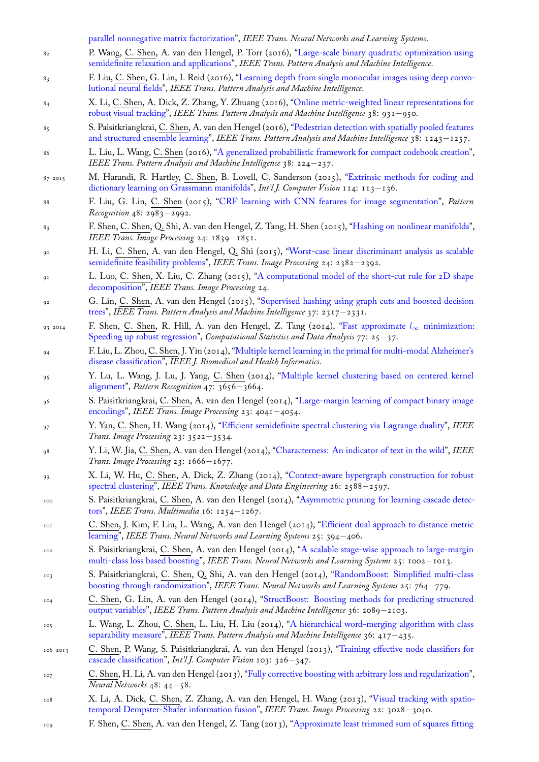- 82 P. Wang, C. Shen, A. van den Hengel, P. Torr (2016), "Large-scale binary quadratic optimization using semidefinite relaxation and applications", *IEEE Trans. Pattern Analysis and Machine Intelligence*.
- 83 F. Liu, C. Shen, G. Lin, I. Reid (2016), "Learning depth from single monocular images using deep convo[lutional neural fields",](http://www.google.com/search?lr=&ie=UTF-8&oe=UTF-8&q=Scalable+Linear+Visual+Feature+Learning+via+Online+Parallel+Nonnegative+Matrix+Factorization+Zhao,+Xueyi+and+Li,+Xi+and+Zhang,+Zhongfei+and+Shen,+Chunhua+and+Gao,+Lixin+and+Li,+Xuelong) *IEEE Trans. Pattern Analysis and Machine Intelligence*.
- 84 X. Li, C. Shen, A. Dick, Z. Zhang, Y. Zhuang (2016), "[Online metric-weighted linear representations for](http://www.google.com/search?lr=&ie=UTF-8&oe=UTF-8&q=Large-scale+Binary+Quadratic+Optimization+Using+Semidefinite+Relaxation+and+Applications+Wang,+Peng+and+Shen,+Chunhua+and+van+den+Hengel,+Anton+and+Torr,+Philip+H.+S.) [robust visual tracking",](http://www.google.com/search?lr=&ie=UTF-8&oe=UTF-8&q=Large-scale+Binary+Quadratic+Optimization+Using+Semidefinite+Relaxation+and+Applications+Wang,+Peng+and+Shen,+Chunhua+and+van+den+Hengel,+Anton+and+Torr,+Philip+H.+S.) *IEEE Trans. Pattern Analysis and Machine Intelligence* 38: 931*−*950.
- 85 S. Paisitkriangkrai, C. Shen, A. van den [Hengel \(2016\), "Pedestrian detection with spatially pooled features](http://www.google.com/search?lr=&ie=UTF-8&oe=UTF-8&q=Learning+Depth+from+Single+Monocular+Images+Using+Deep+Convolutional+Neural+Fields+Liu,+Fayao+and+Shen,+Chunhua+and+Lin,+Guosheng+and+Reid,+Ian) [and structured ensem](http://www.google.com/search?lr=&ie=UTF-8&oe=UTF-8&q=Learning+Depth+from+Single+Monocular+Images+Using+Deep+Convolutional+Neural+Fields+Liu,+Fayao+and+Shen,+Chunhua+and+Lin,+Guosheng+and+Reid,+Ian)ble learning", *IEEE Trans. Pattern Analysis and Machine Intelligence* 38: 1243*−*1257.
- 86 L. Liu, L. Wang, C. Shen (2016), "A generalized proba[bilistic framework for compact codebook creation",](http://www.google.com/search?lr=&ie=UTF-8&oe=UTF-8&q=Online+Metric-Weighted+Linear+Representations+for+Robust+Visual+Tracking+Li,+Xi+and+Shen,+Chunhua+and+Dick,+Anthony+and+Zhang,+Zhongfei+and+Zhuang,+Yueting) *[IEEE Trans. Pattern A](http://www.google.com/search?lr=&ie=UTF-8&oe=UTF-8&q=Online+Metric-Weighted+Linear+Representations+for+Robust+Visual+Tracking+Li,+Xi+and+Shen,+Chunhua+and+Dick,+Anthony+and+Zhang,+Zhongfei+and+Zhuang,+Yueting)nalysis and Machine Intelligence* 38: 224*−*237.
- 87 2015 M. Harandi, R. Hartley, C. Shen, B. Lovell, C. Sand[erson \(2015\), "Extrinsic methods for coding and](http://www.google.com/search?lr=&ie=UTF-8&oe=UTF-8&q=Pedestrian+Detection+with+Spatially+Pooled+Features+and+Structured+Ensemble+Learning+Paisitkriangkrai,+Sakrapee+and+Shen,+Chunhua+and+van+den+Hengel,+Anton) [dictionary learning on Grassmann](http://www.google.com/search?lr=&ie=UTF-8&oe=UTF-8&q=Pedestrian+Detection+with+Spatially+Pooled+Features+and+Structured+Ensemble+Learning+Paisitkriangkrai,+Sakrapee+and+Shen,+Chunhua+and+van+den+Hengel,+Anton) manifolds", *Int'l J. Computer Vision* 114: 113*−*136.
- 88 F. Liu, G. Lin, C. Shen (2015), ["CRF learning with CNN features for image segmentation",](http://www.google.com/search?lr=&ie=UTF-8&oe=UTF-8&q=A+Generalized+Probabilistic+Framework+for+Compact+Codebook+Creation+Liu,+Lingqiao+and+Wang,+Lei+and+Shen,+Chunhua) *Pattern Recognition* 48: 2983*−*2992.
- 89 F. Shen, C. Shen, Q. Shi, A. van den Hengel, Z. Tang, H. Shen (2015), ["Hashing on nonlinear manifolds",](http://www.google.com/search?lr=&ie=UTF-8&oe=UTF-8&q=Extrinsic+Methods+for+Coding+and+Dictionary+Learning+on+Grassmann+Manifolds+Harandi,+Mehrtash+and+Hartley,+Richard+and+Shen,+Chunhua+and+Lovell,+Brian+and+Sanderson,+Conrad) *[IEEE Trans. Image Processing](http://www.google.com/search?lr=&ie=UTF-8&oe=UTF-8&q=Extrinsic+Methods+for+Coding+and+Dictionary+Learning+on+Grassmann+Manifolds+Harandi,+Mehrtash+and+Hartley,+Richard+and+Shen,+Chunhua+and+Lovell,+Brian+and+Sanderson,+Conrad)* 24: 1839*−*1851.
- <sup>90</sup> H. Li, C. Shen, A. van den Heng[el, Q. Shi \(2015\), "Worst-case linear discriminant analysis a](http://www.google.com/search?lr=&ie=UTF-8&oe=UTF-8&q=CRF+Learning+with+CNN+Features+for+Image+Segmentation+Liu,+Fayao+and+Lin,+Guosheng+and+Shen,+Chunhua)s scalable semidefinite feasibility problems", *IEEE Trans. Image Processing* 24: 2382*−*2392.
- 91 L. Luo, C. Shen, X. Liu, C. Zhang (2015), "A computational model o[f the short-cut rule for 2D shap](http://www.google.com/search?lr=&ie=UTF-8&oe=UTF-8&q=Hashing+on+Nonlinear+Manifolds+Shen,+Fumin+and+Shen,+Chunhua+and+Shi,+Qinfeng+and+van+den+Hengel,+Anton+and+Tang,+Zhenmin+and+Shen,+Heng+Tao)e decomposition", *IEEE Trans. Image Processing* 24.
- <sup>92</sup> G. Lin, C. Shen, A. van den Hengel (2015), "Supervi[sed hashing using graph cuts and boosted decision](http://www.google.com/search?lr=&ie=UTF-8&oe=UTF-8&q=Worst-Case+Linear+Discriminant+Analysis+as+Scalable+Semidefinite+Feasibility+Problems+Li,+Hui+and+Shen,+Chunhua+and+van+den+Hengel,+Anton+and+Shi,+Qinfeng) trees", *[IEEE Trans. Pattern Anal](http://www.google.com/search?lr=&ie=UTF-8&oe=UTF-8&q=Worst-Case+Linear+Discriminant+Analysis+as+Scalable+Semidefinite+Feasibility+Problems+Li,+Hui+and+Shen,+Chunhua+and+van+den+Hengel,+Anton+and+Shi,+Qinfeng)ysis and Machine Intelligence* 37: 2317*−*2331.
- 93 2014 F. Shen, C. Shen, R. Hill, A. van den He[ngel, Z. Tang \(2014\), "Fast approximate](http://www.google.com/search?lr=&ie=UTF-8&oe=UTF-8&q=A+Computational+Model+of+the+Short-Cut+Rule+for+2D+Shape+Decomposition+Luo,+Lei+and+Shen,+Chunhua+and+Liu,+Xinwang+and+Zhang,+Chunyuan) *l<sup>∞</sup>* minimization: [Speeding up ro](http://www.google.com/search?lr=&ie=UTF-8&oe=UTF-8&q=A+Computational+Model+of+the+Short-Cut+Rule+for+2D+Shape+Decomposition+Luo,+Lei+and+Shen,+Chunhua+and+Liu,+Xinwang+and+Zhang,+Chunyuan)bust regression", *Computational Statistics and Data Analysis* 77: 25*−*37.
- <sup>94</sup> F. Liu, L. Zhou, C. Shen, J. Yin (2014), "Multi[ple kernel learning in the primal for multi-modal Alzheimer's](http://www.google.com/search?lr=&ie=UTF-8&oe=UTF-8&q=Supervised+Hashing+Using+Graph+Cuts+and+Boosted+Decision+Trees+Lin,+Guosheng+and+Shen,+Chunhua+and+van+den+Hengel,+Anton) [disea](http://www.google.com/search?lr=&ie=UTF-8&oe=UTF-8&q=Supervised+Hashing+Using+Graph+Cuts+and+Boosted+Decision+Trees+Lin,+Guosheng+and+Shen,+Chunhua+and+van+den+Hengel,+Anton)se classification", *IEEE J. Biomedical and Health Informatics*.
- <sup>95</sup> [Y. Lu, L. Wang, J. Lu, J. Ya](http://www.google.com/search?lr=&ie=UTF-8&oe=UTF-8&q=Fast+approximate+$L_\infty $+minimization:+Speeding+up+robust+regression+Shen,+Fumin+and+Shen,+Chunhua+and+Hill,+Rhys+and+van+den+Hengel,+Anton+and+Tang,+Zhenmin)ng, C. Shen (2014), "Multiple kernel [clustering based on centered kernel](http://www.google.com/search?lr=&ie=UTF-8&oe=UTF-8&q=Fast+approximate+$L_\infty $+minimization:+Speeding+up+robust+regression+Shen,+Fumin+and+Shen,+Chunhua+and+Hill,+Rhys+and+van+den+Hengel,+Anton+and+Tang,+Zhenmin) alignment", *Pattern Recognition* 47: 3656*−*3664.
- <sup>96</sup> S. Paisitkriangkrai, C. Shen, A. van den [Hengel \(2014\), "Large-margin learning of compact binary image](http://www.google.com/search?lr=&ie=UTF-8&oe=UTF-8&q=Multiple+Kernel+Learning+in+the+Primal+for+Multi-modal+Alzheimer) [encodings",](http://www.google.com/search?lr=&ie=UTF-8&oe=UTF-8&q=Multiple+Kernel+Learning+in+the+Primal+for+Multi-modal+Alzheimer) *IEEE Trans. Image Processing* 23: 4041*−*4054.
- <sup>97</sup> Y. Yan, C. Shen, H. Wang (2014), "Efficient semide[finite spectral clustering via Lagrange duality",](http://www.google.com/search?lr=&ie=UTF-8&oe=UTF-8&q=Multiple+kernel+clustering+based+on+centered+kernel+alignment+Lu,+Yanting+and+Wang,+Liantao+and+Lu,+Jianfeng+and+Yang,+Jingyu+and+Shen,+Chunhua) *IEEE [Trans. Ima](http://www.google.com/search?lr=&ie=UTF-8&oe=UTF-8&q=Multiple+kernel+clustering+based+on+centered+kernel+alignment+Lu,+Yanting+and+Wang,+Liantao+and+Lu,+Jianfeng+and+Yang,+Jingyu+and+Shen,+Chunhua)ge Processing* 23: 3522*−*3534.
- <sup>98</sup> Y. Li, W. Jia, C. Shen, A. van den Hengel (2014), "Chara[cterness: An indicator of text in the wild",](http://www.google.com/search?lr=&ie=UTF-8&oe=UTF-8&q=Large-margin+Learning+of+Compact+Binary+Image+Encodings+Paisitkriangkrai,+Sakrapee+and+Shen,+Chunhua+and+van+den+Hengel,+Anton) *IEEE [Trans. Ima](http://www.google.com/search?lr=&ie=UTF-8&oe=UTF-8&q=Large-margin+Learning+of+Compact+Binary+Image+Encodings+Paisitkriangkrai,+Sakrapee+and+Shen,+Chunhua+and+van+den+Hengel,+Anton)ge Processing* 23: 1666*−*1677.
- <sup>99</sup> X. Li, W. Hu, C. Shen, A. Dick, [Z. Zhang \(2014\), "Context-aware hypergraph construction fo](http://www.google.com/search?lr=&ie=UTF-8&oe=UTF-8&q=Efficient+Semidefinite+Spectral+Clustering+via+Lagrange+Duality+Yan,+Yan+and+Shen,+Chunhua+and+Wang,+Hanzi)r robust spectral clustering", *IEEE Trans. Knowledge and Data Engineering* 26: 2588*−*2597.
- <sup>100</sup> S. Paisitkriangkrai, C. Shen, A. van den Hengel (2[014\), "Asymmetric pruning for learning cascad](http://www.google.com/search?lr=&ie=UTF-8&oe=UTF-8&q=Characterness:+An+Indicator+of+Text+in+the+Wild+Li,+Yao+and+Jia,+Wenjing+and+Shen,+Chunhua+and+van+den+Hengel,+Anton)e detectors", *IEEE Trans. Multimedia* 16: 1254*−*1267.
- <sup>101</sup> C. Shen, J. Kim, F. Liu, L. Wang, A. van den Hengel [\(2014\), "Efficient dual approach to distance metric](http://www.google.com/search?lr=&ie=UTF-8&oe=UTF-8&q=Context-aware+hypergraph+construction+for+robust+spectral+clustering+Li,+Xi+and+Hu,+Weiming+and+Shen,+Chunhua+and+Dick,+Anthony+and+Zhang,+Zhongfei) [learning",](http://www.google.com/search?lr=&ie=UTF-8&oe=UTF-8&q=Context-aware+hypergraph+construction+for+robust+spectral+clustering+Li,+Xi+and+Hu,+Weiming+and+Shen,+Chunhua+and+Dick,+Anthony+and+Zhang,+Zhongfei) *IEEE Trans. Neural Networks and Learning Systems* 25: 394*−*406.
- <sup>102</sup> S. Paisitkriangkrai, C. Shen, A. van den Hengel (2014), ["A scalable stage-wise approach to large-margin](http://www.google.com/search?lr=&ie=UTF-8&oe=UTF-8&q=Asymmetric+pruning+for+learning+cascade+detectors+Paisitkriangkrai,+Sakrapee+and+Shen,+Chunhua+and+van+den+Hengel,+Anton) [mul](http://www.google.com/search?lr=&ie=UTF-8&oe=UTF-8&q=Asymmetric+pruning+for+learning+cascade+detectors+Paisitkriangkrai,+Sakrapee+and+Shen,+Chunhua+and+van+den+Hengel,+Anton)ti-class loss based boosting", *IEEE Trans. Neural Networks and Learning Systems* 25: 1002*−*1013.
- <sup>103</sup> S. Paisitkriangkrai, C. Shen, Q. Shi, A. van den Hengel (201[4\), "RandomBoost: Simplified multi-class](http://www.google.com/search?lr=&ie=UTF-8&oe=UTF-8&q=Efficient+Dual+Approach+to+Distance+Metric+Learning+Shen,+Chunhua+and+Kim,+Junae+and+Liu,+Fayao+and+Wang,+Lei+and+van+den+Hengel,+Anton) [boosting](http://www.google.com/search?lr=&ie=UTF-8&oe=UTF-8&q=Efficient+Dual+Approach+to+Distance+Metric+Learning+Shen,+Chunhua+and+Kim,+Junae+and+Liu,+Fayao+and+Wang,+Lei+and+van+den+Hengel,+Anton) through randomization", *IEEE Trans. Neural Networks and Learning Systems* 25: 764*−*779.
- <sup>104</sup> C. [Shen, G. Lin, A. van den](http://www.google.com/search?lr=&ie=UTF-8&oe=UTF-8&q=A+scalable+stage-wise+approach+to+large-margin+multi-class+loss+based+boosting+Paisitkriangkrai,+Sakrapee+and+Shen,+Chunhua+and+van+den+Hengel,+Anton) Hengel (2014), "StructBo[ost: Boosting methods for predicting structured](http://www.google.com/search?lr=&ie=UTF-8&oe=UTF-8&q=A+scalable+stage-wise+approach+to+large-margin+multi-class+loss+based+boosting+Paisitkriangkrai,+Sakrapee+and+Shen,+Chunhua+and+van+den+Hengel,+Anton) output variables", *IEEE Trans. Pattern Analysis and Machine Intelligence* 36: 2089*−*2103.
- <sup>105</sup> L. Wang, L. Zhou, C. Shen, L. Liu, H. Liu (2014), "A hierarchi[cal word-merging algorithm with class](http://www.google.com/search?lr=&ie=UTF-8&oe=UTF-8&q=RandomBoost:+Simplified+Multi-class+Boosting+through+Randomization+Paisitkriangkrai,+Sakrapee+and+Shen,+Chunhua+and+Shi,+Qinfeng+and+van+den+Hengel,+Anton) [separability measure",](http://www.google.com/search?lr=&ie=UTF-8&oe=UTF-8&q=RandomBoost:+Simplified+Multi-class+Boosting+through+Randomization+Paisitkriangkrai,+Sakrapee+and+Shen,+Chunhua+and+Shi,+Qinfeng+and+van+den+Hengel,+Anton) *IEEE Trans. Pattern Analysis and Machine Intelligence* 36: 417*−*435.
- 106 2013 C. Shen, P. Wang, S. Paisitkriangkrai, A. van [den Hengel \(2013\), "Training effective node classifiers for](http://www.google.com/search?lr=&ie=UTF-8&oe=UTF-8&q=StructBoost:+Boosting+Methods+for+Predicting+Structured+Output+Variables+Shen,+Chunhua+and+Lin,+Guosheng+and+van+den+Hengel,+Anton) [cascade classifica](http://www.google.com/search?lr=&ie=UTF-8&oe=UTF-8&q=StructBoost:+Boosting+Methods+for+Predicting+Structured+Output+Variables+Shen,+Chunhua+and+Lin,+Guosheng+and+van+den+Hengel,+Anton)tion", *Int'l J. Computer Vision* 103: 326*−*347.
- <sup>107</sup> C. Shen, H. Li, A. van den Hengel (2013), "Fully corre[ctive boosting with arbitrary loss and regularization",](http://www.google.com/search?lr=&ie=UTF-8&oe=UTF-8&q=A+Hierarchical+Word-merging+Algorithm+with+Class+Separability+Measure+Wang,+Lei+and+Zhou,+Luping+and+Shen,+Chunhua+and+Liu,+Lingqiao+and+Liu,+Huan) *[Neural Networks](http://www.google.com/search?lr=&ie=UTF-8&oe=UTF-8&q=A+Hierarchical+Word-merging+Algorithm+with+Class+Separability+Measure+Wang,+Lei+and+Zhou,+Luping+and+Shen,+Chunhua+and+Liu,+Lingqiao+and+Liu,+Huan)* 48: 44*−*58.
- <sup>108</sup> X. Li, A. Dick, C. Shen, Z. Zhang, A. van den Hengel, H. Wang [\(2013\), "Visual tracking with spatio](http://www.google.com/search?lr=&ie=UTF-8&oe=UTF-8&q=Training+Effective+Node+Classifiers+for+Cascade+Classification+Shen,+Chunhua+and+Wang,+Peng+and+Paisitkriangkrai,+Sakrapee+and+van+den+Hengel,+Anton)[temporal Dempster-S](http://www.google.com/search?lr=&ie=UTF-8&oe=UTF-8&q=Training+Effective+Node+Classifiers+for+Cascade+Classification+Shen,+Chunhua+and+Wang,+Peng+and+Paisitkriangkrai,+Sakrapee+and+van+den+Hengel,+Anton)hafer information fusion", *IEEE Trans. Image Processing* 22: 3028*−*3040.
- <sup>109</sup> F. Shen, C. Shen, A. van den Hengel, Z. T[ang \(2013\), "Approximate least trimmed sum of squares fittin](http://www.google.com/search?lr=&ie=UTF-8&oe=UTF-8&q=Fully+Corrective+Boosting+with+Arbitrary+Loss+and+Regularization+Shen,+Chunhua+and+Li,+Hanxi+and+van+den+Hengel,+Anton)g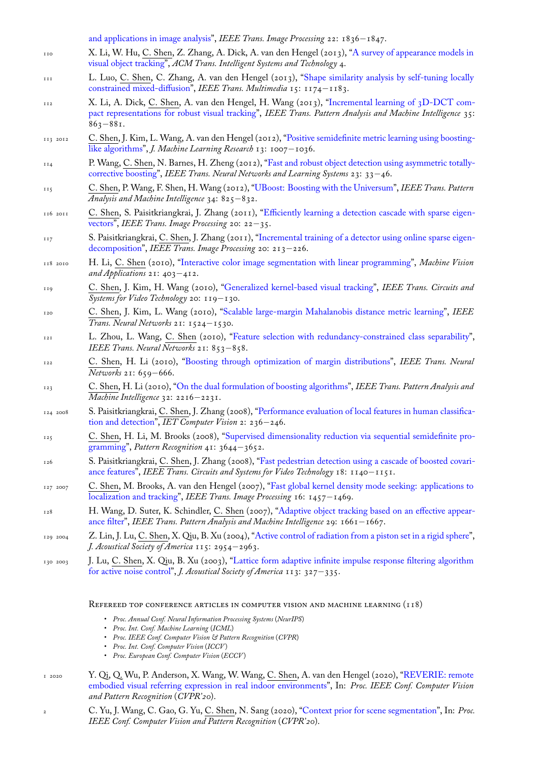- 110 X. Li, W. Hu, C. Shen, Z. Zhang, A. Dick, A. van den Hengel (2013), "A survey of appearance models in visual object tracking", *ACM Trans. Intelligent Systems and Technology* 4.
- 111 L. Luo, C. Shen, C. Zhang, A. van den Hengel (2013), "Shape similarity analysis by self-tuning locally [constrained mixed-diffusion",](http://www.google.com/search?lr=&ie=UTF-8&oe=UTF-8&q=Approximate+Least+Trimmed+Sum+of+Squares+Fitting+and+Applications+in+Image+Analysis+Shen,+Fumin+and+Shen,+Chunhua+and+van+den+Hengel,+Anton+and+Tang,+Zhenmin) *IEEE Trans. Multimedia* 15: 1174*−*1183.
- $112$  X. Li, A. Dick, C. Shen, A. van den Hengel, H. Wang (2013), "Incre[mental learning of 3D-DCT com](http://www.google.com/search?lr=&ie=UTF-8&oe=UTF-8&q=A+Survey+of+Appearance+Models+in+Visual+Object+Tracking+Li,+Xi+and+Hu,+Weiming+and+Shen,+Chunhua+and+Zhang,+Zhongfei+and+Dick,+Anthony+and+van+den+Hengel,+Anton)[pact representations f](http://www.google.com/search?lr=&ie=UTF-8&oe=UTF-8&q=A+Survey+of+Appearance+Models+in+Visual+Object+Tracking+Li,+Xi+and+Hu,+Weiming+and+Shen,+Chunhua+and+Zhang,+Zhongfei+and+Dick,+Anthony+and+van+den+Hengel,+Anton)or robust visual tracking", *IEEE Trans. Pattern Analysis and Machine Intelligence* 35: 863*−*881.
- 113 2012 C. [Shen, J. Kim, L. Wang, A](http://www.google.com/search?lr=&ie=UTF-8&oe=UTF-8&q=Shape+Similarity+Analysis+by+Self-Tuning+Locally+Constrained+Mixed-Diffusion+Luo,+Lei+and+Shen,+Chunhua+and+Zhang,+Chunyuan+and+van+den+Hengel,+Anton). van den Hengel (2012), "Positive semidefinite metric learning using boostinglike algorithms", *J. Machine Learning Research* 13: 1007*−*1036.
- 114 P. Wang, C. [Shen, N. Barnes, H. Zheng \(2012](http://www.google.com/search?lr=&ie=UTF-8&oe=UTF-8&q=Incremental+Learning+of+3D-DCT+Compact+Representations+for+Robust+Visual+Tracking+Li,+Xi+and+Dick,+Anthony+and+Shen,+Chunhua+and+van+den+Hengel,+Anton+and+Wang,+Hanzi)), "Fast and robust object detection using asymmetric totallycorrective boosting", *IEEE Trans. Neural Networks and Learning Systems* 23: 33*−*46.
- 115 C. Shen, P. Wang, F. Shen, H. Wang (2012), "UBoost: [Boosting with the Universum",](http://www.google.com/search?lr=&ie=UTF-8&oe=UTF-8&q=Positive+Semidefinite+Metric+Learning+Using+Boosting-like+Algorithms+Shen,+Chunhua+and+Kim,+Junae+and+Wang,+Lei+and+van+den+Hengel,+Anton) *IEEE Trans. Pattern [Analysis and Ma](http://www.google.com/search?lr=&ie=UTF-8&oe=UTF-8&q=Positive+Semidefinite+Metric+Learning+Using+Boosting-like+Algorithms+Shen,+Chunhua+and+Kim,+Junae+and+Wang,+Lei+and+van+den+Hengel,+Anton)chine Intelligence* 34: 825*−*832.
- 116 2011 C. Shen, S. Paisitkriangkrai, J. Zhang (2011), "[Efficiently learning a detection cascade with sparse eigen](http://www.google.com/search?lr=&ie=UTF-8&oe=UTF-8&q=Fast+and+Robust+Object+Detection+Using+Asymmetric+Totally-corrective+Boosting+Wang,+Peng+and+Shen,+Chunhua+and+Barnes,+Nick+and+Zheng,+Hong)vectors", *[IEEE Tra](http://www.google.com/search?lr=&ie=UTF-8&oe=UTF-8&q=Fast+and+Robust+Object+Detection+Using+Asymmetric+Totally-corrective+Boosting+Wang,+Peng+and+Shen,+Chunhua+and+Barnes,+Nick+and+Zheng,+Hong)ns. Image Processing* 20: 22*−*35.
- 117 S. Paisitkriangkrai, C. Shen, J. Zhang (2011), ["Incremental training of a detector usin](http://www.google.com/search?lr=&ie=UTF-8&oe=UTF-8&q=UBoost:+Boosting+with+the+Universum+Shen,+Chunhua+and+Wang,+Peng+and+Shen,+Fumin+and+Wang,+Hanzi)g online sparse eigendecomposition", *IEEE Trans. Image Processing* 20: 213*−*226.
- 118 2010 H. Li, C. Shen (2010), "Interactive color imag[e segmentation with linear programming",](http://www.google.com/search?lr=&ie=UTF-8&oe=UTF-8&q=Efficiently+Learning+a+Detection+Cascade+with+Sparse+Eigenvectors+Shen,+Chunhua+and+Paisitkriangkrai,+Sakrapee+and+Zhang,+Jian) *Machine Vision [and Ap](http://www.google.com/search?lr=&ie=UTF-8&oe=UTF-8&q=Efficiently+Learning+a+Detection+Cascade+with+Sparse+Eigenvectors+Shen,+Chunhua+and+Paisitkriangkrai,+Sakrapee+and+Zhang,+Jian)plications* 21: 403*−*412.
- 119 C. Shen, J. Kim, H. Wang (2010), "Generali[zed kernel-based visual tracking",](http://www.google.com/search?lr=&ie=UTF-8&oe=UTF-8&q=Incremental+Training+of+a+Detector+Using+Online+Sparse+Eigen-decomposition+Paisitkriangkrai,+Sakrapee+and+Shen,+Chunhua+and+Zhang,+Jian) *IEEE Trans. Circuits and [Systems for Vide](http://www.google.com/search?lr=&ie=UTF-8&oe=UTF-8&q=Incremental+Training+of+a+Detector+Using+Online+Sparse+Eigen-decomposition+Paisitkriangkrai,+Sakrapee+and+Shen,+Chunhua+and+Zhang,+Jian)o Technology* 20: 119*−*130.
- <sup>120</sup> C. Shen, J. Kim, L. Wa[ng \(2010\), "Scalable large-margin Mahalanobis distance metric](http://www.google.com/search?lr=&ie=UTF-8&oe=UTF-8&q=Interactive+Color+Image+Segmentation+with+Linear+Programming+Li,+Hongdong+and+Shen,+Chunhua) learning", *IEEE Trans. Neural Networks* 21: 1524*−*1530.
- <sup>121</sup> L. Zhou, L. Wang, C. Shen (2010)[, "Feature selection with redundancy-con](http://www.google.com/search?lr=&ie=UTF-8&oe=UTF-8&q=Generalized+Kernel-based+Visual+Tracking+Shen,+Chunhua+and+Kim,+Junae+and+Wang,+Hanzi)strained class separability", *IEEE Trans. Neural Networks* 21: 853*−*858.
- <sup>122</sup> C. Shen, H. Li (2010), "Boosting [through optimization of margin distributions",](http://www.google.com/search?lr=&ie=UTF-8&oe=UTF-8&q=Scalable+Large-Margin+Mahalanobis+Distance+Metric+Learning+Shen,+Chunhua+and+Kim,+Junae+and+Wang,+Lei) *IEEE Trans. Neural Networks* 21: 659*−*666.
- <sup>123</sup> C. Shen, H. Li (2010), "On the dual for[mulation of boosting algorithms",](http://www.google.com/search?lr=&ie=UTF-8&oe=UTF-8&q=Feature+Selection+With+Redundancy-Constrained+Class+Separability+Zhou,+Luping+and+Wang,+Lei+and+Shen,+Chunhua) *IEEE Trans. Pattern Analysis and Machine Intelligence* 32: 2216*−*2231.
- 124 2008 S. Paisitkriangkrai, C. She[n, J. Zhang \(2008\), "Performance evaluation of local featu](http://www.google.com/search?lr=&ie=UTF-8&oe=UTF-8&q=Boosting+through+optimization+of+margin+distributions+Shen,+Chunhua+and+Li,+Hanxi)res in human classification and detection", *IET Computer Vision* 2: 236*−*246.
- <sup>125</sup> C. Shen, H. Li, M. Br[ooks \(2008\), "Supervised dimensionality reducti](http://www.google.com/search?lr=&ie=UTF-8&oe=UTF-8&q=On+the+Dual+Formulation+of+Boosting+Algorithms+Shen,+Chunhua+and+Li,+Hanxi)on via sequential semidefinite programming", *Pattern Recognition* 41: 3644*−*3652.
- <sup>126</sup> S. Paisitkriangkrai, C. Shen, J. Zhang (2008), ["Fast pedestrian detection using a cascade of boosted covari](http://www.google.com/search?lr=&ie=UTF-8&oe=UTF-8&q=Performance+Evaluation+of+Local+Features+in+Human+Classification+and+Detection+Paisitkriangkrai,+Sakrapee+and+Shen,+Chunhua+and+Zhang,+Jian)[ance features",](http://www.google.com/search?lr=&ie=UTF-8&oe=UTF-8&q=Performance+Evaluation+of+Local+Features+in+Human+Classification+and+Detection+Paisitkriangkrai,+Sakrapee+and+Shen,+Chunhua+and+Zhang,+Jian) *IEEE Trans. Circuits and Systems for Video Technology* 18: 1140*−*1151.
- 127 2007 C. Shen, M. Brooks, A. van den He[ngel \(2007\), "Fast global kernel density mode seeking: applications to](http://www.google.com/search?lr=&ie=UTF-8&oe=UTF-8&q=Supervised+Dimensionality+Reduction+via+Sequential+Semidefinite+Programming+Shen,+Chunhua+and+Li,+Hongdong+and+Brooks,+Michael+J.) [localization](http://www.google.com/search?lr=&ie=UTF-8&oe=UTF-8&q=Supervised+Dimensionality+Reduction+via+Sequential+Semidefinite+Programming+Shen,+Chunhua+and+Li,+Hongdong+and+Brooks,+Michael+J.) and tracking", *IEEE Trans. Image Processing* 16: 1457*−*1469.
- <sup>128</sup> H. Wang, D. Suter, K. Schindler, C. Shen (20[07\), "Adaptive object tracking based on an effective appear](http://www.google.com/search?lr=&ie=UTF-8&oe=UTF-8&q=Fast+Pedestrian+Detection+Using+a+Cascade+of+Boosted+Covariance+Features+Paisitkriangkrai,+Sakrapee+and+Shen,+Chunhua+and+Zhang,+Jian)[ance filter",](http://www.google.com/search?lr=&ie=UTF-8&oe=UTF-8&q=Fast+Pedestrian+Detection+Using+a+Cascade+of+Boosted+Covariance+Features+Paisitkriangkrai,+Sakrapee+and+Shen,+Chunhua+and+Zhang,+Jian) *IEEE Trans. Pattern Analysis and Machine Intelligence* 29: 1661*−*1667.
- 129 2004 Z. Lin, J. Lu, C. Shen, X. Qiu, B. Xu (2004), "Acti[ve control of radiation from a piston set in a rigid sphere",](http://www.google.com/search?lr=&ie=UTF-8&oe=UTF-8&q=Fast+global+kernel+density+mode+seeking:+applications+to+localization+and+tracking+Shen,+Chunhua+and+Brooks,+Michael+J.+and+van+den+Hengel,+Anton) *[J. Acoustical Society of Ame](http://www.google.com/search?lr=&ie=UTF-8&oe=UTF-8&q=Fast+global+kernel+density+mode+seeking:+applications+to+localization+and+tracking+Shen,+Chunhua+and+Brooks,+Michael+J.+and+van+den+Hengel,+Anton)rica* 115: 2954*−*2963.

130 2003 J. Lu, C. Shen, X. Qiu, B. Xu (2003), "Lattice for[m adaptive infinite impulse response filtering algorithm](http://www.google.com/search?lr=&ie=UTF-8&oe=UTF-8&q=Adaptive+object+tracking+based+on+an+effective+appearance+filter+Wang,+Hanzi+and+Suter,+David+and+Schindler,+Konrad+and+Shen,+Chunhua) [for active](http://www.google.com/search?lr=&ie=UTF-8&oe=UTF-8&q=Adaptive+object+tracking+based+on+an+effective+appearance+filter+Wang,+Hanzi+and+Suter,+David+and+Schindler,+Konrad+and+Shen,+Chunhua) noise control", *J. Acoustical Society of America* 113: 327*[−](http://www.google.com/search?lr=&ie=UTF-8&oe=UTF-8&q=Active+control+of+radiation+from+a+piston+set+in+a+rigid+sphere+Lin,+Zhibin+and+Lu,+Jing+and+Shen,+Chunhua+and+Qiu,+Xiaojun+and+Xu,+Boling)*335.

REFEREED TOP CONFERENCE ARTICLES [IN COMPUTER VISION AND MACHINE LEARNING \(118\)](http://www.google.com/search?lr=&ie=UTF-8&oe=UTF-8&q=Lattice+form+adaptive+infinite+impulse+response+filtering+algorithm+for+active+noise+control+Lu,+Jing+and+Shen,+Chunhua+and+Qiu,+Xiaojun+and+Xu,+Boling)

- *[Proc. Annual Conf. N](http://www.google.com/search?lr=&ie=UTF-8&oe=UTF-8&q=Lattice+form+adaptive+infinite+impulse+response+filtering+algorithm+for+active+noise+control+Lu,+Jing+and+Shen,+Chunhua+and+Qiu,+Xiaojun+and+Xu,+Boling)eural Information Processing Systems* (*NeurIPS*)
- *Proc. Int. Conf. Machine Learning* (*ICML*)
- *Proc. IEEE Conf. Computer Vision & Pattern Recognition* (*CVPR*)
- *Proc. Int. Conf. Computer Vision* (*ICCV* )
- *Proc. European Conf. Computer Vision* (*ECCV* )
- 1 2020 Y. Qi, Q. Wu, P. Anderson, X. Wang, W. Wang, C. Shen, A. van den Hengel (2020), "REVERIE: remote embodied visual referring expression in real indoor environments", In: *Proc. IEEE Conf. Computer Vision and Pattern Recognition* (*CVPR'20*).
- <sup>2</sup> C. Yu, J. Wang, C. Gao, G. Yu, C. Shen, N. Sang (2020), "Context prior for scene segmentation", In: *Proc. IEEE Conf. Computer Vision and Pattern Recognition* (*CVPR'20*).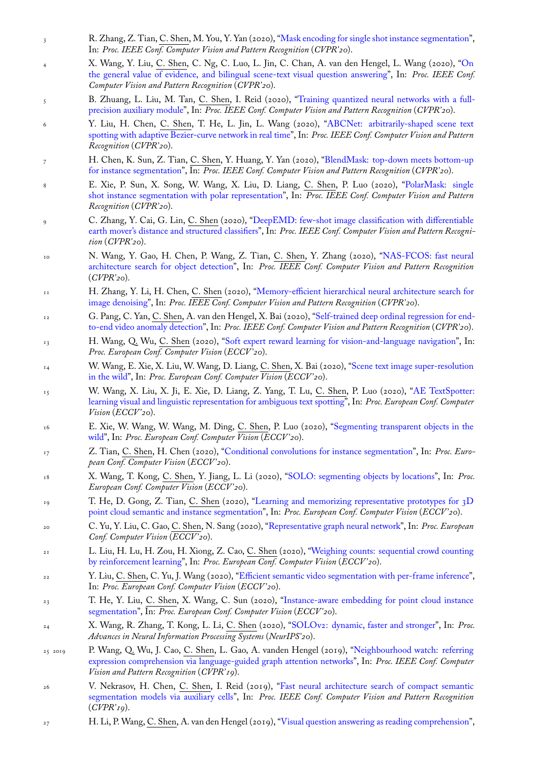- In: *Proc. IEEE Conf. Computer Vision and Pattern Recognition* (*CVPR'20*).
- 4 X. Wang, Y. Liu, C. Shen, C. Ng, C. Luo, L. Jin, C. Chan, A. van den Hengel, L. Wang (2020), "On the general value of evidence, and bilingual scene-text visual question answering", In: *Proc. IEEE Conf. Computer Vision and Pattern Recognition* (*CVPR'20*).
- 5 B. Zhuang, L. Liu, M. Tan, C. Shen, I. Reid (2020), "Training quantized neural networks with a fullprecision auxiliary module", In: *Proc. IEEE Conf. Computer Vision and Pattern Recognition* (*CVPR'20*).
- 6 Y. Liu, H. Chen, C. [Shen, T. He, L. Jin, L. Wang \(2020\), "ABCNet: arbitr](http://www.google.com/search?lr=&ie=UTF-8&oe=UTF-8&q=On+the+General+Value+of+Evidence,+and+Bilingual+Scene-Text+Visual+Question+Answering+Wang,+Xinyu+and+Liu,+Yuliang+and+Shen,+Chunhua+and+Ng,+Chun+Chet+and+Luo,+Canjie+and+Jin,+Lianwen+and+Chan,+Chee+Seng+and+van+den+Hengel,+Anton+and+Wang,+Liangwei)arily-shaped scene text spotting with adaptive Bezier-curve network in real time", In: *Proc. IEEE Conf. Computer Vision and Pattern Recognition* (*CVPR'20*).
- 7 [H. Chen, K. Sun, Z. Tian](http://www.google.com/search?lr=&ie=UTF-8&oe=UTF-8&q=Training+Quantized+Neural+Networks+with+a+Full-precision+Auxiliary+Module+Zhuang,+Bohan+and+Liu,+Lingqiao+and+Tan,+Mingkui+and+Shen,+Chunhua+and+Reid,+Ian), C. Shen, Y. Huang, Y. Yan (2020), "BlendMask: top-down meets bottom-up for instance segmentation", In: *Proc. IEEE Conf. Computer Vision [and Pattern Recognition](http://www.google.com/search?lr=&ie=UTF-8&oe=UTF-8&q=ABCNet:+Arbitrarily-Shaped+Scene+Text+Spotting+with+Adaptive+Bezier-Curve+Network+in+Real+Time+Liu,+Yuliang+and+Chen,+Hao+and+Shen,+Chunhua+and+He,+Tong+and+Jin,+Lianwen+and+Wang,+Liangwei)* (*CVPR'20*).
- 8 [E. Xie, P. Sun, X. Song, W. Wang, X. Liu, D. Lian](http://www.google.com/search?lr=&ie=UTF-8&oe=UTF-8&q=ABCNet:+Arbitrarily-Shaped+Scene+Text+Spotting+with+Adaptive+Bezier-Curve+Network+in+Real+Time+Liu,+Yuliang+and+Chen,+Hao+and+Shen,+Chunhua+and+He,+Tong+and+Jin,+Lianwen+and+Wang,+Liangwei)g, C. Shen, P. Luo (2020), "PolarMask: single shot instance segmentation with polar representation", In: *Proc. IEEE Conf. Computer Vision and Pattern Recognition* (*CVPR'20*).
- 9 [C. Zhang, Y. Cai, G. Lin](http://www.google.com/search?lr=&ie=UTF-8&oe=UTF-8&q=BlendMask:+Top-Down+Meets+Bottom-Up+for+Instance+Segmentation+Chen,+Hao+and+Sun,+Kunyang+and+Tian,+Zhi+and+Shen,+Chunhua+and+Huang,+Yongming+and+Yan,+Youliang), C. Shen (2020), "DeepEMD: few-shot image classification with differentiable earth mover's distance and structured classifiers", In: *Proc. IEEE Conf. Computer Vision [and Pattern Recogni](http://www.google.com/search?lr=&ie=UTF-8&oe=UTF-8&q=PolarMask:+Single+Shot+Instance+Segmentation+with+Polar+Representation+Xie,+Enze+and+Sun,+Peize+and+Song,+Xiaoge+and+Wang,+Wenhai+and+Liu,+Xuebo+and+Liang,+Ding+and+Shen,+Chunhua+and+Luo,+Ping)tion* (*[CVPR'20](http://www.google.com/search?lr=&ie=UTF-8&oe=UTF-8&q=PolarMask:+Single+Shot+Instance+Segmentation+with+Polar+Representation+Xie,+Enze+and+Sun,+Peize+and+Song,+Xiaoge+and+Wang,+Wenhai+and+Liu,+Xuebo+and+Liang,+Ding+and+Shen,+Chunhua+and+Luo,+Ping)*).
- 10 N. Wang, Y. Gao, H. Chen, P. Wang, Z. Tian, C. Shen, Y. Zhang (2020), "NAS-FCOS: fast neural architecture search for object detection", In: *[Proc. IEEE Conf. Computer Vision and Pattern Recognition](http://www.google.com/search?lr=&ie=UTF-8&oe=UTF-8&q=DeepEMD:+Few-Shot+Image+Classification+with+Differentiable+Earth+Mover)* (*[CVPR'20](http://www.google.com/search?lr=&ie=UTF-8&oe=UTF-8&q=DeepEMD:+Few-Shot+Image+Classification+with+Differentiable+Earth+Mover)*).
- 11 H. Zhang, Y. Li, H. Chen, C. Shen (2020), "Memory-efficient hierarchical neural architecture search for image denoising", In: *Proc. IEEE Conf. Computer Vision and Pattern Recognition* (*[CVPR'20](http://www.google.com/search?lr=&ie=UTF-8&oe=UTF-8&q=NAS-FCOS:+Fast+Neural+Architecture+Search+for+Object+Detection+Wang,+Ning+and+Gao,+Yang+and+Chen,+Hao+and+Wang,+Peng+and+Tian,+Zhi+and+Shen,+Chunhua+and+Zhang,+Yanning)*).
- <sup>12</sup> G. Pang, C. Yan, C. [Shen, A. van den H](http://www.google.com/search?lr=&ie=UTF-8&oe=UTF-8&q=NAS-FCOS:+Fast+Neural+Architecture+Search+for+Object+Detection+Wang,+Ning+and+Gao,+Yang+and+Chen,+Hao+and+Wang,+Peng+and+Tian,+Zhi+and+Shen,+Chunhua+and+Zhang,+Yanning)engel, X. Bai (2020), "Self-trained deep ordinal regression for endto-end video anomaly detection", In: *Proc. IEEE Conf. Computer Vision and Pattern Recognition* (*CVPR'20*).
- <sup>13</sup> H. Wang, Q. Wu, C. Shen (2020), "Soft exp[ert reward learning for vision-and-language navigation", In:](http://www.google.com/search?lr=&ie=UTF-8&oe=UTF-8&q=Memory-Efficient+Hierarchical+Neural+Architecture+Search+for+Image+Denoising+Zhang,+Haokui+and+Li,+Ying+and+Chen,+Hao+and+Shen,+Chunhua) *[Proc. European C](http://www.google.com/search?lr=&ie=UTF-8&oe=UTF-8&q=Memory-Efficient+Hierarchical+Neural+Architecture+Search+for+Image+Denoising+Zhang,+Haokui+and+Li,+Ying+and+Chen,+Hao+and+Shen,+Chunhua)onf. Computer Vision* (*ECCV '20*).
- <sup>14</sup> W. Wang, E. Xie, X. Liu, W. Wang, D. Liang, C. Shen, X. Ba[i \(2020\), "Scene text image super-resolution](http://www.google.com/search?lr=&ie=UTF-8&oe=UTF-8&q=Self-trained+Deep+Ordinal+Regression+for+End-to-End+Video+Anomaly+Detection+Pang,+Guansong+and+Yan,+Cheng+and+Shen,+Chunhua+and+van+den+Hengel,+Anton+and+Bai,+Xiao) [in the wild", In:](http://www.google.com/search?lr=&ie=UTF-8&oe=UTF-8&q=Self-trained+Deep+Ordinal+Regression+for+End-to-End+Video+Anomaly+Detection+Pang,+Guansong+and+Yan,+Cheng+and+Shen,+Chunhua+and+van+den+Hengel,+Anton+and+Bai,+Xiao) *Proc. European Conf. Computer Vision* (*ECCV '20*).
- <sup>15</sup> W. Wang, X. Liu, X. Ji, E. Xie, D. Liang, Z. Yang, T. Lu, C. [Shen, P. Luo \(2020\), "AE TextSpo](http://www.google.com/search?lr=&ie=UTF-8&oe=UTF-8&q=Soft+Expert+Reward+Learning+for+Vision-and-Language+Navigation+Wang,+Hu+and+Wu,+Qi+and+Shen,+Chunhua)tter: learning visual and linguistic representation for ambiguous text spotting", In: *Proc. European Conf. Computer Vision* (*ECCV '20*).
- <sup>16</sup> [E. Xie, W.](http://www.google.com/search?lr=&ie=UTF-8&oe=UTF-8&q=Scene+Text+Image+Super-Resolution+in+the+Wild+Wang,+Wenjia+and+Xie,+Enze+and+Liu,+Xuebo+and+Wang,+Wenhai+and+Liang,+Ding+and+Shen,+Chunhua+and+Bai,+Xiang) Wang, W. Wang, M. Ding, C. Shen, P. Luo (2020), "Segmenting transparent objects in the wild", In: *Proc. European Conf. Computer Vision* (*ECCV '20*).
- <sup>17</sup> Z. Tian, C. [Shen, H. Chen \(2020\), "Conditional convolutions for inst](http://www.google.com/search?lr=&ie=UTF-8&oe=UTF-8&q=AE+TextSpotter:+Learning+Visual+and+Linguistic+Representation+for+Ambiguous+Text+Spotting+Wang,+Wenhai+and+Liu,+Xuebo+and+Ji,+Xiaozhong+and+Xie,+Enze+and+Liang,+Ding+and+Yang,+ZhiBo+and+Lu,+Tong+and+Shen,+Chunhua+and+Luo,+Ping)ance segmentation", In: *Proc. European Conf. Computer Vision* (*ECCV '20*).
- <sup>18</sup> X. Wang, T. Kong, C. Shen, Y. Jiang, L. Li (2020), "SOLO: seg[menting objects by locations", In:](http://www.google.com/search?lr=&ie=UTF-8&oe=UTF-8&q=Segmenting+Transparent+Objects+in+the+Wild+Xie,+Enze+and+Wang,+Wenjia+and+Wang,+Wenhai+and+Ding,+Mingyu+and+Shen,+Chunhua+and+Luo,+Ping) *Proc. [Euro](http://www.google.com/search?lr=&ie=UTF-8&oe=UTF-8&q=Segmenting+Transparent+Objects+in+the+Wild+Xie,+Enze+and+Wang,+Wenjia+and+Wang,+Wenhai+and+Ding,+Mingyu+and+Shen,+Chunhua+and+Luo,+Ping)pean Conf. Computer Vision* (*ECCV '20*).
- <sup>19</sup> T. He, D. Gong, Z. Tian, C. Shen [\(2020\), "Learning and memorizing representative pr](http://www.google.com/search?lr=&ie=UTF-8&oe=UTF-8&q=Conditional+Convolutions+for+Instance+Segmentation+Tian,+Zhi+and+Shen,+Chunhua+and+Chen,+Hao)ototypes for 3D point cloud semantic and instance segmentation", In: *Proc. European Conf. Computer Vision* (*ECCV '20*).
- <sup>20</sup> C. Yu, Y. Liu, C. Gao, C. Shen, N. Sang (2020), "Repr[esentative graph neural network", In:](http://www.google.com/search?lr=&ie=UTF-8&oe=UTF-8&q=SOLO:+Segmenting+Objects+by+Locations+Wang,+Xinlong+and+Kong,+Tao+and+Shen,+Chunhua+and+Jiang,+Yuning+and+Li,+Lei) *Proc. European Conf. Computer Vision* (*ECCV '20*).
- <sup>21</sup> L. Liu, H. Lu, H. Zou, H. Xiong, Z. Cao, C. [Shen \(2020\), "Weighing counts: sequential crowd counting](http://www.google.com/search?lr=&ie=UTF-8&oe=UTF-8&q=Learning+and+Memorizing+Representative+Prototypes+for+3D+Point+Cloud+Semantic+and+Instance+Segmentation+He,+Tong+and+Gong,+Dong+and+Tian,+Zhi+and+Shen,+Chunhua) [by reinforcement learning", In:](http://www.google.com/search?lr=&ie=UTF-8&oe=UTF-8&q=Learning+and+Memorizing+Representative+Prototypes+for+3D+Point+Cloud+Semantic+and+Instance+Segmentation+He,+Tong+and+Gong,+Dong+and+Tian,+Zhi+and+Shen,+Chunhua) *Proc. European Conf. Computer Vision* (*ECCV '20*).
- <sup>22</sup> Y. Liu, C. Shen, C. Yu, J. Wang (2020), "Efficien[t semantic video segmentation with p](http://www.google.com/search?lr=&ie=UTF-8&oe=UTF-8&q=Representative+Graph+Neural+Network+Yu,+Changqian+and+Liu,+Yifan+and+Gao,+Changxin+and+Shen,+Chunhua+and+Sang,+Nong)er-frame inference", In: *Proc. European Conf. Computer Vision* (*ECCV '20*).
- <sup>23</sup> T. He, Y. Liu, C. Shen, X. Wang, C. Sun (2020), "Instanc[e-aware embedding for point cloud instance](http://www.google.com/search?lr=&ie=UTF-8&oe=UTF-8&q=Weighing+Counts:+Sequential+Crowd+Counting+by+Reinforcement+Learning+Liu,+Liang+and+Lu,+Hao+and+Zou,+Hongwei+and+Xiong,+Haipeng+and+Cao,+Zhiguo+and+Shen,+Chunhua) [segmentation", In:](http://www.google.com/search?lr=&ie=UTF-8&oe=UTF-8&q=Weighing+Counts:+Sequential+Crowd+Counting+by+Reinforcement+Learning+Liu,+Liang+and+Lu,+Hao+and+Zou,+Hongwei+and+Xiong,+Haipeng+and+Cao,+Zhiguo+and+Shen,+Chunhua) *Proc. European Conf. Computer Vision* (*ECCV '20*).
- <sup>24</sup> X. Wang, R. Zhang, T. Kong, L. Li, C. [Shen \(2020\), "SOLOv2: dynamic, faster and stronger", In:](http://www.google.com/search?lr=&ie=UTF-8&oe=UTF-8&q=Efficient+Semantic+Video+Segmentation+with+Per-frame+Inference+Liu,+Yifan+and+Shen,+Chunhua+and+Yu,+Changqian+and+Wang,+Jingdong) *Proc. Advances in Neural Information Processing Systems* (*NeurIPS'20*).
- 25 2019 P. Wang, Q. Wu, J. Cao, C. Shen, L. Gao, A. vand[en Hengel \(2019\), "Neighbourhood watch: referring](http://www.google.com/search?lr=&ie=UTF-8&oe=UTF-8&q=Instance-Aware+Embedding+for+Point+Cloud+Instance+Segmentation+He,+Tong+and+Liu,+Yifan+and+Shen,+Chunhua+and+Wang,+Xinlong+and+Sun,+Changming) [expression com](http://www.google.com/search?lr=&ie=UTF-8&oe=UTF-8&q=Instance-Aware+Embedding+for+Point+Cloud+Instance+Segmentation+He,+Tong+and+Liu,+Yifan+and+Shen,+Chunhua+and+Wang,+Xinlong+and+Sun,+Changming)prehension via language-guided graph attention networks", In: *Proc. IEEE Conf. Computer Vision and Pattern Recognition* (*CVPR'19*).
- <sup>26</sup> V. Nekrasov, H. Chen, C. Shen, I. Reid (2019), "Fast neural architecture search of compact semantic segmentation models via auxiliary cells", In: *Proc. IEEE Conf. Comput[er Vision and Pattern Recognition](http://www.google.com/search?lr=&ie=UTF-8&oe=UTF-8&q=Neighbourhood+Watch:+Referring+Expression+Comprehension+via+Language-guided+Graph+Attention+Networks+Wang,+Peng+and+Wu,+Qi+and+Cao,+Jiewei+and+Shen,+Chunhua+and+Gao,+Lianli+and+vanden+Hengel,+Anton)* (*[CVPR'19](http://www.google.com/search?lr=&ie=UTF-8&oe=UTF-8&q=Neighbourhood+Watch:+Referring+Expression+Comprehension+via+Language-guided+Graph+Attention+Networks+Wang,+Peng+and+Wu,+Qi+and+Cao,+Jiewei+and+Shen,+Chunhua+and+Gao,+Lianli+and+vanden+Hengel,+Anton)*).
- <sup>27</sup> H. Li, P. Wang, C. Shen, A. van den Hengel (2019), "Visual question answering as reading comprehension",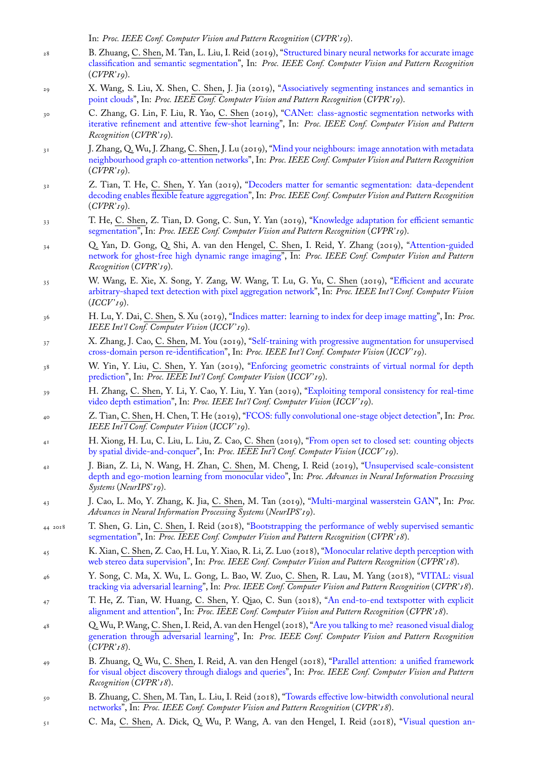- 28 B. Zhuang, C. Shen, M. Tan, L. Liu, I. Reid (2019), "Structured binary neural networks for accurate image classification and semantic segmentation", In: *Proc. IEEE Conf. Computer Vision and Pattern Recognition* (*CVPR'19*).
- 29 X. Wang, S. Liu, X. Shen, C. Shen, J. Jia (2019), "Associatively segmenting instances and semantics in point clouds", In: *Proc. IEEE Conf. Computer Vision a[nd Pattern Recognition](http://www.google.com/search?lr=&ie=UTF-8&oe=UTF-8&q=Structured+Binary+Neural+Networks+for+Accurate+Image+Classification+and+Semantic+Segmentation+Zhuang,+Bohan+and+Shen,+Chunhua+and+Tan,+Mingkui+and+Liu,+Lingqiao+and+Reid,+Ian)* (*CVPR'19*).
- 30 [C. Zhang, G. Lin, F. Liu, R. Yao,](http://www.google.com/search?lr=&ie=UTF-8&oe=UTF-8&q=Structured+Binary+Neural+Networks+for+Accurate+Image+Classification+and+Semantic+Segmentation+Zhuang,+Bohan+and+Shen,+Chunhua+and+Tan,+Mingkui+and+Liu,+Lingqiao+and+Reid,+Ian) C. Shen (2019), "CANet: class-agnostic segmentation networks with iterative refinement and attentive few-shot learning", In: *Proc. IEEE Conf. Computer Vision and Pattern Recognition* (*CVPR'19*).
- 31 [J. Zhang, Q.](http://www.google.com/search?lr=&ie=UTF-8&oe=UTF-8&q=Associatively+Segmenting+Instances+and+Semantics+in+Point+Clouds+Wang,+Xinlong+and+Liu,+Shu+and+Shen,+Xiaoyong+and+Shen,+Chunhua+and+Jia,+Jiaya) Wu, J. Zhang, C. Shen, J. Lu (2019), "Mind your neighbours: image annotation with metadata neighbourhood graph co-attention networks", In: *Proc[. IEEE Conf. Computer Vision and Pattern Recognition](http://www.google.com/search?lr=&ie=UTF-8&oe=UTF-8&q=CANet:+Class-Agnostic+Segmentation+Networks+with+Iterative+Refinement+and+Attentive+Few-Shot+Learning+Zhang,+Chi+and+Lin,+Guosheng+and+Liu,+Fayao+and+Yao,+Rui+and+Shen,+Chunhua)* (*[CVPR'19](http://www.google.com/search?lr=&ie=UTF-8&oe=UTF-8&q=CANet:+Class-Agnostic+Segmentation+Networks+with+Iterative+Refinement+and+Attentive+Few-Shot+Learning+Zhang,+Chi+and+Lin,+Guosheng+and+Liu,+Fayao+and+Yao,+Rui+and+Shen,+Chunhua)*).
- 32 Z. Tian, T. He, C. Shen, Y. Yan (2019), "Decoders matter for semantic segmentation: data-dependent decoding enables flexible feature aggregation", In: *[Proc. IEEE Conf. Computer Vision and Pattern Recognition](http://www.google.com/search?lr=&ie=UTF-8&oe=UTF-8&q=Mind+Your+Neighbours:+Image+Annotation+with+Metadata+Neighbourhood+Graph+Co-Attention+Networks+Zhang,+Junjie+and+Wu,+Qi+and+Zhang,+Jian+and+Shen,+Chunhua+and+Lu,+Jianfeng)* (*[CVPR'19](http://www.google.com/search?lr=&ie=UTF-8&oe=UTF-8&q=Mind+Your+Neighbours:+Image+Annotation+with+Metadata+Neighbourhood+Graph+Co-Attention+Networks+Zhang,+Junjie+and+Wu,+Qi+and+Zhang,+Jian+and+Shen,+Chunhua+and+Lu,+Jianfeng)*).
- 33 T. He, C. Shen, Z. Tian, D. Gong, C. Sun, Y. Yan (2019), "Knowledge adaptation for efficient semantic segmentation", In: *Proc. IEEE Conf. Compu[ter Vision and Pattern Recognition](http://www.google.com/search?lr=&ie=UTF-8&oe=UTF-8&q=Decoders+Matter+for+Semantic+Segmentation:+Data-Dependent+Decoding+Enables+Flexible+Feature+Aggregation+Tian,+Zhi+and+He,+Tong+and+Shen,+Chunhua+and+Yan,+Youliang)* (*CVPR'19*).
- 34 [Q. Yan, D. Gong, Q. Shi, A. van den Hen](http://www.google.com/search?lr=&ie=UTF-8&oe=UTF-8&q=Decoders+Matter+for+Semantic+Segmentation:+Data-Dependent+Decoding+Enables+Flexible+Feature+Aggregation+Tian,+Zhi+and+He,+Tong+and+Shen,+Chunhua+and+Yan,+Youliang)gel, C. Shen, I. Reid, Y. Zhang (2019), "Attention-guided network for ghost-free high dynamic range imaging", In: *Proc. IEEE Conf. Computer Vision and Pattern Recognition* (*CVPR'19*).
- 35 [W. Wang, E.](http://www.google.com/search?lr=&ie=UTF-8&oe=UTF-8&q=Knowledge+Adaptation+for+Efficient+Semantic+Segmentation+He,+Tong+and+Shen,+Chunhua+and+Tian,+Zhi+and+Gong,+Dong+and+Sun,+Changming+and+Yan,+Youliang) Xie, X. Song, Y. Zang, W. Wang, T. Lu, G. Yu, C. Shen (2019), "Efficient and accurate arbitrary-shaped text detection with pixel aggregation network", In: *Proc. IEEE Int'l Con[f. Computer Vision](http://www.google.com/search?lr=&ie=UTF-8&oe=UTF-8&q=Attention-guided+Network+for+Ghost-free+High+Dynamic+Range+Imaging+Yan,+Qingsen+and+Gong,+Dong+and+Shi,+Qinfeng+and+van+den+Hengel,+Anton+and+Shen,+Chunhua+and+Reid,+Ian+and+Zhang,+Yanning)* (*[ICCV '19](http://www.google.com/search?lr=&ie=UTF-8&oe=UTF-8&q=Attention-guided+Network+for+Ghost-free+High+Dynamic+Range+Imaging+Yan,+Qingsen+and+Gong,+Dong+and+Shi,+Qinfeng+and+van+den+Hengel,+Anton+and+Shen,+Chunhua+and+Reid,+Ian+and+Zhang,+Yanning)*).
- <sup>36</sup> H. Lu, Y. Dai, C. Shen, S. Xu (2019), "Indices matter: learning to index for deep image matting", In: *Proc. IEEE Int'l Conf. Computer Vision* (*ICCV '19*).
- <sup>37</sup> X. Zhang, J. Cao, C. [Shen, M. You \(2019\), "Self-training with](http://www.google.com/search?lr=&ie=UTF-8&oe=UTF-8&q=Efficient+and+Accurate+Arbitrary-Shaped+Text+Detection+with+Pixel+Aggregation+Network+Wang,+Wenhai+and+Xie,+Enze+and+Song,+Xiaoge+and+Zang,+Yuhang+and+Wang,+Wenjia+and+Lu,+Tong+and+Yu,+Gang+and+Shen,+Chunhua) progressive augmentation for unsupervised cross-domain person re-identification", In: *Proc. IEEE Int'l Conf. Computer Vision* (*ICCV '19*).
- <sup>38</sup> W. Yin, Y. Liu, C. Shen, Y. Yan (20[19\), "Enforcing geometric constraints of virtual normal](http://www.google.com/search?lr=&ie=UTF-8&oe=UTF-8&q=Indices+Matter:+Learning+to+Index+for+Deep+Image+Matting+Lu,+Hao+and+Dai,+Yutong+and+Shen,+Chunhua+and+Xu,+Songcen) for depth prediction", In: *Proc. IEEE Int'l Conf. Computer Vision* (*ICCV '19*).
- <sup>39</sup> H. Zhang, C. Shen, Y. Li, Y. Cao, Y. Liu, [Y. Yan \(2019\), "Exploiting temporal consistency for real-time](http://www.google.com/search?lr=&ie=UTF-8&oe=UTF-8&q=Self-Training+with+Progressive+Augmentation+for+Unsupervised+Cross-Domain+Person+Re-Identification+Zhang,+Xinyu+and+Cao,+Jiewei+and+Shen,+Chunhua+and+You,+Mingyu) [video depth estimation", In:](http://www.google.com/search?lr=&ie=UTF-8&oe=UTF-8&q=Self-Training+with+Progressive+Augmentation+for+Unsupervised+Cross-Domain+Person+Re-Identification+Zhang,+Xinyu+and+Cao,+Jiewei+and+Shen,+Chunhua+and+You,+Mingyu) *Proc. IEEE Int'l Conf. Computer Vision* (*ICCV '19*).
- <sup>40</sup> Z. Tian, C. Shen, H. Chen, T. He (2019), "[FCOS: fully convolutional one-stage object detection", In:](http://www.google.com/search?lr=&ie=UTF-8&oe=UTF-8&q=Enforcing+geometric+constraints+of+virtual+normal+for+depth+prediction+Yin,+Wei+and+Liu,+Yifan+and+Shen,+Chunhua+and+Yan,+Youliang) *Proc. [IEEE Int'l](http://www.google.com/search?lr=&ie=UTF-8&oe=UTF-8&q=Enforcing+geometric+constraints+of+virtual+normal+for+depth+prediction+Yin,+Wei+and+Liu,+Yifan+and+Shen,+Chunhua+and+Yan,+Youliang) Conf. Computer Vision* (*ICCV '19*).
- <sup>41</sup> H. Xiong, H. Lu, C. Liu, L. Liu, Z. Cao, C. Shen (2019), ["From open set to closed set: counting objects](http://www.google.com/search?lr=&ie=UTF-8&oe=UTF-8&q=Exploiting+temporal+consistency+for+real-time+video+depth+estimation+Zhang,+Haokui+and+Shen,+Chunhua+and+Li,+Ying+and+Cao,+Yuanzhouhan+and+Liu,+Yu+and+Yan,+Youliang) [by spatial divide-and-co](http://www.google.com/search?lr=&ie=UTF-8&oe=UTF-8&q=Exploiting+temporal+consistency+for+real-time+video+depth+estimation+Zhang,+Haokui+and+Shen,+Chunhua+and+Li,+Ying+and+Cao,+Yuanzhouhan+and+Liu,+Yu+and+Yan,+Youliang)nquer", In: *Proc. IEEE Int'l Conf. Computer Vision* (*ICCV '19*).
- <sup>42</sup> J. Bian, Z. Li, N. Wang, H. Zhan, C. Sh[en, M. Cheng, I. Reid \(2019\), "Unsupervised scale-](http://www.google.com/search?lr=&ie=UTF-8&oe=UTF-8&q=FCOS:+Fully+Convolutional+One-Stage+Object+Detection+Tian,+Zhi+and+Shen,+Chunhua+and+Chen,+Hao+and+He,+Tong)consistent depth and ego-motion learning from monocular video", In: *Proc. Advances in Neural Information Processing Systems* (*NeurIPS'19*).
- <sup>43</sup> [J. Cao, L. Mo, Y. Zhang, K.](http://www.google.com/search?lr=&ie=UTF-8&oe=UTF-8&q=From+Open+Set+to+Closed+Set:+Counting+Objects+by+Spatial+Divide-and-Conquer+Xiong,+Haipeng+and+Lu,+Hao+and+Liu,+Chengxin+and+Liu,+Liang+and+Cao,+Zhiguo+and+Shen,+Chunhua) Jia, C. Shen, M. Tan (2019), "Multi-marginal wasserstein GAN", In: *Proc. Advances in Neural Information Processing Systems* (*NeurIPS'19*).
- 44 2018 T. Shen, G. Lin, C. [Shen, I. Reid \(2018\), "Bootstrap](http://www.google.com/search?lr=&ie=UTF-8&oe=UTF-8&q=Unsupervised+Scale-consistent+Depth+and+Ego-motion+Learning+from+Monocular+Video+Bian,+Jia-Wang+and+Li,+Zhichao+and+Wang,+Naiyan+and+Zhan,+Huangying+and+Shen,+Chunhua+and+Cheng,+Ming-Ming+and+Reid,+Ian)ping the performance of webly supervised semantic segmentation", In: *Proc. IEEE Conf. Computer Vision and Pattern Recognition* (*CVPR'18*).
- <sup>45</sup> K. Xian, C. Shen, Z. Cao, H. Lu, Y. Xiao, R. Li, Z. Luo (201[8\), "Monocular relative depth perce](http://www.google.com/search?lr=&ie=UTF-8&oe=UTF-8&q=Multi-marginal+Wasserstein+GAN+Cao,+Jiezhang+and+Mo,+Langyuan+and+Zhang,+Yifan+and+Jia,+Kui+and+Shen,+Chunhua+and+Tan,+Mingkui)ption with web stereo data supervision", In: *Proc. IEEE Conf. Computer Vision and Pattern Recognition* (*CVPR'18*).
- <sup>46</sup> Y. Song, C. Ma, X. Wu, L. Gong, L. Bao, W. Zuo, C. [Shen, R. Lau, M. Yang \(2018\), "VITAL: visual](http://www.google.com/search?lr=&ie=UTF-8&oe=UTF-8&q=Bootstrapping+the+Performance+of+Webly+Supervised+Semantic+Segmentation+Shen,+Tong+and+Lin,+Guosheng+and+Shen,+Chunhua+and+Reid,+Ian) [tracking via ad](http://www.google.com/search?lr=&ie=UTF-8&oe=UTF-8&q=Bootstrapping+the+Performance+of+Webly+Supervised+Semantic+Segmentation+Shen,+Tong+and+Lin,+Guosheng+and+Shen,+Chunhua+and+Reid,+Ian)versarial learning", In: *Proc. IEEE Conf. Computer Vision and Pattern Recognition* (*CVPR'18*).
- <sup>47</sup> T. He, Z. Tian, W. Huang, C. Shen, Y. Qiao, C. Sun (2018), ["An end-to-end textspotter with explicit](http://www.google.com/search?lr=&ie=UTF-8&oe=UTF-8&q=Monocular+Relative+Depth+Perception+with+Web+Stereo+Data+Supervision+Xian,+Ke+and+Shen,+Chunhua+and+Cao,+Zhiguo+and+Lu,+Hao+and+Xiao,+Yang+and+Li,+Ruibo+and+Luo,+Zhenbo) [alignment and attention", In](http://www.google.com/search?lr=&ie=UTF-8&oe=UTF-8&q=Monocular+Relative+Depth+Perception+with+Web+Stereo+Data+Supervision+Xian,+Ke+and+Shen,+Chunhua+and+Cao,+Zhiguo+and+Lu,+Hao+and+Xiao,+Yang+and+Li,+Ruibo+and+Luo,+Zhenbo): *Proc. IEEE Conf. Computer Vision and Pattern Recognition* (*CVPR'18*).
- <sup>48</sup> Q. Wu, P. Wang, C. Shen, I. Reid, A. van den Hengel (2018), "Are you talking to me? reason[ed visual dialog](http://www.google.com/search?lr=&ie=UTF-8&oe=UTF-8&q=VITAL:+VIsual+Tracking+via+Adversarial+Learning+Song,+Yibing+and+Ma,+Chao+and+Wu,+Xiaohe+and+Gong,+Lijun+and+Bao,+Linchao+and+Zuo,+Wangmeng+and+Shen,+Chunhua+and+Lau,+Rynson+and+Yang,+Ming-Hsuan) [generation through adversarial](http://www.google.com/search?lr=&ie=UTF-8&oe=UTF-8&q=VITAL:+VIsual+Tracking+via+Adversarial+Learning+Song,+Yibing+and+Ma,+Chao+and+Wu,+Xiaohe+and+Gong,+Lijun+and+Bao,+Linchao+and+Zuo,+Wangmeng+and+Shen,+Chunhua+and+Lau,+Rynson+and+Yang,+Ming-Hsuan) learning", In: *Proc. IEEE Conf. Computer Vision and Pattern Recognition* (*CVPR'18*).
- <sup>49</sup> [B. Zhuang, Q. Wu,](http://www.google.com/search?lr=&ie=UTF-8&oe=UTF-8&q=An+end-to-end+TextSpotter+with+Explicit+Alignment+and+Attention+He,+Tong+and+Tian,+Zhi+and+Huang,+Weilin+and+Shen,+Chunhua+and+Qiao,+Yu+and+Sun,+Changming) C. Shen, I. Reid, A. van den Hengel (2018), "Parallel attention: a unified framework for visual object discovery through dialogs and queries", In: *[Proc. IEEE Conf. Computer Vision and Pattern](http://www.google.com/search?lr=&ie=UTF-8&oe=UTF-8&q=Are+You+Talking+to+Me?+Reasoned+Visual+Dialog+Generation+through+Adversarial+Learning+Wu,+Qi+and+Wang,+Peng+and+Shen,+Chunhua+and+Reid,+Ian+and+van+den+Hengel,+Anton) [Recognition](http://www.google.com/search?lr=&ie=UTF-8&oe=UTF-8&q=Are+You+Talking+to+Me?+Reasoned+Visual+Dialog+Generation+through+Adversarial+Learning+Wu,+Qi+and+Wang,+Peng+and+Shen,+Chunhua+and+Reid,+Ian+and+van+den+Hengel,+Anton)* (*CVPR'18*).
- <sup>50</sup> B. Zhuang, C. Shen, M. Tan, L. Liu, I. Reid (2018), "Towards effective low-bitwidth convolutional neural networks", In: *Proc. IEEE Conf. Computer Vision and Pattern Recognition* (*[CVPR'18](http://www.google.com/search?lr=&ie=UTF-8&oe=UTF-8&q=Parallel+Attention:+A+Unified+Framework+for+Visual+Object+Discovery+through+Dialogs+and+Queries+Zhuang,+Bohan+and+Wu,+Qi+and+Shen,+Chunhua+and+Reid,+Ian+and+van+den+Hengel,+Anton)*).
- <sup>51</sup> C. Ma, C. [Shen, A. Dick, Q. Wu, P. Wang, A. van](http://www.google.com/search?lr=&ie=UTF-8&oe=UTF-8&q=Parallel+Attention:+A+Unified+Framework+for+Visual+Object+Discovery+through+Dialogs+and+Queries+Zhuang,+Bohan+and+Wu,+Qi+and+Shen,+Chunhua+and+Reid,+Ian+and+van+den+Hengel,+Anton) den Hengel, I. Reid (2018), "Visual question an-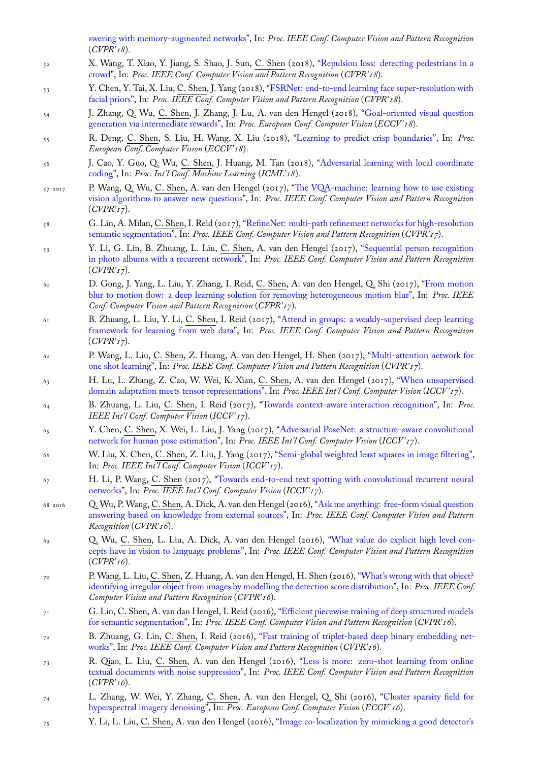- (*CVPR'18*).
- 52 X. Wang, T. Xiao, Y. Jiang, S. Shao, J. Sun, C. Shen (2018), "Repulsion loss: detecting pedestrians in a crowd", In: *Proc. IEEE Conf. Computer Vision and Pattern Recognition* (*CVPR'18*).
- 53 [Y. Chen, Y. Tai, X. Liu,](http://www.google.com/search?lr=&ie=UTF-8&oe=UTF-8&q=Visual+Question+Answering+with+Memory-Augmented+Networks+Ma,+Chao+and+Shen,+Chunhua+and+Dick,+Anthony+and+Wu,+Qi+and+Wang,+Peng+and+van+den+Hengel,+Anton+and+Reid,+Ian) C. Shen, J. Yang (2018), "FSRNet: end-to-end learning face super-resolution with facial priors", In: *Proc. IEEE Conf. Computer Vision and Pattern Recognition* (*CVPR'18*).
- 54 J. Zhang, Q. Wu, C. Shen, J. Zhang, J. Lu, A. van den Hen[gel \(2018\), "Goal-oriented visual question](http://www.google.com/search?lr=&ie=UTF-8&oe=UTF-8&q=Repulsion+Loss:+Detecting+Pedestrians+in+a+Crowd+Wang,+Xinlong+and+Xiao,+Tete+and+Jiang,+Yuning+and+Shao,+Shuai+and+Sun,+Jian+and+Shen,+Chunhua) [genera](http://www.google.com/search?lr=&ie=UTF-8&oe=UTF-8&q=Repulsion+Loss:+Detecting+Pedestrians+in+a+Crowd+Wang,+Xinlong+and+Xiao,+Tete+and+Jiang,+Yuning+and+Shao,+Shuai+and+Sun,+Jian+and+Shen,+Chunhua)tion via intermediate rewards", In: *Proc. European Conf. Computer Vision* (*ECCV '18*).
- 55 R. Deng, C. Shen, S. Liu, H. Wang, X. Liu ([2018\), "Learning to predict crisp boundaries", In:](http://www.google.com/search?lr=&ie=UTF-8&oe=UTF-8&q=FSRNet:+End-to-End+Learning+Face+Super-Resolution+with+Facial+Priors+Chen,+Yu+and+Tai,+Ying+and+Liu,+Xiaoming+and+Shen,+Chunhua+and+Yang,+Jian) *Proc. [European Co](http://www.google.com/search?lr=&ie=UTF-8&oe=UTF-8&q=FSRNet:+End-to-End+Learning+Face+Super-Resolution+with+Facial+Priors+Chen,+Yu+and+Tai,+Ying+and+Liu,+Xiaoming+and+Shen,+Chunhua+and+Yang,+Jian)nf. Computer Vision* (*ECCV '18*).
- 56 J. Cao, Y. Guo, Q. Wu, C. Shen, J. Huang, M. Tan (2018), "Adversarial [learning with local coordinate](http://www.google.com/search?lr=&ie=UTF-8&oe=UTF-8&q=Goal-Oriented+Visual+Question+Generation+via+Intermediate+Rewards+Zhang,+Junjie+and+Wu,+Qi+and+Shen,+Chunhua+and+Zhang,+Jian+and+Lu,+Jianfeng+and+van+den+Hengel,+Anton) coding", In: *[Proc. Int'l Conf. Machin](http://www.google.com/search?lr=&ie=UTF-8&oe=UTF-8&q=Goal-Oriented+Visual+Question+Generation+via+Intermediate+Rewards+Zhang,+Junjie+and+Wu,+Qi+and+Shen,+Chunhua+and+Zhang,+Jian+and+Lu,+Jianfeng+and+van+den+Hengel,+Anton)e Learning* (*ICML'18*).
- 57 2017 P. Wang, Q. Wu, C. Shen, A. van den Hengel (2017),"[The VQA-machine: learning how to u](http://www.google.com/search?lr=&ie=UTF-8&oe=UTF-8&q=Learning+to+Predict+Crisp+Boundaries+Deng,+Ruoxi+and+Shen,+Chunhua+and+Liu,+Shengjun+and+Wang,+Huibing+and+Liu,+Xinru)se existing vision algorithms to answer new questions", In: *Proc. IEEE Conf. Computer Vision and Pattern Recognition* (*CVPR'17*).
- 58 [G. Lin](http://www.google.com/search?lr=&ie=UTF-8&oe=UTF-8&q=Adversarial+Learning+with+Local+Coordinate+Coding+Cao,+Jiezhang+and+Guo,+Yong+and+Wu,+Qingyao+and+Shen,+Chunhua+and+Huang,+Junzhou+and+Tan,+Mingkui), A. Milan, C. Shen, I. Reid (2017), "RefineNet: multi-path refinement networks for high-resolution semantic segmentation", In: *Proc. IEEE Conf. Computer [Vision and Pattern Recognition](http://www.google.com/search?lr=&ie=UTF-8&oe=UTF-8&q=The+VQA-Machine:+Learning+How+to+Use+Existing+Vision+Algorithms+to+Answer+New+Questions+Wang,+Peng+and+Wu,+Qi+and+Shen,+Chunhua+and+van+den+Hengel,+Anton)* (*CVPR'17*).
- 59 [Y. Li, G. Lin, B. Zhuang, L. Liu,](http://www.google.com/search?lr=&ie=UTF-8&oe=UTF-8&q=The+VQA-Machine:+Learning+How+to+Use+Existing+Vision+Algorithms+to+Answer+New+Questions+Wang,+Peng+and+Wu,+Qi+and+Shen,+Chunhua+and+van+den+Hengel,+Anton) C. Shen, A. van den Hengel (2017), "Sequential person recognition in photo albums with a recurrent network", In: *Proc. IEEE Conf. Computer Vision and Pattern Recognition* (*CVPR'17*).
- 60 [D. Gong, J. Yang, L. L](http://www.google.com/search?lr=&ie=UTF-8&oe=UTF-8&q=RefineNet:+Multi-Path+Refinement+Networks+for+High-Resolution+Semantic+Segmentation+Lin,+Guosheng+and+Milan,+Anton+and+Shen,+Chunhua+and+Reid,+Ian)iu, Y. Zhang, I. Reid, C. Shen, A. van den Hengel, Q. Shi (2017), "From motion blur to motion flow: a deep learning solution for removing heterogeneous [motion blur", In:](http://www.google.com/search?lr=&ie=UTF-8&oe=UTF-8&q=Sequential+Person+Recognition+in+Photo+Albums+with+a+Recurrent+Network+Li,+Yao+and+Lin,+Guosheng+and+Zhuang,+Bohan+and+Liu,+Lingqiao+and+Shen,+Chunhua+and+van+den+Hengel,+Anton) *Proc. IEEE [Conf. Computer Vision and Pattern Recognit](http://www.google.com/search?lr=&ie=UTF-8&oe=UTF-8&q=Sequential+Person+Recognition+in+Photo+Albums+with+a+Recurrent+Network+Li,+Yao+and+Lin,+Guosheng+and+Zhuang,+Bohan+and+Liu,+Lingqiao+and+Shen,+Chunhua+and+van+den+Hengel,+Anton)ion* (*CVPR'17*).
- <sup>61</sup> B. Zhuang, L. Liu, Y. Li, C. Shen, I. Reid (2017), "Attend in groups: a weakly-supervised deep learning framework for learning from web data", In: *Proc. IEEE Conf. Computer Vision and Patter[n Recognition](http://www.google.com/search?lr=&ie=UTF-8&oe=UTF-8&q=From+Motion+Blur+to+Motion+Flow:+a+Deep+Learning+Solution+for+Removing+Heterogeneous+Motion+Blur+Gong,+Dong+and+Yang,+Jie+and+Liu,+Lingqiao+and+Zhang,+Yanning+and+Reid,+Ian+and+Shen,+Chunhua+and+van+den+Hengel,+Anton+and+Shi,+Qinfeng)* (*[CVPR'17](http://www.google.com/search?lr=&ie=UTF-8&oe=UTF-8&q=From+Motion+Blur+to+Motion+Flow:+a+Deep+Learning+Solution+for+Removing+Heterogeneous+Motion+Blur+Gong,+Dong+and+Yang,+Jie+and+Liu,+Lingqiao+and+Zhang,+Yanning+and+Reid,+Ian+and+Shen,+Chunhua+and+van+den+Hengel,+Anton+and+Shi,+Qinfeng)*).
- <sup>62</sup> P. Wang, L. Liu, C. Shen, Z. Huang, A. van den Hengel, H. Shen (2017), "Multi-attention network for one shot learning", In: *Proc. IEEE Conf. Computer Vi[sion and Pattern Recognition](http://www.google.com/search?lr=&ie=UTF-8&oe=UTF-8&q=Attend+in+groups:+a+weakly-supervised+deep+learning+framework+for+learning+from+web+data+Zhuang,+Bohan+and+Liu,+Lingqiao+and+Li,+Yao+and+Shen,+Chunhua+and+Reid,+Ian)* (*CVPR'17*).
- <sup>63</sup> [H. Lu, L. Zhang, Z. Cao, W. Wei, K.](http://www.google.com/search?lr=&ie=UTF-8&oe=UTF-8&q=Attend+in+groups:+a+weakly-supervised+deep+learning+framework+for+learning+from+web+data+Zhuang,+Bohan+and+Liu,+Lingqiao+and+Li,+Yao+and+Shen,+Chunhua+and+Reid,+Ian) Xian, C. Shen, A. van den Hengel (2017), "When unsupervised domain adaptation meets tensor representations", In: *Proc. IEEE Int'l Conf. Computer Vision* (*ICCV '17*).
- <sup>64</sup> B. Zhuang, L. Liu, C. Shen, I. Reid (2017), "Towards context-aware inter[action recognition", In:](http://www.google.com/search?lr=&ie=UTF-8&oe=UTF-8&q=Multi-attention+Network+for+One+Shot+Learning+Wang,+Peng+and+Liu,+Lingqiao+and+Shen,+Chunhua+and+Huang,+Zi+and+van+den+Hengel,+Anton+and+Shen,+Heng+Tao) *Proc. [IEEE Int'l Conf. C](http://www.google.com/search?lr=&ie=UTF-8&oe=UTF-8&q=Multi-attention+Network+for+One+Shot+Learning+Wang,+Peng+and+Liu,+Lingqiao+and+Shen,+Chunhua+and+Huang,+Zi+and+van+den+Hengel,+Anton+and+Shen,+Heng+Tao)omputer Vision* (*ICCV '17*).
- <sup>65</sup> Y. Chen, C. Shen, X. Wei, L. Liu, J. Yang (2017), "Adversarial PoseNet: a structure[-aware convolutional](http://www.google.com/search?lr=&ie=UTF-8&oe=UTF-8&q=When+Unsupervised+Domain+Adaptation+Meets+Tensor+Representations+Lu,+Hao+and+Zhang,+Lei+and+Cao,+Zhiguo+and+Wei,+Wei+and+Xian,+Ke+and+Shen,+Chunhua+and+van+den+Hengel,+Anton) [network for human pose estimation", In:](http://www.google.com/search?lr=&ie=UTF-8&oe=UTF-8&q=When+Unsupervised+Domain+Adaptation+Meets+Tensor+Representations+Lu,+Hao+and+Zhang,+Lei+and+Cao,+Zhiguo+and+Wei,+Wei+and+Xian,+Ke+and+Shen,+Chunhua+and+van+den+Hengel,+Anton) *Proc. IEEE Int'l Conf. Computer Vision* (*ICCV '17*).
- <sup>66</sup> W. Liu, X. Chen, C. Shen, Z. Liu, J. Yang (20[17\), "Semi-global weighted least squares in imag](http://www.google.com/search?lr=&ie=UTF-8&oe=UTF-8&q=Towards+Context-aware+Interaction+Recognition+Zhuang,+Bohan+and+Liu,+Lingqiao+and+Shen,+Chunhua+and+Reid,+Ian)e filtering", In: *Proc. IEEE Int'l Conf. Computer Vision* (*ICCV '17*).
- <sup>67</sup> H. Li, P. Wang, C. Shen (2017), "Towards end-to-[end text spotting with convolutional recurrent neural](http://www.google.com/search?lr=&ie=UTF-8&oe=UTF-8&q=Adversarial+PoseNet:+A+Structure-aware+Convolutional+Network+for+Human+Pose+Estimation+Chen,+Yu+and+Shen,+Chunhua+and+Wei,+Xiu-Shen+and+Liu,+Lingqiao+and+Yang,+Jian) networks", In: *[Proc. IEEE Int'l Conf](http://www.google.com/search?lr=&ie=UTF-8&oe=UTF-8&q=Adversarial+PoseNet:+A+Structure-aware+Convolutional+Network+for+Human+Pose+Estimation+Chen,+Yu+and+Shen,+Chunhua+and+Wei,+Xiu-Shen+and+Liu,+Lingqiao+and+Yang,+Jian). Computer Vision* (*ICCV '17*).
- 68 2016 Q. Wu, P. Wang, C. Shen, A. Dick, A. van den Hen[gel \(2016\), "Ask me anything: free-form visual question](http://www.google.com/search?lr=&ie=UTF-8&oe=UTF-8&q=Semi-Global+Weighted+Least+Squares+in+Image+Filtering+Liu,+Wei+and+Chen,+Xiaogang+and+Shen,+Chuanhua+and+Liu,+Zhi+and+Yang,+Jie) answering based on knowledge from external sources", In: *Proc. IEEE Conf. Computer Vision and Pattern Recognition* (*CVPR'16*).
- <sup>69</sup> [Q. Wu,](http://www.google.com/search?lr=&ie=UTF-8&oe=UTF-8&q=Towards+End-to-end+Text+Spotting+with+Convolutional+Recurrent+Neural+Networks+Li,+Hui+and+Wang,+Peng+and+Shen,+Chunhua) C. Shen, L. Liu, A. Dick, A. van den Hengel (2016), "What value do explicit high level concepts have in vision to language problems", In: *Proc. IEEE Co[nf. Computer Vision and Pattern Recognition](http://www.google.com/search?lr=&ie=UTF-8&oe=UTF-8&q=Ask+Me+Anything:+Free-form+Visual+Question+Answering+Based+on+Knowledge+from+External+Sources+Wu,+Qi+and+Wang,+Peng+and+Shen,+Chunhua+and+Dick,+Anthony+and+van+den+Hengel,+Anton)* (*[CVPR'16](http://www.google.com/search?lr=&ie=UTF-8&oe=UTF-8&q=Ask+Me+Anything:+Free-form+Visual+Question+Answering+Based+on+Knowledge+from+External+Sources+Wu,+Qi+and+Wang,+Peng+and+Shen,+Chunhua+and+Dick,+Anthony+and+van+den+Hengel,+Anton)*).
- <sup>70</sup> P. Wang, L. Liu, C. Shen, Z. Huang, A. van den Hengel, H. Shen (2016), "What's wrong with that object? identifying irregular object from images by modelling the detection [score distribution", In:](http://www.google.com/search?lr=&ie=UTF-8&oe=UTF-8&q=What+Value+Do+Explicit+High+Level+Concepts+Have+in+Vision+to+Language+Problems+Wu,+Qi+and+Shen,+Chunhua+and+Liu,+Lingqiao+and+Dick,+Anthony+and+van+den+Hengel,+Anton) *Proc. IEEE Conf. [Computer Vision and Pattern Recognition](http://www.google.com/search?lr=&ie=UTF-8&oe=UTF-8&q=What+Value+Do+Explicit+High+Level+Concepts+Have+in+Vision+to+Language+Problems+Wu,+Qi+and+Shen,+Chunhua+and+Liu,+Lingqiao+and+Dick,+Anthony+and+van+den+Hengel,+Anton)* (*CVPR'16*).
- <sup>71</sup> G. Lin, C. Shen, A. van dan Hengel, I. Reid (2016), "Efficient piecewise training of deep structured models for semantic segmentation", In: *Proc. IEEE Conf. Computer Vision and Patt[ern Recognition](http://www.google.com/search?lr=&ie=UTF-8&oe=UTF-8&q=What)* (*CVPR'16*).
- <sup>72</sup> B. Zhuang, G. Lin, C. [Shen, I. Reid \(2016\), "Fast training of triplet-based deep b](http://www.google.com/search?lr=&ie=UTF-8&oe=UTF-8&q=What)inary embedding networks", In: *Proc. IEEE Conf. Computer Vision and Pattern Recognition* (*CVPR'16*).
- <sup>73</sup> R. Qiao, L. Liu, C. Shen, A. van den Hengel (20[16\), "Less is more: zero-shot learning from online](http://www.google.com/search?lr=&ie=UTF-8&oe=UTF-8&q=Efficient+piecewise+training+of+deep+structured+models+for+semantic+segmentation+Lin,+Guosheng+and+Shen,+Chunhua+and+van+dan+Hengel,+Anton+and+Reid,+Ian) [textual documents with no](http://www.google.com/search?lr=&ie=UTF-8&oe=UTF-8&q=Efficient+piecewise+training+of+deep+structured+models+for+semantic+segmentation+Lin,+Guosheng+and+Shen,+Chunhua+and+van+dan+Hengel,+Anton+and+Reid,+Ian)ise suppression", In: *Proc. IEEE Conf. Computer Vision and Pattern Recognition* (*CVPR'16*).
- <sup>74</sup> [L. Zh](http://www.google.com/search?lr=&ie=UTF-8&oe=UTF-8&q=Fast+Training+of+Triplet-based+Deep+Binary+Embedding+Networks+Zhuang,+Bohan+and+Lin,+Guosheng+and+Shen,+Chunhua+and+Reid,+Ian)ang, W. Wei, Y. Zhang, C. Shen, A. van den Hengel, Q. Shi (2016), "Cluster sparsity field for hyperspectral imagery denoising", In: *Proc. European Conf. [Computer Vision](http://www.google.com/search?lr=&ie=UTF-8&oe=UTF-8&q=Less+is+More:+Zero-shot+Learning+from+Online+Textual+Documents+with+Noise+Suppression+Qiao,+Ruizhi+and+Liu,+Lingqiao+and+Shen,+Chunhua+and+van+den+Hengel,+Anton)* (*ECCV '16*).
- <sup>75</sup> Y. Li, L. Liu, C. [Shen, A. van den Henge](http://www.google.com/search?lr=&ie=UTF-8&oe=UTF-8&q=Less+is+More:+Zero-shot+Learning+from+Online+Textual+Documents+with+Noise+Suppression+Qiao,+Ruizhi+and+Liu,+Lingqiao+and+Shen,+Chunhua+and+van+den+Hengel,+Anton)l (2016), "Image co-localization by mimicking a good detector's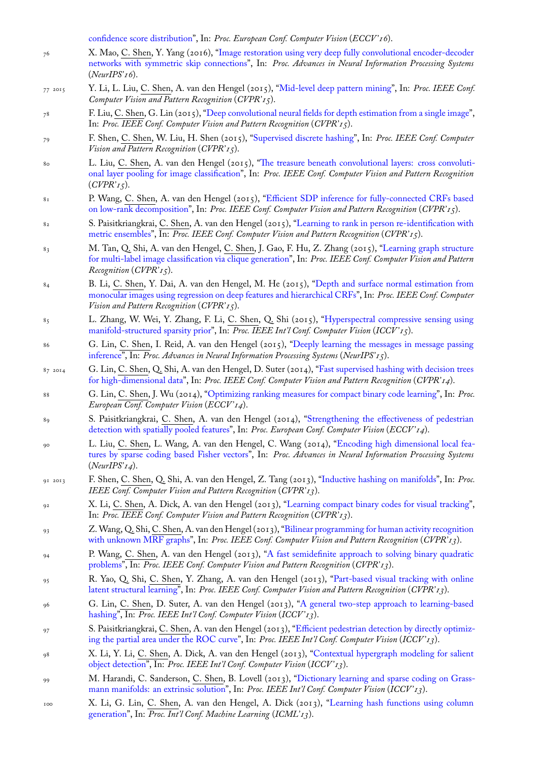- 76 X. Mao, C. Shen, Y. Yang (2016), "Image restoration using very deep fully convolutional encoder-decoder networks with symmetric skip connections", In: *Proc. Advances in Neural Information Processing Systems* (*NeurIPS'16*).
- 77 2015 [Y. Li, L. Liu,](http://www.google.com/search?lr=&ie=UTF-8&oe=UTF-8&q=Image+Co-localization+by+Mimicking+a+Good+Detector) C. Shen, A. van den Hengel (2015), "Mid-level deep pattern mining", In: *Proc. IEEE Conf. Computer Vision and Pattern Recognition* (*[CVPR'15](http://www.google.com/search?lr=&ie=UTF-8&oe=UTF-8&q=Image+Restoration+Using+Very+Deep+Fully+Convolutional+Encoder-Decoder+Networks+with+Symmetric+Skip+Connections+Mao,+Xiao-Jiao+and+Shen,+Chunhua+and+Yang,+Yu-Bin)*).
- 78 F. Liu, C. [Shen, G. Lin \(2015\), "Deep convo](http://www.google.com/search?lr=&ie=UTF-8&oe=UTF-8&q=Image+Restoration+Using+Very+Deep+Fully+Convolutional+Encoder-Decoder+Networks+with+Symmetric+Skip+Connections+Mao,+Xiao-Jiao+and+Shen,+Chunhua+and+Yang,+Yu-Bin)lutional neural fields for depth estimation from a single image", In: *Proc. IEEE Conf. Computer Vision and Pattern Recognition* (*CVPR'15*).
- 79 F. Shen, C. Shen, W. Liu, H. Shen (2015), "Superv[ised discrete hashing", In:](http://www.google.com/search?lr=&ie=UTF-8&oe=UTF-8&q=Mid-level+Deep+Pattern+Mining+Li,+Yao+and+Liu,+Lingqiao+and+Shen,+Chunhua+and+van+den+Hengel,+Anton) *Proc. IEEE Conf. Computer Vision and Pattern Recognition* (*CVPR'15*).
- 80 L. Liu, C. Shen, A. van den H[engel \(2015\), "The treasure beneath convolutional layers: cross convolut](http://www.google.com/search?lr=&ie=UTF-8&oe=UTF-8&q=Deep+Convolutional+Neural+Fields+for+Depth+Estimation+from+a+Single+Image+Liu,+Fayao+and+Shen,+Chunhua+and+Lin,+Guosheng)ional layer pooling for image classification", In: *Proc. IEEE Conf. Computer Vision and Pattern Recognition* (*CVPR'15*).
- 81 P. Wang, C. Shen, A. van den Hengel (2015), "Efficient SDP inference for fully-connected CRFs based on low-rank decomposition", In: *Proc. IEEE C[onf. Computer Vision and Pattern Recognition](http://www.google.com/search?lr=&ie=UTF-8&oe=UTF-8&q=The+Treasure+beneath+Convolutional+Layers:+Cross+convolutional+layer+Pooling+for+Image+Classification+Liu,+Lingqiao+and+Shen,+Chunhua+and+van+den+Hengel,+Anton)* (*CVPR'15*).
- 82 S. Paisitkriangkrai, C. [Shen, A. van den H](http://www.google.com/search?lr=&ie=UTF-8&oe=UTF-8&q=The+Treasure+beneath+Convolutional+Layers:+Cross+convolutional+layer+Pooling+for+Image+Classification+Liu,+Lingqiao+and+Shen,+Chunhua+and+van+den+Hengel,+Anton)engel (2015), "Learning to rank in person re-identification with metric ensembles", In: *Proc. IEEE Conf. Computer Vision and Pattern Recognition* (*CVPR'15*).
- 83 M. Tan, Q. Shi, A. van den Hengel, C. Shen, J. [Gao, F. Hu, Z. Zhang \(2015\), "Learning graph structure](http://www.google.com/search?lr=&ie=UTF-8&oe=UTF-8&q=Efficient+SDP+Inference+for+Fully-connected+CRFs+Based+on+Low-rank+Decomposition+Wang,+Peng+and+Shen,+Chunhua+and+van+den+Hengel,+Anton) [for multi-label image classifi](http://www.google.com/search?lr=&ie=UTF-8&oe=UTF-8&q=Efficient+SDP+Inference+for+Fully-connected+CRFs+Based+on+Low-rank+Decomposition+Wang,+Peng+and+Shen,+Chunhua+and+van+den+Hengel,+Anton)cation via clique generation", In: *Proc. IEEE Conf. Computer Vision and Pattern Recognition* (*CVPR'15*).
- 84 B. Li, C. [Shen, Y](http://www.google.com/search?lr=&ie=UTF-8&oe=UTF-8&q=Learning+to+rank+in+person+re-identification+with+metric+ensembles+Paisitkriangkrai,+Sakrapee+and+Shen,+Chunhua+and+van+den+Hengel,+Anton). Dai, A. van den Hengel, M. He (2015), "Depth and surface normal estimation from monocular images using regression on deep features and hierarchical CRFs", In: *P[roc. IEEE Conf. Computer](http://www.google.com/search?lr=&ie=UTF-8&oe=UTF-8&q=Learning+Graph+Structure+for+Multi-label+Image+Classification+via+Clique+Generation+Tan,+Mingkui+and+Shi,+Qinfeng+and+van+den+Hengel,+Anton+and+Shen,+Chunhua+and+Gao,+Junbin+and+Hu,+Fuyuan+and+Zhang,+Zhen) [Vision and Pattern Recognition](http://www.google.com/search?lr=&ie=UTF-8&oe=UTF-8&q=Learning+Graph+Structure+for+Multi-label+Image+Classification+via+Clique+Generation+Tan,+Mingkui+and+Shi,+Qinfeng+and+van+den+Hengel,+Anton+and+Shen,+Chunhua+and+Gao,+Junbin+and+Hu,+Fuyuan+and+Zhang,+Zhen)* (*CVPR'15*).
- <sup>85</sup> L. Zhang, W. Wei, Y. Zhang, F. Li, C. Shen, Q. Shi (2015), "Hyperspectral compressive sensing using manifold-structured sparsity prior", In: *Proc. IEEE Int'l Conf. [Computer Vision](http://www.google.com/search?lr=&ie=UTF-8&oe=UTF-8&q=Depth+and+Surface+Normal+Estimation+from+Monocular+Images+Using+Regression+on+Deep+Features+and+Hierarchical+CRFs+Li,+Bo+and+Shen,+Chunhua+and+Dai,+Yuchao+and+van+den+Hengel,+Anton+and+He,+Mingyi)* (*ICCV '15*).
- <sup>86</sup> G. Lin, C. [Shen, I. Reid, A. van den Hengel \(2015\), "Deeply learning t](http://www.google.com/search?lr=&ie=UTF-8&oe=UTF-8&q=Depth+and+Surface+Normal+Estimation+from+Monocular+Images+Using+Regression+on+Deep+Features+and+Hierarchical+CRFs+Li,+Bo+and+Shen,+Chunhua+and+Dai,+Yuchao+and+van+den+Hengel,+Anton+and+He,+Mingyi)he messages in message passing inference", In: *Proc. Advances in Neural Information Processing Systems* (*NeurIPS'15*).
- $87 \times 2014$  G. Lin, C. Shen, Q. Shi, A. van den Hengel, D. Suter (2014), "[Fast supervised hashing with decision trees](http://www.google.com/search?lr=&ie=UTF-8&oe=UTF-8&q=Hyperspectral+Compressive+Sensing+Using+Manifold-Structured+Sparsity+Prior+Zhang,+Lei+and+Wei,+Wei+and+Zhang,+Yanning+and+Li,+Fei+and+Shen,+Chunhua+and+Shi,+Qinfeng) [for high-dimensional data", In:](http://www.google.com/search?lr=&ie=UTF-8&oe=UTF-8&q=Hyperspectral+Compressive+Sensing+Using+Manifold-Structured+Sparsity+Prior+Zhang,+Lei+and+Wei,+Wei+and+Zhang,+Yanning+and+Li,+Fei+and+Shen,+Chunhua+and+Shi,+Qinfeng) *Proc. IEEE Conf. Computer Vision and Pattern Recognition* (*CVPR'14*).
- <sup>88</sup> G. Lin, C. Shen, J. Wu (2014), "Optimizing ranking m[easures for compact binary code learning", In:](http://www.google.com/search?lr=&ie=UTF-8&oe=UTF-8&q=Deeply+Learning+the+Messages+in+Message+Passing+Inference+Lin,+Guosheng+and+Shen,+Chunhua+and+Reid,+Ian+and+van+den+Hengel,+Anton) *Proc. [European](http://www.google.com/search?lr=&ie=UTF-8&oe=UTF-8&q=Deeply+Learning+the+Messages+in+Message+Passing+Inference+Lin,+Guosheng+and+Shen,+Chunhua+and+Reid,+Ian+and+van+den+Hengel,+Anton) Conf. Computer Vision* (*ECCV '14*).
- 89 S. Paisitkriangkrai, C. Shen, A. van den Hengel (2014), "Str[engthening the effectiveness of pedestrian](http://www.google.com/search?lr=&ie=UTF-8&oe=UTF-8&q=Fast+Supervised+Hashing+with+Decision+Trees+for+High-Dimensional+Data+Lin,+Guosheng+and+Shen,+Chunhua+and+Shi,+Qinfeng+and+van+den+Hengel,+Anton+and+Suter,+David) [detection with spatially po](http://www.google.com/search?lr=&ie=UTF-8&oe=UTF-8&q=Fast+Supervised+Hashing+with+Decision+Trees+for+High-Dimensional+Data+Lin,+Guosheng+and+Shen,+Chunhua+and+Shi,+Qinfeng+and+van+den+Hengel,+Anton+and+Suter,+David)oled features", In: *Proc. European Conf. Computer Vision* (*ECCV '14*).
- <sup>90</sup> L. Liu, C. Shen, L. Wang, A. [van den Hengel, C. Wang \(2014\), "Encoding high dimensiona](http://www.google.com/search?lr=&ie=UTF-8&oe=UTF-8&q=Optimizing+Ranking+Measures+for+Compact+Binary+Code+Learning+Lin,+Guosheng+and+Shen,+Chunhua+and+Wu,+Jianxin)l local features by sparse coding based Fisher vectors", In: *Proc. Advances in Neural Information Processing Systems* (*NeurIPS'14*).
- 91 2013 F. Shen, C. [Shen, Q. Shi, A. van den H](http://www.google.com/search?lr=&ie=UTF-8&oe=UTF-8&q=Strengthening+the+Effectiveness+of+Pedestrian+Detection+with+Spatially+Pooled+Features+Paisitkriangkrai,+Sakrapee+and+Shen,+Chunhua+and+van+den+Hengel,+Anton)engel, Z. Tang (2013), "Inductive hashing on manifolds", In: *Proc. IEEE Conf. Computer Vision and Pattern Recognition* (*CVPR'13*).
- <sup>92</sup> X. Li, C. [Shen, A. Dick, A. van den Henge](http://www.google.com/search?lr=&ie=UTF-8&oe=UTF-8&q=Encoding+High+Dimensional+Local+Features+by+Sparse+Coding+Based+Fisher+Vectors+Liu,+Lingqiao+and+Shen,+Chunhua+and+Wang,+Lei+and+van+den+Hengel,+Anton+and+Wang,+Chao)l (2013), "Learning compact binary codes for visual tracking", In: *Proc. IEEE Conf. Computer Vision and Pattern Recognition* (*CVPR'13*).
- <sup>93</sup> Z. Wang, Q. Shi, C. Shen, A. van den Hengel (2013), "Bilinear p[rogramming for human activity re](http://www.google.com/search?lr=&ie=UTF-8&oe=UTF-8&q=Inductive+Hashing+on+Manifolds+Shen,+Fumin+and+Shen,+Chunhua+and+Shi,+Qinfeng+and+van+den+Hengel,+Anton+and+Tang,+Zhenmin)cognition with unknown MRF graphs", In: *Proc. IEEE Conf. Computer Vision and Pattern Recognition* (*CVPR'13*).
- <sup>94</sup> P. Wang, C. Shen, A. van den Hengel (2013), "A fas[t semidefinite approach to solving binary quadrati](http://www.google.com/search?lr=&ie=UTF-8&oe=UTF-8&q=Learning+Compact+Binary+Codes+for+Visual+Tracking+Li,+Xi+and+Shen,+Chunhua+and+Dick,+Anthony+and+van+den+Hengel,+Anton)c problems", In: *Proc. IEEE Conf. Computer Vision and Pattern Recognition* (*CVPR'13*).
- <sup>95</sup> R. Yao, Q. Shi, C. Shen, Y. Zhang, A. van den He[ngel \(2013\), "Part-based visual tracking with online](http://www.google.com/search?lr=&ie=UTF-8&oe=UTF-8&q=Bilinear+Programming+for+Human+Activity+Recognition+with+unknown+MRF+graphs+Wang,+Zhenhua+and+Shi,+Qinfeng+and+Shen,+Chunhua+and+van+den+Hengel,+Anton) [latent structural learning", In](http://www.google.com/search?lr=&ie=UTF-8&oe=UTF-8&q=Bilinear+Programming+for+Human+Activity+Recognition+with+unknown+MRF+graphs+Wang,+Zhenhua+and+Shi,+Qinfeng+and+Shen,+Chunhua+and+van+den+Hengel,+Anton): *Proc. IEEE Conf. Computer Vision and Pattern Recognition* (*CVPR'13*).
- <sup>96</sup> G. Lin, C. Shen, D. Suter, A. van den Hengel [\(2013\), "A general two-step approach to learning-based](http://www.google.com/search?lr=&ie=UTF-8&oe=UTF-8&q=A+Fast+Semidefinite+Approach+to+Solving+Binary+Quadratic+Problems+Wang,+Peng+and+Shen,+Chunhua+and+van+den+Hengel,+Anton) [hashing",](http://www.google.com/search?lr=&ie=UTF-8&oe=UTF-8&q=A+Fast+Semidefinite+Approach+to+Solving+Binary+Quadratic+Problems+Wang,+Peng+and+Shen,+Chunhua+and+van+den+Hengel,+Anton) In: *Proc. IEEE Int'l Conf. Computer Vision* (*ICCV '13*).
- <sup>97</sup> S. Paisitkriangkrai, C. Shen, A. van den Hengel (2013), "Efficient p[edestrian detection by directly optimiz](http://www.google.com/search?lr=&ie=UTF-8&oe=UTF-8&q=Part-based+Visual+Tracking+with+Online+Latent+Structural+Learning+Yao,+Rui+and+Shi,+Qinfeng+and+Shen,+Chunhua+and+Zhang,+Yanning+and+van+den+Hengel,+Anton)[ing the partial area under](http://www.google.com/search?lr=&ie=UTF-8&oe=UTF-8&q=Part-based+Visual+Tracking+with+Online+Latent+Structural+Learning+Yao,+Rui+and+Shi,+Qinfeng+and+Shen,+Chunhua+and+Zhang,+Yanning+and+van+den+Hengel,+Anton) the ROC curve", In: *Proc. IEEE Int'l Conf. Computer Vision* (*ICCV '13*).
- <sup>98</sup> X. Li, Y. Li, C. Shen, A. Dick, A. van den Hengel (201[3\), "Contextual hypergraph modeling for salient](http://www.google.com/search?lr=&ie=UTF-8&oe=UTF-8&q=A+General+Two-step+Approach+to+Learning-Based+Hashing+Lin,+Guosheng+and+Shen,+Chunhua+and+Suter,+David+and+van+den+Hengel,+Anton) [object d](http://www.google.com/search?lr=&ie=UTF-8&oe=UTF-8&q=A+General+Two-step+Approach+to+Learning-Based+Hashing+Lin,+Guosheng+and+Shen,+Chunhua+and+Suter,+David+and+van+den+Hengel,+Anton)etection", In: *Proc. IEEE Int'l Conf. Computer Vision* (*ICCV '13*).
- <sup>99</sup> M. Harandi, C. Sanderson, C. Shen, B. Lovell (2013), ["Dictionary learning and sparse coding on Grass](http://www.google.com/search?lr=&ie=UTF-8&oe=UTF-8&q=Efficient+pedestrian+detection+by+directly+optimizing+the+partial+area+under+the+ROC+curve+Paisitkriangkrai,+Sakrapee+and+Shen,+Chunhua+and+van+den+Hengel,+Anton)[mann manifolds: an extrinsic solution", In](http://www.google.com/search?lr=&ie=UTF-8&oe=UTF-8&q=Efficient+pedestrian+detection+by+directly+optimizing+the+partial+area+under+the+ROC+curve+Paisitkriangkrai,+Sakrapee+and+Shen,+Chunhua+and+van+den+Hengel,+Anton): *Proc. IEEE Int'l Conf. Computer Vision* (*ICCV '13*).
- <sup>100</sup> X. Li, G. Lin, C. Shen, A. van den Hengel, A. Dick (201[3\), "Learning hash functions using column](http://www.google.com/search?lr=&ie=UTF-8&oe=UTF-8&q=Contextual+Hypergraph+Modeling+for+Salient+Object+Detection+Li,+Xi+and+Li,+Yao+and+Shen,+Chunhua+and+Dick,+Anthony+and+van+den+Hengel,+Anton) [generation", In:](http://www.google.com/search?lr=&ie=UTF-8&oe=UTF-8&q=Contextual+Hypergraph+Modeling+for+Salient+Object+Detection+Li,+Xi+and+Li,+Yao+and+Shen,+Chunhua+and+Dick,+Anthony+and+van+den+Hengel,+Anton) *Proc. Int'l Conf. Machine Learning* (*ICML'13*).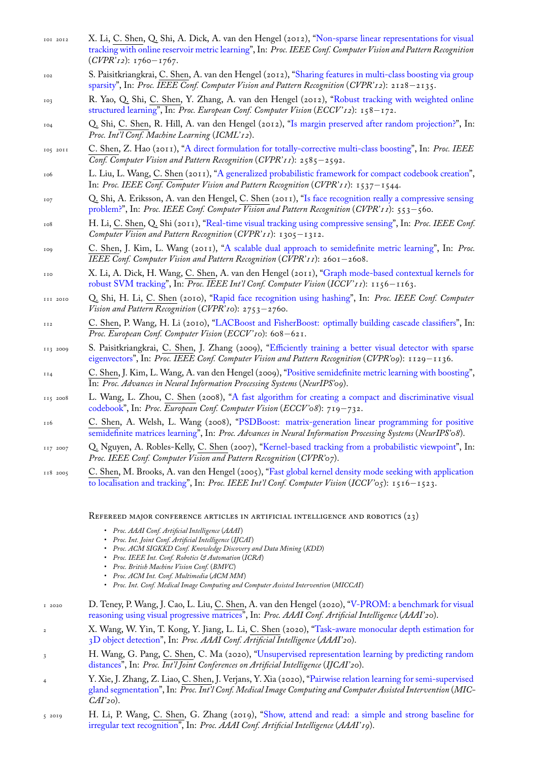- tracking with online reservoir metric learning", In: *Proc. IEEE Conf. Computer Vision and Pattern Recognition* (*CVPR'12*): 1760*−*1767.
- 102 S. Paisitkriangkrai, C. Shen, A. van den Hengel (2012), "Sharing features in multi-class boosting via group sparsity", In: *Proc. IEEE Conf. Computer Vision and Pattern Recognition* (*[CVPR'12](http://www.google.com/search?lr=&ie=UTF-8&oe=UTF-8&q=Non-sparse+Linear+Representations+for+Visual+Tracking+with+Online+Reservoir+Metric+Learning+Li,+Xi+and+Shen,+Chunhua+and+Shi,+Qinfeng+and+Dick,+Anthony+and+van+den+Hengel,+Anton)*): 2128*−*2135.
- 103 R. Yao, Q. Shi, C. [Shen, Y. Zhang, A. van](http://www.google.com/search?lr=&ie=UTF-8&oe=UTF-8&q=Non-sparse+Linear+Representations+for+Visual+Tracking+with+Online+Reservoir+Metric+Learning+Li,+Xi+and+Shen,+Chunhua+and+Shi,+Qinfeng+and+Dick,+Anthony+and+van+den+Hengel,+Anton) den Hengel (2012), "Robust tracking with weighted online structured learning", In: *Proc. European Conf. Computer Vision* (*ECCV '12*): 158*−*172.
- 104 Q. Shi, C. Shen, R. Hill, A. van den Hengel (2012), "I[s margin preserved after random projection?", In:](http://www.google.com/search?lr=&ie=UTF-8&oe=UTF-8&q=Sharing+Features+in+Multi-class+Boosting+via+Group+Sparsity+Paisitkriangkrai,+Sakrapee+and+Shen,+Chunhua+and+van+den+Hengel,+Anton) *[Proc. In](http://www.google.com/search?lr=&ie=UTF-8&oe=UTF-8&q=Sharing+Features+in+Multi-class+Boosting+via+Group+Sparsity+Paisitkriangkrai,+Sakrapee+and+Shen,+Chunhua+and+van+den+Hengel,+Anton)t'l Conf. Machine Learning* (*ICML'12*).
- 105 2011 C. Shen, Z. Hao (2011), "A direct formulation for totally-correctiv[e multi-class boosting", In:](http://www.google.com/search?lr=&ie=UTF-8&oe=UTF-8&q=Robust+Tracking+with+Weighted+Online+Structured+Learning+Yao,+Rui+and+Shi,+Qinfeng+and+Shen,+Chunhua+and+Zhang,+Yanning+and+van+den+Hengel,+Anton) *Proc. IEEE [Conf. Computer Visi](http://www.google.com/search?lr=&ie=UTF-8&oe=UTF-8&q=Robust+Tracking+with+Weighted+Online+Structured+Learning+Yao,+Rui+and+Shi,+Qinfeng+and+Shen,+Chunhua+and+Zhang,+Yanning+and+van+den+Hengel,+Anton)on and Pattern Recognition* (*CVPR'11*): 2585*−*2592.
- 106 L. Liu, L. Wang, C. Shen (2011), "A generalized proba[bilistic framework for compact codebook creat](http://www.google.com/search?lr=&ie=UTF-8&oe=UTF-8&q=Is+margin+preserved+after+random+projection?+Shi,+Qinfeng+and+Shen,+Chunhua+and+Hill,+Rhys+and+van+den+Hengel,+Anton)ion", In: *Proc. IEEE Conf. Computer Vision and Pattern Recognition* (*CVPR'11*): 1537*−*1544.
- 107 Q. Shi, A. Eriksson, A. van den Hengel, C. [Shen \(2011\), "Is face recognition really a com](http://www.google.com/search?lr=&ie=UTF-8&oe=UTF-8&q=A+direct+formulation+for+totally-corrective+multi-class+boosting+Shen,+Chunhua+and+Hao,+Zhihui)pressive sensing problem?", In: *Proc. IEEE Conf. Computer Vision and Pattern Recognition* (*CVPR'11*): 553*−*560.
- 108 H. Li, C. Shen, Q. Shi (2011), "Re[al-time visual tracking using compressive sensing", In:](http://www.google.com/search?lr=&ie=UTF-8&oe=UTF-8&q=A+generalized+probabilistic+framework+for+compact+codebook+creation+Liu,+Lingqiao+and+Wang,+Lei+and+Shen,+Chunhua) *Proc. IEEE Conf. Computer Vision and Pattern Recognition* (*CVPR'11*): 1305*−*1312.
- 109 C. Shen, J. Kim, L. Wang (2011), "A scalable dual appr[oach to semidefinite metric learning", In:](http://www.google.com/search?lr=&ie=UTF-8&oe=UTF-8&q=Is+face+recognition+really+a+Compressive+Sensing+problem?+Shi,+Qinfeng+and+Eriksson,+Anders+and+van+den+Hengel,+Anton+and+Shen,+Chunhua) *Proc. [IEEE Con](http://www.google.com/search?lr=&ie=UTF-8&oe=UTF-8&q=Is+face+recognition+really+a+Compressive+Sensing+problem?+Shi,+Qinfeng+and+Eriksson,+Anders+and+van+den+Hengel,+Anton+and+Shen,+Chunhua)f. Computer Vision and Pattern Recognition* (*CVPR'11*): 2601*−*2608.
- 110 X. Li, A. Dick, H. Wang, C. S[hen, A. van den Hengel \(2011\), "Graph mode-based](http://www.google.com/search?lr=&ie=UTF-8&oe=UTF-8&q=Real-time+visual+tracking+Using+compressive+sensing+Li,+Hanxi+and+Shen,+Chunhua+and+Shi,+Qinfeng) contextual kernels for robust SVM tracking", In: *Proc. IEEE Int'l Conf. Computer Vision* (*ICCV '11*): 1156*−*1163.
- 111 2010 Q. Shi, H. Li, C. Shen (2010), "Ra[pid face recognition using hashing", In:](http://www.google.com/search?lr=&ie=UTF-8&oe=UTF-8&q=A+Scalable+Dual+Approach+to+Semidefinite+Metric+Learning+Shen,+Chunhua+and+Kim,+Junae+and+Wang,+Lei) *Proc. IEEE Conf. Computer Vision and Pattern Recognition* (*CVPR'10*): 2753*−*2760.
- <sup>112</sup> C. Shen, P. Wang, H. Li (2010), "LACBoost and FisherBoost: [optimally building cascade classifiers", In:](http://www.google.com/search?lr=&ie=UTF-8&oe=UTF-8&q=Graph+mode-based+contextual+kernels+for+robust+SVM+tracking+Li,+Xi+and+Dick,+Anthony+and+Wang,+Hanzi+and+Shen,+Chunhua+and+van+den+Hengel,+Anton) *[Proc. European Conf. C](http://www.google.com/search?lr=&ie=UTF-8&oe=UTF-8&q=Graph+mode-based+contextual+kernels+for+robust+SVM+tracking+Li,+Xi+and+Dick,+Anthony+and+Wang,+Hanzi+and+Shen,+Chunhua+and+van+den+Hengel,+Anton)omputer Vision* (*ECCV '10*): 608*−*621.
- 113 2009 S. Paisitkriangkrai, C. Shen, J. [Zhang \(2009\), "Efficiently training a](http://www.google.com/search?lr=&ie=UTF-8&oe=UTF-8&q=Rapid+face+recognition+using+hashing+Shi,+Qinfeng+and+Li,+Hanxi+and+Shen,+Chunhua) better visual detector with sparse eigenvectors", In: *Proc. IEEE Conf. Computer Vision and Pattern Recognition* (*CVPR'09*): 1129*−*1136.
- <sup>114</sup> C. Shen, J. Kim, L. Wang, A. van [den Hengel \(2009\), "Positive semidefinite metric learning with boost](http://www.google.com/search?lr=&ie=UTF-8&oe=UTF-8&q=LACBoost+and+FisherBoost:+Optimally+Building+Cascade+Classifiers+Shen,+Chunhua+and+Wang,+Peng+and+Li,+Hanxi)ing", In: *Proc. Advances in Neural Information Processing Systems* (*NeurIPS'09*).
- 115 2008 L. Wang, L. Zhou, C. Shen (2008), "A fast alg[orithm for creating a compact and discriminative visual](http://www.google.com/search?lr=&ie=UTF-8&oe=UTF-8&q=Efficiently+Training+a+Better+Visual+Detector+with+Sparse+Eigenvectors+Paisitkriangkrai,+Sakrapee+and+Shen,+Chunhua+and+Zhang,+Jian) [codebook", I](http://www.google.com/search?lr=&ie=UTF-8&oe=UTF-8&q=Efficiently+Training+a+Better+Visual+Detector+with+Sparse+Eigenvectors+Paisitkriangkrai,+Sakrapee+and+Shen,+Chunhua+and+Zhang,+Jian)n: *Proc. European Conf. Computer Vision* (*ECCV '08*): 719*−*732.
- <sup>116</sup> C. Shen, A. Welsh, L. Wang (2008), "PSDBoost: [matrix-generation linear programming for positiv](http://www.google.com/search?lr=&ie=UTF-8&oe=UTF-8&q=Positive+semidefinite+metric+learning+with+Boosting+Shen,+Chunhua+and+Kim,+Junae+and+Wang,+Lei+and+van+den+Hengel,+Anton)e semidefinite matrices learning", In: *Proc. Advances in Neural Information Processing Systems* (*NeurIPS'08*).
- 117 2007 Q. Nguyen, A. Robles-Kelly, C. Shen [\(2007\), "Kernel-based tracking from a probabilistic viewpoint", In:](http://www.google.com/search?lr=&ie=UTF-8&oe=UTF-8&q=A+Fast+Algorithm+for+Creating+a+Compact+and+Discriminative+Visual+Codebook+Wang,+Lei+and+Zhou,+Luping+and+Shen,+Chunhua) *[Proc. IEE](http://www.google.com/search?lr=&ie=UTF-8&oe=UTF-8&q=A+Fast+Algorithm+for+Creating+a+Compact+and+Discriminative+Visual+Codebook+Wang,+Lei+and+Zhou,+Luping+and+Shen,+Chunhua)E Conf. Computer Vision and Pattern Recognition* (*CVPR'07*).
- 118 2005 C. Shen, M. Brooks, A. van den Hengel [\(2005\), "Fast global kernel density mode seeking with application](http://www.google.com/search?lr=&ie=UTF-8&oe=UTF-8&q=PSDBoost:+Matrix-generation+linear+programming+for+positive+semidefinite+matrices+learning+Shen,+Chunhua+and+Welsh,+Alan+and+Wang,+Lei) [to localisation and tracking", I](http://www.google.com/search?lr=&ie=UTF-8&oe=UTF-8&q=PSDBoost:+Matrix-generation+linear+programming+for+positive+semidefinite+matrices+learning+Shen,+Chunhua+and+Welsh,+Alan+and+Wang,+Lei)n: *Proc. IEEE Int'l Conf. Computer Vision* (*ICCV '05*): 1516*[−](http://www.google.com/search?lr=&ie=UTF-8&oe=UTF-8&q=Kernel-based+tracking+from+a+probabilistic+viewpoint+Nguyen,+Quang+and+Robles-Kelly,+Antonio+and+Shen,+Chunhua)*1523.

REFEREED MAJOR CONFERENCE ARTICLES IN ARTI[FICIAL INTELLIGENCE AND ROBOTICS \(23\)](http://www.google.com/search?lr=&ie=UTF-8&oe=UTF-8&q=Fast+global+kernel+density+mode+seeking+with+application+to+localisation+and+tracking+Shen,+Chunhua+and+Brooks,+Michael+J.+and+van+den+Hengel,+Anton)

- *[Proc. AAAI Conf. Artificial](http://www.google.com/search?lr=&ie=UTF-8&oe=UTF-8&q=Fast+global+kernel+density+mode+seeking+with+application+to+localisation+and+tracking+Shen,+Chunhua+and+Brooks,+Michael+J.+and+van+den+Hengel,+Anton) Intelligence* (*AAAI*)
- *Proc. Int. Joint Conf. Artificial Intelligence* (*IJCAI*)
- *Proc. ACM SIGKKD Conf. Knowledge Discovery and Data Mining* (*KDD*)
- *Proc. IEEE Int. Conf. Robotics & Automation* (*ICRA*)
- *Proc. British Machine Vision Conf.* (*BMVC*)
- *Proc. ACM Int. Conf. Multimedia* (*ACM MM*)
- *Proc. Int. Conf. Medical Image Computing and Computer Assisted Intervention* (*MICCAI*)
- 1 2020 D. Teney, P. Wang, J. Cao, L. Liu, C. Shen, A. van den Hengel (2020), "V-PROM: a benchmark for visual reasoning using visual progressive matrices", In: *Proc. AAAI Conf. Artificial Intelligence* (*AAAI'20*).
- <sup>2</sup> X. Wang, W. Yin, T. Kong, Y. Jiang, L. Li, C. Shen (2020), "Task-aware monocular depth estimation for 3D object detection", In: *Proc. AAAI Conf. Artificial Intelligence* (*AAAI'20*).
- <sup>3</sup> H. Wang, G. Pang, C. Shen, C. Ma (2020), "Unsupervised representat[ion learning by predicting random](http://www.google.com/search?lr=&ie=UTF-8&oe=UTF-8&q=V-PROM:+A+Benchmark+for+Visual+Reasoning+Using+Visual+Progressive+Matrices+Teney,+Damien+and+Wang,+Peng+and+Cao,+Jiewei+and+Liu,+Lingqiao+and+Shen,+Chunhua+and+van+den+Hengel,+Anton) distances", In: *[Proc. Int'l Joint Conferences o](http://www.google.com/search?lr=&ie=UTF-8&oe=UTF-8&q=V-PROM:+A+Benchmark+for+Visual+Reasoning+Using+Visual+Progressive+Matrices+Teney,+Damien+and+Wang,+Peng+and+Cao,+Jiewei+and+Liu,+Lingqiao+and+Shen,+Chunhua+and+van+den+Hengel,+Anton)n Artificial Intelligence* (*IJCAI'20*).
- <sup>4</sup> Y. Xie, J. Zhang, Z. Liao, C. Shen, J. Verjans, Y. Xia (2020), "[Pairwise relation learning for semi-supervised](http://www.google.com/search?lr=&ie=UTF-8&oe=UTF-8&q=Task-Aware+Monocular+Depth+Estimation+for+3D+Object+Detection+Wang,+Xinlong+and+Yin,+Wei+and+Kong,+Tao+and+Jiang,+Yuning+and+Li,+Lei+and+Shen,+Chunhua) [gland segmentation"](http://www.google.com/search?lr=&ie=UTF-8&oe=UTF-8&q=Task-Aware+Monocular+Depth+Estimation+for+3D+Object+Detection+Wang,+Xinlong+and+Yin,+Wei+and+Kong,+Tao+and+Jiang,+Yuning+and+Li,+Lei+and+Shen,+Chunhua), In: *Proc. Int'l Conf. Medical Image Computing and Computer Assisted Intervention* (*MIC-CAI'20*).
- 5 2019 [H. Li, P.](http://www.google.com/search?lr=&ie=UTF-8&oe=UTF-8&q=Unsupervised+Representation+Learning+by+Predicting+Random+Distances+Wang,+Hu+and+Pang,+Guansong+and+Shen,+Chunhua+and+Ma,+Congbo) Wang, C. Shen, G. Zhang (2019), "Show, attend and read: a simple and strong baseline for irregular text recognition", In: *Proc. AAAI Conf. Artificial Intelligence* (*[AAAI'19](http://www.google.com/search?lr=&ie=UTF-8&oe=UTF-8&q=Pairwise+Relation+Learning+for+Semi-supervised+Gland+Segmentation+Xie,+Yutong+and+Zhang,+Jianpeng+and+Liao,+Zhibin+and+Shen,+Chunhua+and+Verjans,+Johan+and+Xia,+Yong)*).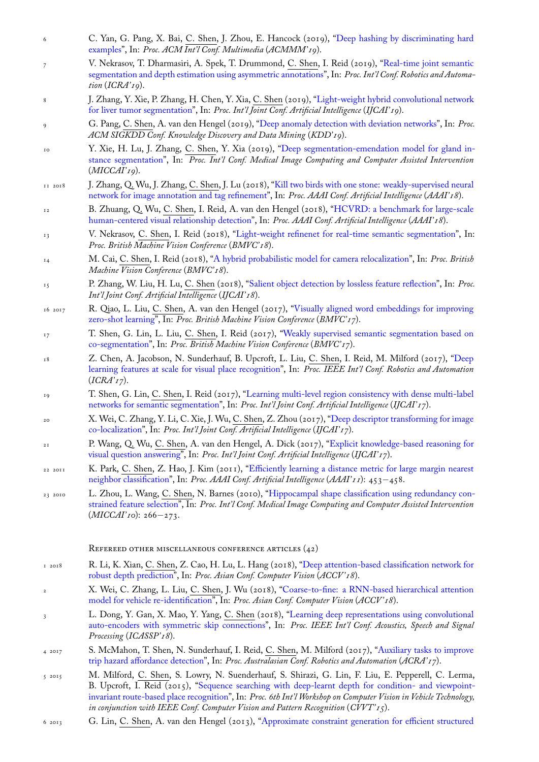- examples", In: *Proc. ACM Int'l Conf. Multimedia* (*ACMMM'19*).
- 7 V. Nekrasov, T. Dharmasiri, A. Spek, T. Drummond, C. Shen, I. Reid (2019), "Real-time joint semantic segmentation and depth estimation using asymmetric annotations", In: *Proc. Int'l Conf. Robotics and Automation* (*ICRA'19*).
- 8 [J. Zhang,](http://www.google.com/search?lr=&ie=UTF-8&oe=UTF-8&q=Deep+Hashing+by+Discriminating+Hard+Examples+Yan,+Cheng+and+Pang,+Guansong+and+Bai,+Xiao+and+Shen,+Chunhua+and+Zhou,+Jun+and+Hancock,+Edwin) Y. Xie, P. Zhang, H. Chen, Y. Xia, C. Shen (2019), "Light-weight hybrid convolutional network for liver tumor segmentation", In: *Proc. Int'l Joint Conf. Artificial Intelligence* (*IJC[AI'19](http://www.google.com/search?lr=&ie=UTF-8&oe=UTF-8&q=Real-Time+Joint+Semantic+Segmentation+and+Depth+Estimation+Using+Asymmetric+Annotations+Nekrasov,+Vladimir+and+Dharmasiri,+Thanuja+and+Spek,+Andrew+and+Drummond,+Tom+and+Shen,+Chunhua+and+Reid,+Ian)*).
- 9 G. Pang, C. [Shen, A. van den Hengel \(2019\), "Deep anomaly det](http://www.google.com/search?lr=&ie=UTF-8&oe=UTF-8&q=Real-Time+Joint+Semantic+Segmentation+and+Depth+Estimation+Using+Asymmetric+Annotations+Nekrasov,+Vladimir+and+Dharmasiri,+Thanuja+and+Spek,+Andrew+and+Drummond,+Tom+and+Shen,+Chunhua+and+Reid,+Ian)ection with deviation networks", In: *Proc. ACM SIGKDD Conf. Knowledge Discovery and Data Mining* (*KDD'19*).
- 10 Y. Xie, H. Lu, J. Zhang, C. Shen, Y. Xia (2019), "Deep seg[mentation-emendation model for gland in](http://www.google.com/search?lr=&ie=UTF-8&oe=UTF-8&q=Light-Weight+Hybrid+Convolutional+Network+for+Liver+Tumor+Segmentation+Zhang,+Jianpeng+and+Xie,+Yutong+and+Zhang,+Pingping+and+Chen,+Hao+and+Xia,+Yong+and+Shen,+Chunhua)[stance segmentation", In:](http://www.google.com/search?lr=&ie=UTF-8&oe=UTF-8&q=Light-Weight+Hybrid+Convolutional+Network+for+Liver+Tumor+Segmentation+Zhang,+Jianpeng+and+Xie,+Yutong+and+Zhang,+Pingping+and+Chen,+Hao+and+Xia,+Yong+and+Shen,+Chunhua) *Proc. Int'l Conf. Medical Image Computing and Computer Assisted Intervention* (*MICCAI'19*).
- 11 2018 J. Zhang, Q. Wu, J. Zhang, C. Shen, J. Lu (2018), "Kill two birds with one stone: weakly-supervised neural network for image annotation and tag refinement", In: *[Proc. AAAI Conf. Artificial Intelligence](http://www.google.com/search?lr=&ie=UTF-8&oe=UTF-8&q=Deep+Segmentation-Emendation+Model+for+Gland+Instance+Segmentation+Xie,+Yutong+and+Lu,+Hao+and+Zhang,+Jianpeng+and+Shen,+Chunhua+and+Xia,+Yong)* (*AAAI'18*).
- 12 [B. Zhuang, Q. Wu,](http://www.google.com/search?lr=&ie=UTF-8&oe=UTF-8&q=Deep+Segmentation-Emendation+Model+for+Gland+Instance+Segmentation+Xie,+Yutong+and+Lu,+Hao+and+Zhang,+Jianpeng+and+Shen,+Chunhua+and+Xia,+Yong) C. Shen, I. Reid, A. van den Hengel (2018), "HCVRD: a benchmark for large-scale human-centered visual relationship detection", In: *Proc. AAAI Conf. Artificial Intelligence* (*AAAI'18*).
- 13 V. Nekrasov, C. Shen, I. Reid (2018), "Light-wei[ght refinenet for real-time semantic segmentation", In:](http://www.google.com/search?lr=&ie=UTF-8&oe=UTF-8&q=Kill+Two+Birds+with+One+Stone:+Weakly-Supervised+Neural+Network+for+Image+Annotation+and+Tag+Refinement+Zhang,+Junjie+and+Wu,+Qi+and+Zhang,+Jian+and+Shen,+Chunhua+and+Lu,+Jianfeng) *[Proc. British Machine Vision Conference](http://www.google.com/search?lr=&ie=UTF-8&oe=UTF-8&q=Kill+Two+Birds+with+One+Stone:+Weakly-Supervised+Neural+Network+for+Image+Annotation+and+Tag+Refinement+Zhang,+Junjie+and+Wu,+Qi+and+Zhang,+Jian+and+Shen,+Chunhua+and+Lu,+Jianfeng)* (*BMVC'18*).
- <sup>14</sup> M. Cai, C. Shen, I. Reid (2018), "A hybrid probabilistic model for [camera relocalization", In:](http://www.google.com/search?lr=&ie=UTF-8&oe=UTF-8&q=HCVRD:+a+benchmark+for+large-scale+Human-Centered+Visual+Relationship+Detection+Zhuang,+Bohan+and+Wu,+Qi+and+Shen,+Chunhua+and+Reid,+Ian+and+van+den+Hengel,+Anton) *Proc. British [Machine Vision Conference](http://www.google.com/search?lr=&ie=UTF-8&oe=UTF-8&q=HCVRD:+a+benchmark+for+large-scale+Human-Centered+Visual+Relationship+Detection+Zhuang,+Bohan+and+Wu,+Qi+and+Shen,+Chunhua+and+Reid,+Ian+and+van+den+Hengel,+Anton)* (*BMVC'18*).
- 15 P. Zhang, W. Liu, H. Lu, C. Shen (201[8\), "Salient object detection by lossless feature reflection", In:](http://www.google.com/search?lr=&ie=UTF-8&oe=UTF-8&q=Light-Weight+RefineNet+for+Real-Time+Semantic+Segmentation+Nekrasov,+Vladimir+and+Shen,+Chunhua+and+Reid,+Ian) *Proc. Int'l Joint Conf. Artificial Intelligence* (*IJCAI'18*).
- 16 2017 R. Qiao, L. Liu, C. Shen, A. van [den Hengel \(2017\), "Visually aligned word embeddin](http://www.google.com/search?lr=&ie=UTF-8&oe=UTF-8&q=A+Hybrid+Probabilistic+Model+for+Camera+Relocalization+Cai,+Ming+and+Shen,+Chunhua+and+Reid,+Ian)gs for improving zero-shot learning", In: *Proc. British Machine Vision Conference* (*BMVC'17*).
- <sup>17</sup> T. Shen, G. Lin, L. Liu, C. Shen, I. Reid [\(2017\), "Weakly supervised semantic segmentation](http://www.google.com/search?lr=&ie=UTF-8&oe=UTF-8&q=Salient+Object+Detection+by+Lossless+Feature+Reflection+Zhang,+Pingping+and+Liu,+Wei+and+Lu,+Huchuan+and+Shen,+Chunhua) based on co-segmentation", In: *Proc. British Machine Vision Conference* (*BMVC'17*).
- <sup>18</sup> Z. Chen, A. Jacobson, N. Sunderhauf, B. Upcroft, L. Liu, C. [Shen, I. Reid, M. Milford \(2017\), "Deep](http://www.google.com/search?lr=&ie=UTF-8&oe=UTF-8&q=Visually+Aligned+Word+Embeddings+for+Improving+Zero-shot+Learning+Qiao,+Ruizhi+and+Liu,+Lingqiao+and+Shen,+Chunhua+and+van+den+Hengel,+Anton) [learning features a](http://www.google.com/search?lr=&ie=UTF-8&oe=UTF-8&q=Visually+Aligned+Word+Embeddings+for+Improving+Zero-shot+Learning+Qiao,+Ruizhi+and+Liu,+Lingqiao+and+Shen,+Chunhua+and+van+den+Hengel,+Anton)t scale for visual place recognition", In: *Proc. IEEE Int'l Conf. Robotics and Automation* (*ICRA'17*).
- <sup>19</sup> [T. Shen, G. Lin,](http://www.google.com/search?lr=&ie=UTF-8&oe=UTF-8&q=Weakly+supervised+semantic+segmentation+based+on+co-segmentation+Shen,+Tong+and+Lin,+Guosheng+and+Liu,+Lingqiao+and+Shen,+Chunhua+and+Reid,+Ian) C. Shen, I. Reid (2017), "Learning multi-level region consistency with dense multi-label networks for semantic segmentation", In: *Proc. Int'l Joint Conf. Artificial Intelligence* (*IJCAI'17*).
- <sup>20</sup> [X. Wei, C. Zhang, Y. Li, C. Xie, J. Wu,](http://www.google.com/search?lr=&ie=UTF-8&oe=UTF-8&q=Deep+Learning+Features+at+Scale+for+Visual+Place+Recognition+Chen,+Zetao+and+Jacobson,+Adam+and+Sunderhauf,+Niko+and+Upcroft,+Ben+and+Liu,+Lingqiao+and+Shen,+Chunhua+and+Reid,+Ian+and+Milford,+Michael) C. Shen, Z. Zhou (2017), "Deep descriptor transforming for image co-localization", In: *Proc. Int'l Joint Conf. Artificial Intelligence* (*IJCAI'17*).
- <sup>21</sup> P. Wang, Q. Wu, C. Shen, A. van den He[ngel, A. Dick \(2017\), "Explicit knowledge-based reasoning for](http://www.google.com/search?lr=&ie=UTF-8&oe=UTF-8&q=Learning+Multi-level+Region+Consistency+with+Dense+Multi-label+Networks+for+Semantic+Segmentation+Shen,+Tong+and+Lin,+Guosheng+and+Shen,+Chunhua+and+Reid,+Ian) [visual question answering", In:](http://www.google.com/search?lr=&ie=UTF-8&oe=UTF-8&q=Learning+Multi-level+Region+Consistency+with+Dense+Multi-label+Networks+for+Semantic+Segmentation+Shen,+Tong+and+Lin,+Guosheng+and+Shen,+Chunhua+and+Reid,+Ian) *Proc. Int'l Joint Conf. Artificial Intelligence* (*IJCAI'17*).
- 22 2011 K. Park, C. Shen, Z. Hao, J. Kim (2011), "Efficiently learning a [distance metric for large margin nearest](http://www.google.com/search?lr=&ie=UTF-8&oe=UTF-8&q=Deep+Descriptor+Transforming+for+Image+Co-Localization+Wei,+Xiu-Shen+and+Zhang,+Chen-Lin+and+Li,+Yao+and+Xie,+Chen-Wei+and+Wu,+Jianxin+and+Shen,+Chunhua+and+Zhou,+Zhi-Hua) [neighbor classi](http://www.google.com/search?lr=&ie=UTF-8&oe=UTF-8&q=Deep+Descriptor+Transforming+for+Image+Co-Localization+Wei,+Xiu-Shen+and+Zhang,+Chen-Lin+and+Li,+Yao+and+Xie,+Chen-Wei+and+Wu,+Jianxin+and+Shen,+Chunhua+and+Zhou,+Zhi-Hua)fication", In: *Proc. AAAI Conf. Artificial Intelligence* (*AAAI'11*): 453*−*458.
- 23 2010 L. Zhou, L. Wang, C. Shen, N. Barnes (2010), "Hippocampal sh[ape classification using redundancy con](http://www.google.com/search?lr=&ie=UTF-8&oe=UTF-8&q=Explicit+Knowledge-based+Reasoning+for+Visual+Question+Answering+Wang,+Peng+and+Wu,+Qi+and+Shen,+Chunhua+and+van+den+Hengel,+Anton+and+Dick,+Anthony)[strained feature selection"](http://www.google.com/search?lr=&ie=UTF-8&oe=UTF-8&q=Explicit+Knowledge-based+Reasoning+for+Visual+Question+Answering+Wang,+Peng+and+Wu,+Qi+and+Shen,+Chunhua+and+van+den+Hengel,+Anton+and+Dick,+Anthony), In: *Proc. Int'l Conf. Medical Image Computing and Computer Assisted Intervention* (*MICCAI'10*): 266*[−](http://www.google.com/search?lr=&ie=UTF-8&oe=UTF-8&q=Efficiently+learning+a+distance+metric+for+large+margin+nearest+neighbor+classification+Park,+Kyoungup+and+Shen,+Chunhua+and+Hao,+Zhihui+and+Kim,+Junae)*273.

## [REFEREED OTHER MISCE](http://www.google.com/search?lr=&ie=UTF-8&oe=UTF-8&q=Hippocampal+shape+classification+using+redundancy+constrained+feature+selection+Zhou,+Luping+and+Wang,+Lei+and+Shen,+Chunhua+and+Barnes,+Nick)LLANEOUS CONFERENCE ARTICLES (42)

- 1 2018 R. Li, K. Xian, C. Shen, Z. Cao, H. Lu, L. Hang (2018), "Deep attention-based classification network for robust depth prediction", In: *Proc. Asian Conf. Computer Vision* (*ACCV '18*).
- <sup>2</sup> X. Wei, C. Zhang, L. Liu, C. Shen, J. Wu (2018), "Coarse-to-fine: a RNN-based hierarchical attention model for vehicle re-identification", In: *Proc. Asian Conf. Computer Vision* (*ACCV '18*).
- <sup>3</sup> L. Dong, Y. Gan, X. Mao, Y. Yang, C. Shen (2018), "Le[arning deep representations using convolutional](http://www.google.com/search?lr=&ie=UTF-8&oe=UTF-8&q=Deep+attention-based+classification+network+for+robust+depth+prediction+Li,+Ruibo+and+Xian,+Ke+and+Shen,+Chunhua+and+Cao,+Zhiguo+and+Lu,+Hao+and+Hang,+Lingxiao) [auto-encoders with sym](http://www.google.com/search?lr=&ie=UTF-8&oe=UTF-8&q=Deep+attention-based+classification+network+for+robust+depth+prediction+Li,+Ruibo+and+Xian,+Ke+and+Shen,+Chunhua+and+Cao,+Zhiguo+and+Lu,+Hao+and+Hang,+Lingxiao)metric skip connections", In: *Proc. IEEE Int'l Conf. Acoustics, Speech and Signal Processing* (*ICASSP'18*).
- 4 2017 [S. McMahon, T. Shen, N. Sunder](http://www.google.com/search?lr=&ie=UTF-8&oe=UTF-8&q=Coarse-to-fine:+A+RNN-based+hierarchical+attention+model+for+vehicle+re-identification+Wei,+Xiu-Shen+and+Zhang,+Chen-Lin+and+Liu,+Lingqiao+and+Shen,+Chunhua+and+Wu,+Jianxin)hauf, I. Reid, C. Shen, M. Milford (2017), "Auxiliary tasks to improve trip hazard affordance detection", In: *Proc. Australasian [Conf. Robotics and Automation](http://www.google.com/search?lr=&ie=UTF-8&oe=UTF-8&q=Learning+Deep+Representations+Using+Convolutional+Auto-Encoders+with+Symmetric+Skip+Connections+Dong,+Lian-Feng+and+Gan,+Yuan-Zhu+and+Mao,+Xiao-Liao+and+Yang,+Yu-Bin+and+Shen,+Chunhua)* (*ACRA'17*).
- 5 2015 M. Milford, C. [Shen, S. Lowry, N. Suenderha](http://www.google.com/search?lr=&ie=UTF-8&oe=UTF-8&q=Learning+Deep+Representations+Using+Convolutional+Auto-Encoders+with+Symmetric+Skip+Connections+Dong,+Lian-Feng+and+Gan,+Yuan-Zhu+and+Mao,+Xiao-Liao+and+Yang,+Yu-Bin+and+Shen,+Chunhua)uf, S. Shirazi, G. Lin, F. Liu, E. Pepperell, C. Lerma, B. Upcroft, I. Reid (2015), "Sequence searching with deep-learnt depth for condition- and viewpointinvariant route-based place recognition", In: *Proc. 6th Int'l Workshop on Computer [Vision in Vehicle Technology,](http://www.google.com/search?lr=&ie=UTF-8&oe=UTF-8&q=Auxiliary+Tasks+To+Improve+Trip+Hazard+Affordance+Detection+McMahon,+Sean+and+Shen,+Tong+and+Sunderhauf,+Niko+and+Reid,+Ian+and+Shen,+Chunhua+and+Milford,+Michael) [in conjunction with IEEE Conf. C](http://www.google.com/search?lr=&ie=UTF-8&oe=UTF-8&q=Auxiliary+Tasks+To+Improve+Trip+Hazard+Affordance+Detection+McMahon,+Sean+and+Shen,+Tong+and+Sunderhauf,+Niko+and+Reid,+Ian+and+Shen,+Chunhua+and+Milford,+Michael)omputer Vision and Pattern Recognition* (*CVVT '15*).
- 6 2013 G. Lin, C. Shen, A. van den Hengel (2013), "Approximate constraint generation for efficient structured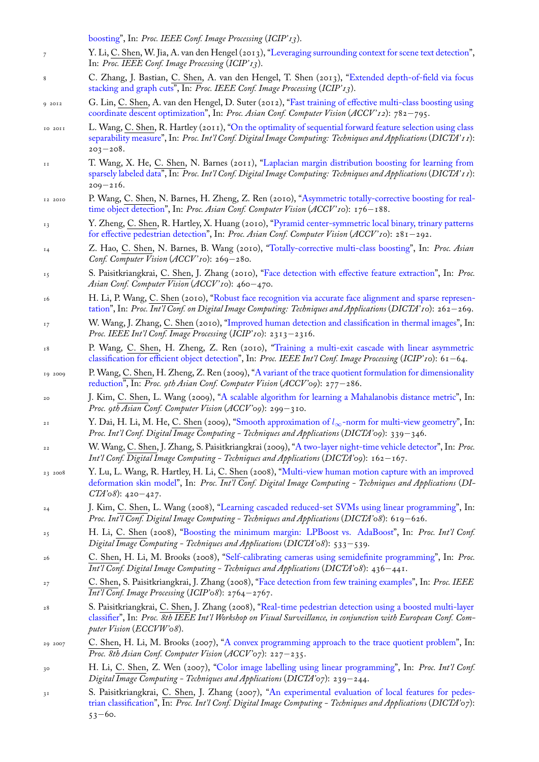- 7 Y. Li, C. Shen, W. Jia, A. van den Hengel (2013), "Leveraging surrounding context for scene text detection", In: *Proc. IEEE Conf. Image Processing* (*ICIP'13*).
- 8 C. Zhang, J. Bastian, C. Shen, A. van den Hengel, T. Shen (2013), "Extended depth-of-field via focus [stacking](http://www.google.com/search?lr=&ie=UTF-8&oe=UTF-8&q=Approximate+constraint+generation+for+efficient+structured+boosting+Lin,+Guosheng+and+Shen,+Chunhua+and+van+den+Hengel,+Anton) and graph cuts", In: *Proc. IEEE Conf. Image Processing* (*ICIP'13*).
- 9 2012 G. Lin, C. Shen, A. van den Hengel, D. Suter (20[12\), "Fast training of effective multi-class boosting usin](http://www.google.com/search?lr=&ie=UTF-8&oe=UTF-8&q=Leveraging+surrounding+context+for+scene+text+detection+Li,+Yao+and+Shen,+Chunhua+and+Jia,+Wenjing+and+van+den+Hengel,+Anton)g coordinate descent optimization", In: *Proc. Asian Conf. Computer Vision* (*ACCV '12*): 782*−*795.
- 10 2011 L. Wang, C. Shen, R. Hartley (2011), "On the optimality of sequentialf[orward feature selection using class](http://www.google.com/search?lr=&ie=UTF-8&oe=UTF-8&q=Extended+depth-of-field+via+focus+stacking+and+graph+cuts+Zhang,+Chao+and+Bastian,+John+and+Shen,+Chunhua+and+van+den+Hengel,+Anton+and+Shen,+Tingzhi) [separability measure", In](http://www.google.com/search?lr=&ie=UTF-8&oe=UTF-8&q=Extended+depth-of-field+via+focus+stacking+and+graph+cuts+Zhang,+Chao+and+Bastian,+John+and+Shen,+Chunhua+and+van+den+Hengel,+Anton+and+Shen,+Tingzhi): *Proc. Int'l Conf. Digital Image Computing: Techniques and Applications* (*DICTA'11*): 203*−*208.
- 11 [T. Wang, X. He,](http://www.google.com/search?lr=&ie=UTF-8&oe=UTF-8&q=Fast+Training+of+Effective+Multi-class+Boosting+Using+Coordinate+Descent+Optimization+Lin,+Guosheng+and+Shen,+Chunhua+and+van+den+Hengel,+Anton+and+Suter,+David) C. Shen, N. Barnes (2011), "Laplacian margin distribution boosting for learning from sparsely labeled data", In: *Proc. Int'l Co[nf. Digital Image Computing: Techniques and Applications](http://www.google.com/search?lr=&ie=UTF-8&oe=UTF-8&q=On+The+Optimality+of+Sequential+Forward+Feature+Selection+Using+Class+Separability+Measure+Wang,+Lei+and+Shen,+Chunhua+and+Hartley,+Richard)* (*DICTA'11*): 209*−*[216.](http://www.google.com/search?lr=&ie=UTF-8&oe=UTF-8&q=On+The+Optimality+of+Sequential+Forward+Feature+Selection+Using+Class+Separability+Measure+Wang,+Lei+and+Shen,+Chunhua+and+Hartley,+Richard)
- 12 2010 P. Wang, C. Shen, N. Barnes, H. Zheng, Z. Ren (2010), "Asymmetric totally-corrective boosting for realtime object detection", In: *Proc. Asian Conf. Co[mputer Vision](http://www.google.com/search?lr=&ie=UTF-8&oe=UTF-8&q=Laplacian+margin+distribution+boosting+for+learning+from+sparsely+labeled+data+Wang,+Tao+and+He,+Xuming+and+Shen,+Chunhua+and+Barnes,+Nick)* (*ACCV '10*): 176*−*188.
- 13 [Y. Zheng,](http://www.google.com/search?lr=&ie=UTF-8&oe=UTF-8&q=Laplacian+margin+distribution+boosting+for+learning+from+sparsely+labeled+data+Wang,+Tao+and+He,+Xuming+and+Shen,+Chunhua+and+Barnes,+Nick) C. Shen, R. Hartley, X. Huang (2010), "Pyramid center-symmetric local binary, trinary patterns for effective pedestrian detection", In: *Proc. Asian Conf. Computer Vision* (*ACCV '10*): 281*−*292.
- 14 Z. Hao, C. Shen, N. Barnes, B. Wang (2010), "Totally-[corrective multi-class boosting", In:](http://www.google.com/search?lr=&ie=UTF-8&oe=UTF-8&q=Asymmetric+Totally-corrective+Boosting+for+Real-time+Object+Detection+Wang,+Peng+and+Shen,+Chunhua+and+Barnes,+Nick+and+Zheng,+Hong+and+Ren,+Zhang) *Proc. Asian [Conf. Computer Vision](http://www.google.com/search?lr=&ie=UTF-8&oe=UTF-8&q=Asymmetric+Totally-corrective+Boosting+for+Real-time+Object+Detection+Wang,+Peng+and+Shen,+Chunhua+and+Barnes,+Nick+and+Zheng,+Hong+and+Ren,+Zhang)* (*ACCV '10*): 269*−*280.
- 15 S. Paisitkriangkrai, C. Shen, J. Zhang (2010), "Fa[ce detection with effective feature extraction", In:](http://www.google.com/search?lr=&ie=UTF-8&oe=UTF-8&q=Pyramid+Center-symmetric+Local+Binary,+Trinary+Patterns+for+Effective+Pedestrian+Detection+Zheng,+Yongbin+and+Shen,+Chunhua+and+Hartley,+Richard+and+Huang,+Xinsheng) *Proc. [Asian Conf. Computer Vision](http://www.google.com/search?lr=&ie=UTF-8&oe=UTF-8&q=Pyramid+Center-symmetric+Local+Binary,+Trinary+Patterns+for+Effective+Pedestrian+Detection+Zheng,+Yongbin+and+Shen,+Chunhua+and+Hartley,+Richard+and+Huang,+Xinsheng)* (*ACCV '10*): 460*−*470.
- <sup>16</sup> H. Li, P. Wang, C. Shen (2010), "Robust face rec[ognition via accurate face alignment an](http://www.google.com/search?lr=&ie=UTF-8&oe=UTF-8&q=Totally-corrective+Multi-class+Boosting+Hao,+Zhihui+and+Shen,+Chunhua+and+Barnes,+Nick+and+Wang,+Bo)d sparse representation", In: *Proc. Int'l Conf. on Digital Image Computing: Techniques and Applications* (*DICTA'10*): 262*−*269.
- 17 W. Wang, J. Zhang, C. Shen (2010), "Improved [human detection and classification in thermal im](http://www.google.com/search?lr=&ie=UTF-8&oe=UTF-8&q=Face+Detection+with+Effective+Feature+Extraction+Paisitkriangkrai,+Sakrapee+and+Shen,+Chunhua+and+Zhang,+Jian)ages", In: *Proc. IEEE Int'l Conf. Image Processing* (*ICIP'10*): 2313*−*2316.
- <sup>18</sup> P. Wang, C. Shen, H. Zheng, [Z. Ren \(2010\), "Training a multi-exit cascade with linear asymmetric](http://www.google.com/search?lr=&ie=UTF-8&oe=UTF-8&q=Robust+Face+Recognition+via+Accurate+Face+Alignment+and+Sparse+Representation+Li,+Hanxi+and+Wang,+Peng+and+Shen,+Chunhua) [classifi](http://www.google.com/search?lr=&ie=UTF-8&oe=UTF-8&q=Robust+Face+Recognition+via+Accurate+Face+Alignment+and+Sparse+Representation+Li,+Hanxi+and+Wang,+Peng+and+Shen,+Chunhua)cation for efficient object detection", In: *Proc. IEEE Int'l Conf. Image Processing* (*ICIP'10*): 61*−*64.
- 19 2009 P. Wang, C. Shen, H. Zheng, Z. Ren([2009\), "A variant of the trace quotient formulation for dimension](http://www.google.com/search?lr=&ie=UTF-8&oe=UTF-8&q=Improved+Human+Detection+and+Classification+in+Thermal+Images+Wang,+Weihong+and+Zhang,+Jian+and+Shen,+Chunhua)ality reduction", In: *Proc. 9th Asian Conf. Computer Vision* (*ACCV '09*): 277*−*286.
- <sup>20</sup> J. Kim, C. Shen, L. Wang (2009), "A scalable alg[orithm for learning a Mahalanobis distance metric", In:](http://www.google.com/search?lr=&ie=UTF-8&oe=UTF-8&q=Training+a+multi-exit+cascade+with+linear+asymmetric+classification+for+efficient+object+detection+Wang,+Peng+and+Shen,+Chunhua+and+Zheng,+Hong+and+Ren,+Zhang) *[Proc. 9th Asian Conf. Computer Vision](http://www.google.com/search?lr=&ie=UTF-8&oe=UTF-8&q=Training+a+multi-exit+cascade+with+linear+asymmetric+classification+for+efficient+object+detection+Wang,+Peng+and+Shen,+Chunhua+and+Zheng,+Hong+and+Ren,+Zhang)* (*ACCV '09*): 299*−*310.
- <sup>21</sup> Y. Dai, H. Li, M. He, C. Shen (2009), "Smooth approximation of *l∞*[-norm for multi-view geometry", In:](http://www.google.com/search?lr=&ie=UTF-8&oe=UTF-8&q=A+Variant+of+the+Trace+Quotient+Formulation+for+Dimensionality+Reduction+Wang,+Peng+and+Shen,+Chunhua+and+Zheng,+Hong+and+Ren,+Zhang) *[Proc. Int'l](http://www.google.com/search?lr=&ie=UTF-8&oe=UTF-8&q=A+Variant+of+the+Trace+Quotient+Formulation+for+Dimensionality+Reduction+Wang,+Peng+and+Shen,+Chunhua+and+Zheng,+Hong+and+Ren,+Zhang) Conf. Digital Image Computing - Techniques and Applications* (*DICTA'09*): 339*−*346.
- <sup>22</sup> W. Wang, C. Shen, J. Zhang, S. Pais[itkriangkrai \(2009\), "A two-layer night-time vehicle detector", In:](http://www.google.com/search?lr=&ie=UTF-8&oe=UTF-8&q=A+Scalable+Algorithm+for+Learning+a+Mahalanobis+Distance+Metric+Kim,+Junae+and+Shen,+Chunhua+and+Wang,+Lei) *Proc. Int'l Conf. Digital Image Computing - Techniques and Applications* (*DICTA'09*): 162*−*167.
- 23 2008 Y. Lu, L. Wang, R. Hartley, H. Li, C. S[hen \(2008\), "Multi-view human motion capture with an impr](http://www.google.com/search?lr=&ie=UTF-8&oe=UTF-8&q=Smooth+Approximation+of+$L_\infty $-Norm+for+Multi-view+Geometry+Dai,+Yuchao+and+Li,+Hongdong+and+He,+Mingyi+and+Shen,+Chunhua)oved deformation skin model", In: *Proc. Int'l Conf. Digital Image Computing - Techniques and Applications* (*DI-CTA'08*): 420*−*427.
- <sup>24</sup> J. Kim, C. Shen, L. Wang (2008), "Learning cascaded reduced-set SVMs using linear programming", In: *Proc. Int'l Conf. Digital Image Computing - Techniques [and Applications](http://www.google.com/search?lr=&ie=UTF-8&oe=UTF-8&q=Multi-view+Human+Motion+Capture+with+An+Improved+Deformation+Skin+Model+Lu,+Yifan+and+Wang,+Lei+and+Hartley,+Richard+and+Li,+Hongdong+and+Shen,+Chunhua)* (*DICTA'08*): 619*−*626.
- <sup>25</sup> H. Li, C. [Shen \(2008\),](http://www.google.com/search?lr=&ie=UTF-8&oe=UTF-8&q=Multi-view+Human+Motion+Capture+with+An+Improved+Deformation+Skin+Model+Lu,+Yifan+and+Wang,+Lei+and+Hartley,+Richard+and+Li,+Hongdong+and+Shen,+Chunhua) "Boosting the minimum margin: LPBoost vs. AdaBoost", In: *Proc. Int'l Conf. Digital Image Computing - Techniques and Applications* (*DICTA'08*): 533*−*539.
- <sup>26</sup> C. Shen, H. Li, M. Brooks (2008), ["Self-calibrating cameras using semidefinite programming", In:](http://www.google.com/search?lr=&ie=UTF-8&oe=UTF-8&q=Learning+Cascaded+Reduced-set+SVMs+Using+Linear+Programming+Kim,+Junae+and+Shen,+Chunhua+and+Wang,+Lei) *Proc. Int'l Conf. Digital Image Computing - Techniques and Applications* (*DICTA'08*): 436*−*441.
- <sup>27</sup> C. Shen, S. Paisitkriangkr[ai, J. Zhang \(2008\), "Face detection from few training exam](http://www.google.com/search?lr=&ie=UTF-8&oe=UTF-8&q=Boosting+the+minimum+margin:+LPBoost+vs.+AdaBoost+Li,+Hanxi+and+Shen,+Chunhua)ples", In: *Proc. IEEE Int'l Conf. Image Processing* (*ICIP'08*): 2764*−*2767.
- <sup>28</sup> S. Paisitkriangkrai, C. Shen, J. Zhan[g \(2008\), "Real-time pedestrian detection using a boosted m](http://www.google.com/search?lr=&ie=UTF-8&oe=UTF-8&q=Self-Calibrating+Cameras+Using+Semidefinite+Programming+Shen,+Chunhua+and+Li,+Hongdong+and+Brooks,+Michael+J.)ulti-layer classifier", In: *Proc. 8th IEEE Int'l Workshop on Visual Surveillance, in conjunction with European Conf. Computer Vision* (*ECCVW '08*).
- 29 2007 C. Shen, H. Li, M. Brooks (2007), "A convex programming approach to the trace quotient problem", In: *Proc. 8th Asian Conf. Computer Vision* (*ACCV '07*[\): 227](http://www.google.com/search?lr=&ie=UTF-8&oe=UTF-8&q=Real-time+Pedestrian+Detection+Using+a+Boosted+Multi-layer+Classifier+Paisitkriangkrai,+Sakrapee+and+Shen,+Chunhua+and+Zhang,+Jian)*−*235.
- <sup>30</sup> [H. Li,](http://www.google.com/search?lr=&ie=UTF-8&oe=UTF-8&q=Real-time+Pedestrian+Detection+Using+a+Boosted+Multi-layer+Classifier+Paisitkriangkrai,+Sakrapee+and+Shen,+Chunhua+and+Zhang,+Jian) C. Shen, Z. Wen (2007), "Color image labelling using linear programming", In: *Proc. Int'l Conf. Digital Image Computing - Techniques and Applications* (*DICTA'07*): 239*−*244.
- <sup>31</sup> S. Paisitkriangkrai, C. Shen, J. Zha[ng \(2007\), "An experimental evaluation of local features for p](http://www.google.com/search?lr=&ie=UTF-8&oe=UTF-8&q=A+convex+programming+approach+to+the+trace+quotient+problem+Shen,+Chunhua+and+Li,+Hongdong+and+Brooks,+Michael+J.)edestrian classification", In: *Proc. Int'l Conf. Digital Image Computing - Techniques and Applications* (*DICTA'07*): 53*−*60.